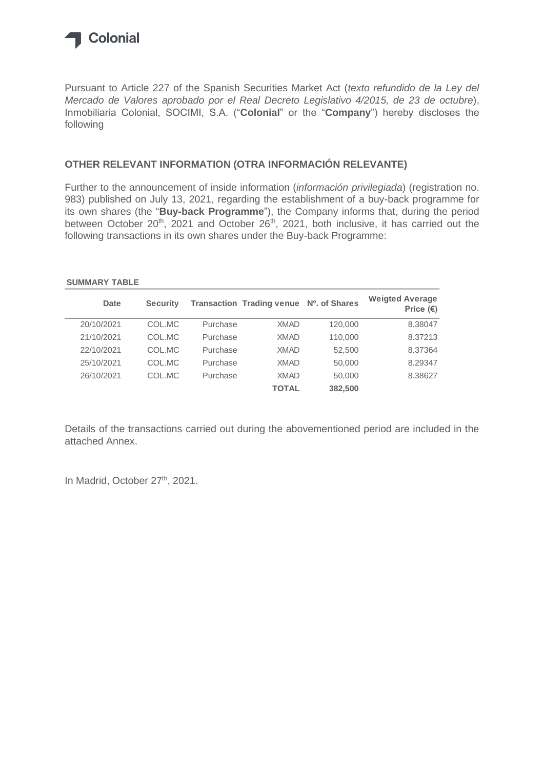

Pursuant to Article 227 of the Spanish Securities Market Act (*texto refundido de la Ley del Mercado de Valores aprobado por el Real Decreto Legislativo 4/2015, de 23 de octubre*), Inmobiliaria Colonial, SOCIMI, S.A. ("**Colonial**" or the "**Company**") hereby discloses the following

#### **OTHER RELEVANT INFORMATION (OTRA INFORMACIÓN RELEVANTE)**

Further to the announcement of inside information (*información privilegiada*) (registration no. 983) published on July 13, 2021, regarding the establishment of a buy-back programme for its own shares (the "**Buy-back Programme**"), the Company informs that, during the period between October 20<sup>th</sup>, 2021 and October 26<sup>th</sup>, 2021, both inclusive, it has carried out the following transactions in its own shares under the Buy-back Programme:

#### **SUMMARY TABLE**

| Date       | <b>Security</b> |          | <b>Transaction Trading venue</b> | Nº. of Shares | <b>Weigted Average</b><br>Price $(\epsilon)$ |
|------------|-----------------|----------|----------------------------------|---------------|----------------------------------------------|
| 20/10/2021 | COL.MC          | Purchase | <b>XMAD</b>                      | 120,000       | 8.38047                                      |
| 21/10/2021 | COL.MC          | Purchase | <b>XMAD</b>                      | 110,000       | 8.37213                                      |
| 22/10/2021 | COL.MC          | Purchase | <b>XMAD</b>                      | 52,500        | 8.37364                                      |
| 25/10/2021 | COL.MC          | Purchase | <b>XMAD</b>                      | 50,000        | 8.29347                                      |
| 26/10/2021 | COL.MC          | Purchase | <b>XMAD</b>                      | 50,000        | 8.38627                                      |
|            |                 |          | <b>TOTAL</b>                     | 382,500       |                                              |

Details of the transactions carried out during the abovementioned period are included in the attached Annex.

In Madrid, October 27<sup>th</sup>, 2021.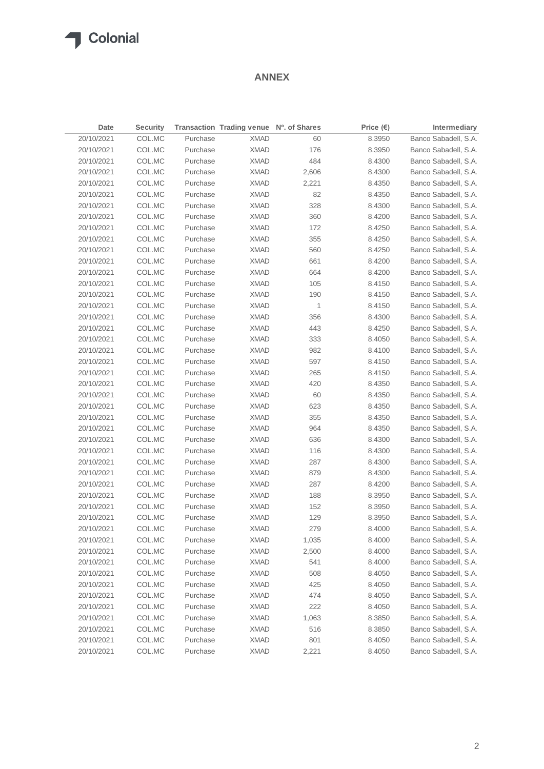#### **ANNEX**

| <b>Date</b> | <b>Security</b> |          | Transaction Trading venue Nº. of Shares |       | Price $(\epsilon)$ | Intermediary         |
|-------------|-----------------|----------|-----------------------------------------|-------|--------------------|----------------------|
| 20/10/2021  | COL.MC          | Purchase | <b>XMAD</b>                             | 60    | 8.3950             | Banco Sabadell, S.A. |
| 20/10/2021  | COL.MC          | Purchase | <b>XMAD</b>                             | 176   | 8.3950             | Banco Sabadell, S.A. |
| 20/10/2021  | COL.MC          | Purchase | <b>XMAD</b>                             | 484   | 8.4300             | Banco Sabadell, S.A. |
| 20/10/2021  | COL.MC          | Purchase | <b>XMAD</b>                             | 2,606 | 8.4300             | Banco Sabadell, S.A. |
| 20/10/2021  | COL.MC          | Purchase | <b>XMAD</b>                             | 2,221 | 8.4350             | Banco Sabadell, S.A. |
| 20/10/2021  | COL.MC          | Purchase | <b>XMAD</b>                             | 82    | 8.4350             | Banco Sabadell, S.A. |
| 20/10/2021  | COL.MC          | Purchase | <b>XMAD</b>                             | 328   | 8.4300             | Banco Sabadell, S.A. |
| 20/10/2021  | COL.MC          | Purchase | <b>XMAD</b>                             | 360   | 8.4200             | Banco Sabadell, S.A. |
| 20/10/2021  | COL.MC          | Purchase | <b>XMAD</b>                             | 172   | 8.4250             | Banco Sabadell, S.A. |
| 20/10/2021  | COL.MC          | Purchase | <b>XMAD</b>                             | 355   | 8.4250             | Banco Sabadell, S.A. |
| 20/10/2021  | COL.MC          | Purchase | <b>XMAD</b>                             | 560   | 8.4250             | Banco Sabadell, S.A. |
| 20/10/2021  | COL.MC          | Purchase | <b>XMAD</b>                             | 661   | 8.4200             | Banco Sabadell, S.A. |
| 20/10/2021  | COL.MC          | Purchase | <b>XMAD</b>                             | 664   | 8.4200             | Banco Sabadell, S.A. |
| 20/10/2021  | COL.MC          | Purchase | <b>XMAD</b>                             | 105   | 8.4150             | Banco Sabadell, S.A. |
| 20/10/2021  | COL.MC          | Purchase | <b>XMAD</b>                             | 190   | 8.4150             | Banco Sabadell, S.A. |
| 20/10/2021  | COL.MC          | Purchase | <b>XMAD</b>                             | 1     | 8.4150             | Banco Sabadell, S.A. |
| 20/10/2021  | COL.MC          | Purchase | <b>XMAD</b>                             | 356   | 8.4300             | Banco Sabadell, S.A. |
| 20/10/2021  | COL.MC          | Purchase | <b>XMAD</b>                             | 443   | 8.4250             | Banco Sabadell, S.A. |
| 20/10/2021  | COL.MC          | Purchase | <b>XMAD</b>                             | 333   | 8.4050             | Banco Sabadell, S.A. |
| 20/10/2021  | COL.MC          | Purchase | <b>XMAD</b>                             | 982   | 8.4100             | Banco Sabadell, S.A. |
| 20/10/2021  | COL.MC          | Purchase | <b>XMAD</b>                             | 597   | 8.4150             | Banco Sabadell, S.A. |
| 20/10/2021  | COL.MC          | Purchase | <b>XMAD</b>                             | 265   | 8.4150             | Banco Sabadell, S.A. |
| 20/10/2021  | COL.MC          | Purchase |                                         | 420   | 8.4350             | Banco Sabadell, S.A. |
|             |                 | Purchase | <b>XMAD</b>                             |       |                    |                      |
| 20/10/2021  | COL.MC          |          | <b>XMAD</b>                             | 60    | 8.4350             | Banco Sabadell, S.A. |
| 20/10/2021  | COL.MC          | Purchase | <b>XMAD</b>                             | 623   | 8.4350             | Banco Sabadell, S.A. |
| 20/10/2021  | COL.MC          | Purchase | <b>XMAD</b>                             | 355   | 8.4350             | Banco Sabadell, S.A. |
| 20/10/2021  | COL.MC          | Purchase | <b>XMAD</b>                             | 964   | 8.4350             | Banco Sabadell, S.A. |
| 20/10/2021  | COL.MC          | Purchase | <b>XMAD</b>                             | 636   | 8.4300             | Banco Sabadell, S.A. |
| 20/10/2021  | COL.MC          | Purchase | <b>XMAD</b>                             | 116   | 8.4300             | Banco Sabadell, S.A. |
| 20/10/2021  | COL.MC          | Purchase | <b>XMAD</b>                             | 287   | 8.4300             | Banco Sabadell, S.A. |
| 20/10/2021  | COL.MC          | Purchase | <b>XMAD</b>                             | 879   | 8.4300             | Banco Sabadell, S.A. |
| 20/10/2021  | COL.MC          | Purchase | <b>XMAD</b>                             | 287   | 8.4200             | Banco Sabadell, S.A. |
| 20/10/2021  | COL.MC          | Purchase | <b>XMAD</b>                             | 188   | 8.3950             | Banco Sabadell, S.A. |
| 20/10/2021  | COL.MC          | Purchase | <b>XMAD</b>                             | 152   | 8.3950             | Banco Sabadell, S.A. |
| 20/10/2021  | COL.MC          | Purchase | <b>XMAD</b>                             | 129   | 8.3950             | Banco Sabadell, S.A. |
| 20/10/2021  | COL.MC          | Purchase | <b>XMAD</b>                             | 279   | 8.4000             | Banco Sabadell, S.A. |
| 20/10/2021  | COL.MC          | Purchase | <b>XMAD</b>                             | 1,035 | 8.4000             | Banco Sabadell, S.A. |
| 20/10/2021  | COL.MC          | Purchase | <b>XMAD</b>                             | 2,500 | 8.4000             | Banco Sabadell, S.A. |
| 20/10/2021  | COL.MC          | Purchase | <b>XMAD</b>                             | 541   | 8.4000             | Banco Sabadell, S.A. |
| 20/10/2021  | COL.MC          | Purchase | <b>XMAD</b>                             | 508   | 8.4050             | Banco Sabadell, S.A. |
| 20/10/2021  | COL.MC          | Purchase | <b>XMAD</b>                             | 425   | 8.4050             | Banco Sabadell, S.A. |
| 20/10/2021  | COL.MC          | Purchase | <b>XMAD</b>                             | 474   | 8.4050             | Banco Sabadell, S.A. |
| 20/10/2021  | COL.MC          | Purchase | <b>XMAD</b>                             | 222   | 8.4050             | Banco Sabadell, S.A. |
| 20/10/2021  | COL.MC          | Purchase | <b>XMAD</b>                             | 1,063 | 8.3850             | Banco Sabadell, S.A. |
| 20/10/2021  | COL.MC          | Purchase | <b>XMAD</b>                             | 516   | 8.3850             | Banco Sabadell, S.A. |
| 20/10/2021  | COL.MC          | Purchase | <b>XMAD</b>                             | 801   | 8.4050             | Banco Sabadell, S.A. |
| 20/10/2021  | COL.MC          | Purchase | <b>XMAD</b>                             | 2,221 | 8.4050             | Banco Sabadell, S.A. |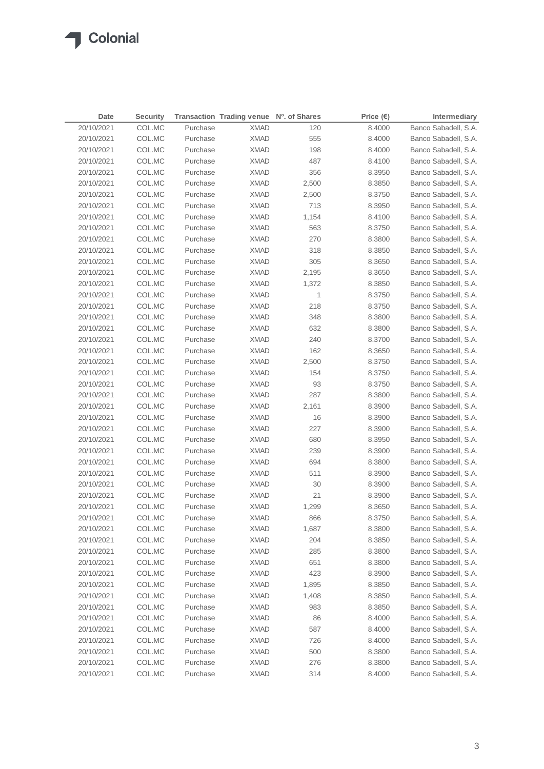| Date       | <b>Security</b> |          | Transaction Trading venue Nº. of Shares |       | Price $(\epsilon)$ | Intermediary         |
|------------|-----------------|----------|-----------------------------------------|-------|--------------------|----------------------|
| 20/10/2021 | COL.MC          | Purchase | <b>XMAD</b>                             | 120   | 8.4000             | Banco Sabadell, S.A. |
| 20/10/2021 | COL.MC          | Purchase | <b>XMAD</b>                             | 555   | 8.4000             | Banco Sabadell, S.A. |
| 20/10/2021 | COL.MC          | Purchase | <b>XMAD</b>                             | 198   | 8.4000             | Banco Sabadell, S.A. |
| 20/10/2021 | COL.MC          | Purchase | <b>XMAD</b>                             | 487   | 8.4100             | Banco Sabadell, S.A. |
| 20/10/2021 | COL.MC          | Purchase | <b>XMAD</b>                             | 356   | 8.3950             | Banco Sabadell, S.A. |
| 20/10/2021 | COL.MC          | Purchase | <b>XMAD</b>                             | 2,500 | 8.3850             | Banco Sabadell, S.A. |
| 20/10/2021 | COL.MC          | Purchase | <b>XMAD</b>                             | 2,500 | 8.3750             | Banco Sabadell, S.A. |
| 20/10/2021 | COL.MC          | Purchase | <b>XMAD</b>                             | 713   | 8.3950             | Banco Sabadell, S.A. |
| 20/10/2021 | COL.MC          | Purchase | <b>XMAD</b>                             | 1,154 | 8.4100             | Banco Sabadell, S.A. |
| 20/10/2021 | COL.MC          | Purchase | <b>XMAD</b>                             | 563   | 8.3750             | Banco Sabadell, S.A. |
| 20/10/2021 | COL.MC          | Purchase | <b>XMAD</b>                             | 270   | 8.3800             | Banco Sabadell, S.A. |
| 20/10/2021 | COL.MC          | Purchase | <b>XMAD</b>                             | 318   | 8.3850             | Banco Sabadell, S.A. |
| 20/10/2021 | COL.MC          | Purchase | <b>XMAD</b>                             | 305   | 8.3650             | Banco Sabadell, S.A. |
| 20/10/2021 | COL.MC          | Purchase | <b>XMAD</b>                             | 2,195 | 8.3650             | Banco Sabadell, S.A. |
| 20/10/2021 | COL.MC          | Purchase | <b>XMAD</b>                             | 1,372 | 8.3850             | Banco Sabadell, S.A. |
| 20/10/2021 | COL.MC          | Purchase | <b>XMAD</b>                             | 1     | 8.3750             | Banco Sabadell, S.A. |
| 20/10/2021 | COL.MC          | Purchase | <b>XMAD</b>                             | 218   | 8.3750             | Banco Sabadell, S.A. |
| 20/10/2021 | COL.MC          | Purchase | <b>XMAD</b>                             | 348   | 8.3800             | Banco Sabadell, S.A. |
| 20/10/2021 | COL.MC          | Purchase | <b>XMAD</b>                             | 632   | 8.3800             | Banco Sabadell, S.A. |
| 20/10/2021 | COL.MC          | Purchase | <b>XMAD</b>                             | 240   | 8.3700             | Banco Sabadell, S.A. |
| 20/10/2021 | COL.MC          | Purchase | XMAD                                    | 162   | 8.3650             | Banco Sabadell, S.A. |
| 20/10/2021 | COL.MC          | Purchase | <b>XMAD</b>                             | 2,500 | 8.3750             | Banco Sabadell, S.A. |
| 20/10/2021 | COL.MC          | Purchase | XMAD                                    | 154   | 8.3750             | Banco Sabadell, S.A. |
| 20/10/2021 | COL.MC          | Purchase | XMAD                                    | 93    | 8.3750             | Banco Sabadell, S.A. |
| 20/10/2021 | COL.MC          | Purchase | XMAD                                    | 287   | 8.3800             | Banco Sabadell, S.A. |
| 20/10/2021 | COL.MC          | Purchase | XMAD                                    | 2,161 | 8.3900             | Banco Sabadell, S.A. |
| 20/10/2021 | COL.MC          | Purchase | <b>XMAD</b>                             | 16    | 8.3900             | Banco Sabadell, S.A. |
| 20/10/2021 | COL.MC          | Purchase | <b>XMAD</b>                             | 227   | 8.3900             | Banco Sabadell, S.A. |
| 20/10/2021 | COL.MC          | Purchase | <b>XMAD</b>                             | 680   | 8.3950             | Banco Sabadell, S.A. |
| 20/10/2021 | COL.MC          | Purchase | <b>XMAD</b>                             | 239   | 8.3900             | Banco Sabadell, S.A. |
| 20/10/2021 | COL.MC          | Purchase | <b>XMAD</b>                             | 694   | 8.3800             | Banco Sabadell, S.A. |
| 20/10/2021 | COL.MC          | Purchase | <b>XMAD</b>                             | 511   | 8.3900             | Banco Sabadell, S.A. |
| 20/10/2021 | COL.MC          | Purchase | <b>XMAD</b>                             | 30    | 8.3900             | Banco Sabadell, S.A. |
| 20/10/2021 | COL.MC          | Purchase | <b>XMAD</b>                             | 21    | 8.3900             | Banco Sabadell, S.A. |
| 20/10/2021 | COL.MC          | Purchase | <b>XMAD</b>                             | 1,299 | 8.3650             | Banco Sabadell, S.A. |
| 20/10/2021 | COL.MC          | Purchase | <b>XMAD</b>                             | 866   | 8.3750             | Banco Sabadell, S.A. |
| 20/10/2021 | COL.MC          | Purchase | <b>XMAD</b>                             | 1,687 | 8.3800             | Banco Sabadell, S.A. |
| 20/10/2021 | COL.MC          | Purchase | <b>XMAD</b>                             | 204   | 8.3850             | Banco Sabadell, S.A. |
| 20/10/2021 | COL.MC          | Purchase | <b>XMAD</b>                             | 285   | 8.3800             | Banco Sabadell, S.A. |
| 20/10/2021 | COL.MC          | Purchase | <b>XMAD</b>                             | 651   | 8.3800             | Banco Sabadell, S.A. |
| 20/10/2021 | COL.MC          | Purchase | <b>XMAD</b>                             | 423   | 8.3900             | Banco Sabadell, S.A. |
| 20/10/2021 | COL.MC          | Purchase | <b>XMAD</b>                             | 1,895 | 8.3850             | Banco Sabadell, S.A. |
| 20/10/2021 | COL.MC          | Purchase | <b>XMAD</b>                             | 1,408 | 8.3850             | Banco Sabadell, S.A. |
| 20/10/2021 | COL.MC          | Purchase | <b>XMAD</b>                             | 983   | 8.3850             | Banco Sabadell, S.A. |
| 20/10/2021 | COL.MC          | Purchase | <b>XMAD</b>                             | 86    | 8.4000             | Banco Sabadell, S.A. |
| 20/10/2021 | COL.MC          | Purchase | <b>XMAD</b>                             | 587   | 8.4000             | Banco Sabadell, S.A. |
| 20/10/2021 | COL.MC          | Purchase | <b>XMAD</b>                             | 726   | 8.4000             | Banco Sabadell, S.A. |
| 20/10/2021 | COL.MC          | Purchase | <b>XMAD</b>                             | 500   | 8.3800             | Banco Sabadell, S.A. |
| 20/10/2021 | COL.MC          | Purchase | XMAD                                    | 276   | 8.3800             | Banco Sabadell, S.A. |
| 20/10/2021 | COL.MC          | Purchase | <b>XMAD</b>                             | 314   | 8.4000             | Banco Sabadell, S.A. |
|            |                 |          |                                         |       |                    |                      |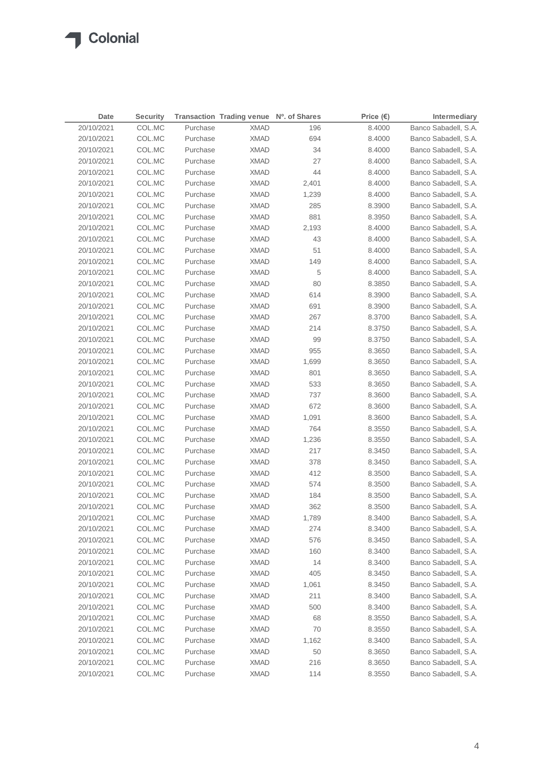| 20/10/2021<br>COL.MC<br>Purchase<br>Banco Sabadell, S.A.<br><b>XMAD</b><br>196<br>8.4000<br>20/10/2021<br>COL.MC<br>Purchase<br><b>XMAD</b><br>694<br>8.4000<br>Banco Sabadell, S.A.<br>34<br>20/10/2021<br>COL.MC<br>Purchase<br><b>XMAD</b><br>8.4000<br>Banco Sabadell, S.A.<br>27<br>20/10/2021<br>COL.MC<br>Purchase<br><b>XMAD</b><br>8.4000<br>Banco Sabadell, S.A.<br>COL.MC<br>44<br>Banco Sabadell, S.A.<br>20/10/2021<br>Purchase<br><b>XMAD</b><br>8.4000<br>20/10/2021<br>COL.MC<br>Purchase<br><b>XMAD</b><br>2,401<br>8.4000<br>Banco Sabadell, S.A.<br>20/10/2021<br>COL.MC<br>Purchase<br><b>XMAD</b><br>8.4000<br>Banco Sabadell, S.A.<br>1,239<br>20/10/2021<br>COL.MC<br>Purchase<br><b>XMAD</b><br>285<br>8.3900<br>Banco Sabadell, S.A.<br>881<br>20/10/2021<br>COL.MC<br>Purchase<br><b>XMAD</b><br>8.3950<br>Banco Sabadell, S.A.<br>20/10/2021<br>COL.MC<br>Purchase<br>Banco Sabadell, S.A.<br><b>XMAD</b><br>2,193<br>8.4000<br>20/10/2021<br>COL.MC<br>Purchase<br><b>XMAD</b><br>43<br>8.4000<br>Banco Sabadell, S.A.<br>51<br>Banco Sabadell, S.A.<br>20/10/2021<br>COL.MC<br>Purchase<br><b>XMAD</b><br>8.4000<br>Banco Sabadell, S.A.<br>20/10/2021<br>COL.MC<br>Purchase<br><b>XMAD</b><br>149<br>8.4000<br>5<br>20/10/2021<br>COL.MC<br>Purchase<br><b>XMAD</b><br>8.4000<br>Banco Sabadell, S.A.<br>20/10/2021<br>COL.MC<br>Purchase<br><b>XMAD</b><br>80<br>8.3850<br>Banco Sabadell, S.A.<br>20/10/2021<br>COL.MC<br>Purchase<br><b>XMAD</b><br>614<br>8.3900<br>Banco Sabadell, S.A.<br>20/10/2021<br>COL.MC<br>Purchase<br><b>XMAD</b><br>691<br>8.3900<br>Banco Sabadell, S.A.<br>20/10/2021<br>COL.MC<br>Purchase<br><b>XMAD</b><br>267<br>8.3700<br>Banco Sabadell, S.A.<br>Banco Sabadell, S.A.<br>20/10/2021<br>COL.MC<br>Purchase<br><b>XMAD</b><br>214<br>8.3750<br>99<br>Banco Sabadell, S.A.<br>20/10/2021<br>COL.MC<br>Purchase<br><b>XMAD</b><br>8.3750<br>20/10/2021<br>COL.MC<br>Purchase<br><b>XMAD</b><br>955<br>Banco Sabadell, S.A.<br>8.3650<br>20/10/2021<br>COL.MC<br>Purchase<br><b>XMAD</b><br>1,699<br>8.3650<br>Banco Sabadell, S.A.<br>20/10/2021<br>COL.MC<br>Purchase<br>801<br>Banco Sabadell, S.A.<br>XMAD<br>8.3650<br>20/10/2021<br>COL.MC<br>Purchase<br><b>XMAD</b><br>533<br>Banco Sabadell, S.A.<br>8.3650<br>20/10/2021<br>COL.MC<br>Purchase<br>737<br>Banco Sabadell, S.A.<br>XMAD<br>8.3600<br>20/10/2021<br>Purchase<br>672<br>Banco Sabadell, S.A.<br>COL.MC<br>XMAD<br>8.3600<br>20/10/2021<br>COL.MC<br>Purchase<br>Banco Sabadell, S.A.<br>XMAD<br>1,091<br>8.3600<br>20/10/2021<br>COL.MC<br>Purchase<br>764<br>Banco Sabadell, S.A.<br>XMAD<br>8.3550<br>20/10/2021<br>COL.MC<br>Purchase<br><b>XMAD</b><br>Banco Sabadell, S.A.<br>1,236<br>8.3550<br>20/10/2021<br>COL.MC<br>Purchase<br><b>XMAD</b><br>217<br>Banco Sabadell, S.A.<br>8.3450<br>20/10/2021<br>COL.MC<br>Purchase<br>378<br>Banco Sabadell, S.A.<br>XMAD<br>8.3450<br>20/10/2021<br>COL.MC<br>Purchase<br><b>XMAD</b><br>412<br>8.3500<br>Banco Sabadell, S.A.<br>20/10/2021<br>COL.MC<br>Purchase<br><b>XMAD</b><br>574<br>8.3500<br>Banco Sabadell, S.A.<br>Banco Sabadell, S.A.<br>20/10/2021<br>COL.MC<br>Purchase<br><b>XMAD</b><br>184<br>8.3500<br>362<br>Banco Sabadell, S.A.<br>20/10/2021<br>COL.MC<br>Purchase<br><b>XMAD</b><br>8.3500<br>20/10/2021<br>COL.MC<br><b>XMAD</b><br>1,789<br>8.3400<br>Purchase<br>Banco Sabadell, S.A.<br>20/10/2021<br>COL.MC<br>Purchase<br><b>XMAD</b><br>274<br>8.3400<br>Banco Sabadell, S.A.<br>20/10/2021<br>COL.MC<br>Purchase<br><b>XMAD</b><br>576<br>Banco Sabadell, S.A.<br>8.3450<br>Banco Sabadell, S.A.<br>20/10/2021<br>COL.MC<br>Purchase<br><b>XMAD</b><br>160<br>8.3400<br>14<br>20/10/2021<br>COL.MC<br>Purchase<br><b>XMAD</b><br>Banco Sabadell, S.A.<br>8.3400<br>Banco Sabadell, S.A.<br>20/10/2021<br>COL.MC<br>Purchase<br><b>XMAD</b><br>405<br>8.3450<br>20/10/2021<br>COL.MC<br>Purchase<br><b>XMAD</b><br>1,061<br>Banco Sabadell, S.A.<br>8.3450<br>20/10/2021<br>COL.MC<br>Purchase<br><b>XMAD</b><br>211<br>Banco Sabadell, S.A.<br>8.3400<br>20/10/2021<br>COL.MC<br>Purchase<br><b>XMAD</b><br>500<br>Banco Sabadell, S.A.<br>8.3400<br>20/10/2021<br>COL.MC<br>Purchase<br><b>XMAD</b><br>68<br>8.3550<br>Banco Sabadell, S.A.<br>20/10/2021<br>COL.MC<br>Purchase<br><b>XMAD</b><br>70<br>8.3550<br>Banco Sabadell, S.A.<br>20/10/2021<br>COL.MC<br>Purchase<br><b>XMAD</b><br>1,162<br>8.3400<br>Banco Sabadell, S.A.<br>20/10/2021<br>COL.MC<br>Purchase<br><b>XMAD</b><br>50<br>8.3650<br>Banco Sabadell, S.A.<br>20/10/2021<br>COL.MC<br>Purchase<br><b>XMAD</b><br>216<br>Banco Sabadell, S.A.<br>8.3650<br>20/10/2021<br>COL.MC<br>Purchase<br><b>XMAD</b><br>114<br>8.3550<br>Banco Sabadell, S.A. | <b>Date</b> | <b>Security</b> | Transaction Trading venue Nº. of Shares | Price $(\epsilon)$ | Intermediary |
|-------------------------------------------------------------------------------------------------------------------------------------------------------------------------------------------------------------------------------------------------------------------------------------------------------------------------------------------------------------------------------------------------------------------------------------------------------------------------------------------------------------------------------------------------------------------------------------------------------------------------------------------------------------------------------------------------------------------------------------------------------------------------------------------------------------------------------------------------------------------------------------------------------------------------------------------------------------------------------------------------------------------------------------------------------------------------------------------------------------------------------------------------------------------------------------------------------------------------------------------------------------------------------------------------------------------------------------------------------------------------------------------------------------------------------------------------------------------------------------------------------------------------------------------------------------------------------------------------------------------------------------------------------------------------------------------------------------------------------------------------------------------------------------------------------------------------------------------------------------------------------------------------------------------------------------------------------------------------------------------------------------------------------------------------------------------------------------------------------------------------------------------------------------------------------------------------------------------------------------------------------------------------------------------------------------------------------------------------------------------------------------------------------------------------------------------------------------------------------------------------------------------------------------------------------------------------------------------------------------------------------------------------------------------------------------------------------------------------------------------------------------------------------------------------------------------------------------------------------------------------------------------------------------------------------------------------------------------------------------------------------------------------------------------------------------------------------------------------------------------------------------------------------------------------------------------------------------------------------------------------------------------------------------------------------------------------------------------------------------------------------------------------------------------------------------------------------------------------------------------------------------------------------------------------------------------------------------------------------------------------------------------------------------------------------------------------------------------------------------------------------------------------------------------------------------------------------------------------------------------------------------------------------------------------------------------------------------------------------------------------------------------------------------------------------------------------------------------------------------------------------------------------------------------------------------------------------------------------------------------------------------------------------------------------------------------------------------------------------------------------------------------------------------------------------------------------------------------------------------------------------------------------------------------------------------------------------------------------------------------------------------------------------------------------------------------------------------------------------------------------|-------------|-----------------|-----------------------------------------|--------------------|--------------|
|                                                                                                                                                                                                                                                                                                                                                                                                                                                                                                                                                                                                                                                                                                                                                                                                                                                                                                                                                                                                                                                                                                                                                                                                                                                                                                                                                                                                                                                                                                                                                                                                                                                                                                                                                                                                                                                                                                                                                                                                                                                                                                                                                                                                                                                                                                                                                                                                                                                                                                                                                                                                                                                                                                                                                                                                                                                                                                                                                                                                                                                                                                                                                                                                                                                                                                                                                                                                                                                                                                                                                                                                                                                                                                                                                                                                                                                                                                                                                                                                                                                                                                                                                                                                                                                                                                                                                                                                                                                                                                                                                                                                                                                                                                                                                 |             |                 |                                         |                    |              |
|                                                                                                                                                                                                                                                                                                                                                                                                                                                                                                                                                                                                                                                                                                                                                                                                                                                                                                                                                                                                                                                                                                                                                                                                                                                                                                                                                                                                                                                                                                                                                                                                                                                                                                                                                                                                                                                                                                                                                                                                                                                                                                                                                                                                                                                                                                                                                                                                                                                                                                                                                                                                                                                                                                                                                                                                                                                                                                                                                                                                                                                                                                                                                                                                                                                                                                                                                                                                                                                                                                                                                                                                                                                                                                                                                                                                                                                                                                                                                                                                                                                                                                                                                                                                                                                                                                                                                                                                                                                                                                                                                                                                                                                                                                                                                 |             |                 |                                         |                    |              |
|                                                                                                                                                                                                                                                                                                                                                                                                                                                                                                                                                                                                                                                                                                                                                                                                                                                                                                                                                                                                                                                                                                                                                                                                                                                                                                                                                                                                                                                                                                                                                                                                                                                                                                                                                                                                                                                                                                                                                                                                                                                                                                                                                                                                                                                                                                                                                                                                                                                                                                                                                                                                                                                                                                                                                                                                                                                                                                                                                                                                                                                                                                                                                                                                                                                                                                                                                                                                                                                                                                                                                                                                                                                                                                                                                                                                                                                                                                                                                                                                                                                                                                                                                                                                                                                                                                                                                                                                                                                                                                                                                                                                                                                                                                                                                 |             |                 |                                         |                    |              |
|                                                                                                                                                                                                                                                                                                                                                                                                                                                                                                                                                                                                                                                                                                                                                                                                                                                                                                                                                                                                                                                                                                                                                                                                                                                                                                                                                                                                                                                                                                                                                                                                                                                                                                                                                                                                                                                                                                                                                                                                                                                                                                                                                                                                                                                                                                                                                                                                                                                                                                                                                                                                                                                                                                                                                                                                                                                                                                                                                                                                                                                                                                                                                                                                                                                                                                                                                                                                                                                                                                                                                                                                                                                                                                                                                                                                                                                                                                                                                                                                                                                                                                                                                                                                                                                                                                                                                                                                                                                                                                                                                                                                                                                                                                                                                 |             |                 |                                         |                    |              |
|                                                                                                                                                                                                                                                                                                                                                                                                                                                                                                                                                                                                                                                                                                                                                                                                                                                                                                                                                                                                                                                                                                                                                                                                                                                                                                                                                                                                                                                                                                                                                                                                                                                                                                                                                                                                                                                                                                                                                                                                                                                                                                                                                                                                                                                                                                                                                                                                                                                                                                                                                                                                                                                                                                                                                                                                                                                                                                                                                                                                                                                                                                                                                                                                                                                                                                                                                                                                                                                                                                                                                                                                                                                                                                                                                                                                                                                                                                                                                                                                                                                                                                                                                                                                                                                                                                                                                                                                                                                                                                                                                                                                                                                                                                                                                 |             |                 |                                         |                    |              |
|                                                                                                                                                                                                                                                                                                                                                                                                                                                                                                                                                                                                                                                                                                                                                                                                                                                                                                                                                                                                                                                                                                                                                                                                                                                                                                                                                                                                                                                                                                                                                                                                                                                                                                                                                                                                                                                                                                                                                                                                                                                                                                                                                                                                                                                                                                                                                                                                                                                                                                                                                                                                                                                                                                                                                                                                                                                                                                                                                                                                                                                                                                                                                                                                                                                                                                                                                                                                                                                                                                                                                                                                                                                                                                                                                                                                                                                                                                                                                                                                                                                                                                                                                                                                                                                                                                                                                                                                                                                                                                                                                                                                                                                                                                                                                 |             |                 |                                         |                    |              |
|                                                                                                                                                                                                                                                                                                                                                                                                                                                                                                                                                                                                                                                                                                                                                                                                                                                                                                                                                                                                                                                                                                                                                                                                                                                                                                                                                                                                                                                                                                                                                                                                                                                                                                                                                                                                                                                                                                                                                                                                                                                                                                                                                                                                                                                                                                                                                                                                                                                                                                                                                                                                                                                                                                                                                                                                                                                                                                                                                                                                                                                                                                                                                                                                                                                                                                                                                                                                                                                                                                                                                                                                                                                                                                                                                                                                                                                                                                                                                                                                                                                                                                                                                                                                                                                                                                                                                                                                                                                                                                                                                                                                                                                                                                                                                 |             |                 |                                         |                    |              |
|                                                                                                                                                                                                                                                                                                                                                                                                                                                                                                                                                                                                                                                                                                                                                                                                                                                                                                                                                                                                                                                                                                                                                                                                                                                                                                                                                                                                                                                                                                                                                                                                                                                                                                                                                                                                                                                                                                                                                                                                                                                                                                                                                                                                                                                                                                                                                                                                                                                                                                                                                                                                                                                                                                                                                                                                                                                                                                                                                                                                                                                                                                                                                                                                                                                                                                                                                                                                                                                                                                                                                                                                                                                                                                                                                                                                                                                                                                                                                                                                                                                                                                                                                                                                                                                                                                                                                                                                                                                                                                                                                                                                                                                                                                                                                 |             |                 |                                         |                    |              |
|                                                                                                                                                                                                                                                                                                                                                                                                                                                                                                                                                                                                                                                                                                                                                                                                                                                                                                                                                                                                                                                                                                                                                                                                                                                                                                                                                                                                                                                                                                                                                                                                                                                                                                                                                                                                                                                                                                                                                                                                                                                                                                                                                                                                                                                                                                                                                                                                                                                                                                                                                                                                                                                                                                                                                                                                                                                                                                                                                                                                                                                                                                                                                                                                                                                                                                                                                                                                                                                                                                                                                                                                                                                                                                                                                                                                                                                                                                                                                                                                                                                                                                                                                                                                                                                                                                                                                                                                                                                                                                                                                                                                                                                                                                                                                 |             |                 |                                         |                    |              |
|                                                                                                                                                                                                                                                                                                                                                                                                                                                                                                                                                                                                                                                                                                                                                                                                                                                                                                                                                                                                                                                                                                                                                                                                                                                                                                                                                                                                                                                                                                                                                                                                                                                                                                                                                                                                                                                                                                                                                                                                                                                                                                                                                                                                                                                                                                                                                                                                                                                                                                                                                                                                                                                                                                                                                                                                                                                                                                                                                                                                                                                                                                                                                                                                                                                                                                                                                                                                                                                                                                                                                                                                                                                                                                                                                                                                                                                                                                                                                                                                                                                                                                                                                                                                                                                                                                                                                                                                                                                                                                                                                                                                                                                                                                                                                 |             |                 |                                         |                    |              |
|                                                                                                                                                                                                                                                                                                                                                                                                                                                                                                                                                                                                                                                                                                                                                                                                                                                                                                                                                                                                                                                                                                                                                                                                                                                                                                                                                                                                                                                                                                                                                                                                                                                                                                                                                                                                                                                                                                                                                                                                                                                                                                                                                                                                                                                                                                                                                                                                                                                                                                                                                                                                                                                                                                                                                                                                                                                                                                                                                                                                                                                                                                                                                                                                                                                                                                                                                                                                                                                                                                                                                                                                                                                                                                                                                                                                                                                                                                                                                                                                                                                                                                                                                                                                                                                                                                                                                                                                                                                                                                                                                                                                                                                                                                                                                 |             |                 |                                         |                    |              |
|                                                                                                                                                                                                                                                                                                                                                                                                                                                                                                                                                                                                                                                                                                                                                                                                                                                                                                                                                                                                                                                                                                                                                                                                                                                                                                                                                                                                                                                                                                                                                                                                                                                                                                                                                                                                                                                                                                                                                                                                                                                                                                                                                                                                                                                                                                                                                                                                                                                                                                                                                                                                                                                                                                                                                                                                                                                                                                                                                                                                                                                                                                                                                                                                                                                                                                                                                                                                                                                                                                                                                                                                                                                                                                                                                                                                                                                                                                                                                                                                                                                                                                                                                                                                                                                                                                                                                                                                                                                                                                                                                                                                                                                                                                                                                 |             |                 |                                         |                    |              |
|                                                                                                                                                                                                                                                                                                                                                                                                                                                                                                                                                                                                                                                                                                                                                                                                                                                                                                                                                                                                                                                                                                                                                                                                                                                                                                                                                                                                                                                                                                                                                                                                                                                                                                                                                                                                                                                                                                                                                                                                                                                                                                                                                                                                                                                                                                                                                                                                                                                                                                                                                                                                                                                                                                                                                                                                                                                                                                                                                                                                                                                                                                                                                                                                                                                                                                                                                                                                                                                                                                                                                                                                                                                                                                                                                                                                                                                                                                                                                                                                                                                                                                                                                                                                                                                                                                                                                                                                                                                                                                                                                                                                                                                                                                                                                 |             |                 |                                         |                    |              |
|                                                                                                                                                                                                                                                                                                                                                                                                                                                                                                                                                                                                                                                                                                                                                                                                                                                                                                                                                                                                                                                                                                                                                                                                                                                                                                                                                                                                                                                                                                                                                                                                                                                                                                                                                                                                                                                                                                                                                                                                                                                                                                                                                                                                                                                                                                                                                                                                                                                                                                                                                                                                                                                                                                                                                                                                                                                                                                                                                                                                                                                                                                                                                                                                                                                                                                                                                                                                                                                                                                                                                                                                                                                                                                                                                                                                                                                                                                                                                                                                                                                                                                                                                                                                                                                                                                                                                                                                                                                                                                                                                                                                                                                                                                                                                 |             |                 |                                         |                    |              |
|                                                                                                                                                                                                                                                                                                                                                                                                                                                                                                                                                                                                                                                                                                                                                                                                                                                                                                                                                                                                                                                                                                                                                                                                                                                                                                                                                                                                                                                                                                                                                                                                                                                                                                                                                                                                                                                                                                                                                                                                                                                                                                                                                                                                                                                                                                                                                                                                                                                                                                                                                                                                                                                                                                                                                                                                                                                                                                                                                                                                                                                                                                                                                                                                                                                                                                                                                                                                                                                                                                                                                                                                                                                                                                                                                                                                                                                                                                                                                                                                                                                                                                                                                                                                                                                                                                                                                                                                                                                                                                                                                                                                                                                                                                                                                 |             |                 |                                         |                    |              |
|                                                                                                                                                                                                                                                                                                                                                                                                                                                                                                                                                                                                                                                                                                                                                                                                                                                                                                                                                                                                                                                                                                                                                                                                                                                                                                                                                                                                                                                                                                                                                                                                                                                                                                                                                                                                                                                                                                                                                                                                                                                                                                                                                                                                                                                                                                                                                                                                                                                                                                                                                                                                                                                                                                                                                                                                                                                                                                                                                                                                                                                                                                                                                                                                                                                                                                                                                                                                                                                                                                                                                                                                                                                                                                                                                                                                                                                                                                                                                                                                                                                                                                                                                                                                                                                                                                                                                                                                                                                                                                                                                                                                                                                                                                                                                 |             |                 |                                         |                    |              |
|                                                                                                                                                                                                                                                                                                                                                                                                                                                                                                                                                                                                                                                                                                                                                                                                                                                                                                                                                                                                                                                                                                                                                                                                                                                                                                                                                                                                                                                                                                                                                                                                                                                                                                                                                                                                                                                                                                                                                                                                                                                                                                                                                                                                                                                                                                                                                                                                                                                                                                                                                                                                                                                                                                                                                                                                                                                                                                                                                                                                                                                                                                                                                                                                                                                                                                                                                                                                                                                                                                                                                                                                                                                                                                                                                                                                                                                                                                                                                                                                                                                                                                                                                                                                                                                                                                                                                                                                                                                                                                                                                                                                                                                                                                                                                 |             |                 |                                         |                    |              |
|                                                                                                                                                                                                                                                                                                                                                                                                                                                                                                                                                                                                                                                                                                                                                                                                                                                                                                                                                                                                                                                                                                                                                                                                                                                                                                                                                                                                                                                                                                                                                                                                                                                                                                                                                                                                                                                                                                                                                                                                                                                                                                                                                                                                                                                                                                                                                                                                                                                                                                                                                                                                                                                                                                                                                                                                                                                                                                                                                                                                                                                                                                                                                                                                                                                                                                                                                                                                                                                                                                                                                                                                                                                                                                                                                                                                                                                                                                                                                                                                                                                                                                                                                                                                                                                                                                                                                                                                                                                                                                                                                                                                                                                                                                                                                 |             |                 |                                         |                    |              |
|                                                                                                                                                                                                                                                                                                                                                                                                                                                                                                                                                                                                                                                                                                                                                                                                                                                                                                                                                                                                                                                                                                                                                                                                                                                                                                                                                                                                                                                                                                                                                                                                                                                                                                                                                                                                                                                                                                                                                                                                                                                                                                                                                                                                                                                                                                                                                                                                                                                                                                                                                                                                                                                                                                                                                                                                                                                                                                                                                                                                                                                                                                                                                                                                                                                                                                                                                                                                                                                                                                                                                                                                                                                                                                                                                                                                                                                                                                                                                                                                                                                                                                                                                                                                                                                                                                                                                                                                                                                                                                                                                                                                                                                                                                                                                 |             |                 |                                         |                    |              |
|                                                                                                                                                                                                                                                                                                                                                                                                                                                                                                                                                                                                                                                                                                                                                                                                                                                                                                                                                                                                                                                                                                                                                                                                                                                                                                                                                                                                                                                                                                                                                                                                                                                                                                                                                                                                                                                                                                                                                                                                                                                                                                                                                                                                                                                                                                                                                                                                                                                                                                                                                                                                                                                                                                                                                                                                                                                                                                                                                                                                                                                                                                                                                                                                                                                                                                                                                                                                                                                                                                                                                                                                                                                                                                                                                                                                                                                                                                                                                                                                                                                                                                                                                                                                                                                                                                                                                                                                                                                                                                                                                                                                                                                                                                                                                 |             |                 |                                         |                    |              |
|                                                                                                                                                                                                                                                                                                                                                                                                                                                                                                                                                                                                                                                                                                                                                                                                                                                                                                                                                                                                                                                                                                                                                                                                                                                                                                                                                                                                                                                                                                                                                                                                                                                                                                                                                                                                                                                                                                                                                                                                                                                                                                                                                                                                                                                                                                                                                                                                                                                                                                                                                                                                                                                                                                                                                                                                                                                                                                                                                                                                                                                                                                                                                                                                                                                                                                                                                                                                                                                                                                                                                                                                                                                                                                                                                                                                                                                                                                                                                                                                                                                                                                                                                                                                                                                                                                                                                                                                                                                                                                                                                                                                                                                                                                                                                 |             |                 |                                         |                    |              |
|                                                                                                                                                                                                                                                                                                                                                                                                                                                                                                                                                                                                                                                                                                                                                                                                                                                                                                                                                                                                                                                                                                                                                                                                                                                                                                                                                                                                                                                                                                                                                                                                                                                                                                                                                                                                                                                                                                                                                                                                                                                                                                                                                                                                                                                                                                                                                                                                                                                                                                                                                                                                                                                                                                                                                                                                                                                                                                                                                                                                                                                                                                                                                                                                                                                                                                                                                                                                                                                                                                                                                                                                                                                                                                                                                                                                                                                                                                                                                                                                                                                                                                                                                                                                                                                                                                                                                                                                                                                                                                                                                                                                                                                                                                                                                 |             |                 |                                         |                    |              |
|                                                                                                                                                                                                                                                                                                                                                                                                                                                                                                                                                                                                                                                                                                                                                                                                                                                                                                                                                                                                                                                                                                                                                                                                                                                                                                                                                                                                                                                                                                                                                                                                                                                                                                                                                                                                                                                                                                                                                                                                                                                                                                                                                                                                                                                                                                                                                                                                                                                                                                                                                                                                                                                                                                                                                                                                                                                                                                                                                                                                                                                                                                                                                                                                                                                                                                                                                                                                                                                                                                                                                                                                                                                                                                                                                                                                                                                                                                                                                                                                                                                                                                                                                                                                                                                                                                                                                                                                                                                                                                                                                                                                                                                                                                                                                 |             |                 |                                         |                    |              |
|                                                                                                                                                                                                                                                                                                                                                                                                                                                                                                                                                                                                                                                                                                                                                                                                                                                                                                                                                                                                                                                                                                                                                                                                                                                                                                                                                                                                                                                                                                                                                                                                                                                                                                                                                                                                                                                                                                                                                                                                                                                                                                                                                                                                                                                                                                                                                                                                                                                                                                                                                                                                                                                                                                                                                                                                                                                                                                                                                                                                                                                                                                                                                                                                                                                                                                                                                                                                                                                                                                                                                                                                                                                                                                                                                                                                                                                                                                                                                                                                                                                                                                                                                                                                                                                                                                                                                                                                                                                                                                                                                                                                                                                                                                                                                 |             |                 |                                         |                    |              |
|                                                                                                                                                                                                                                                                                                                                                                                                                                                                                                                                                                                                                                                                                                                                                                                                                                                                                                                                                                                                                                                                                                                                                                                                                                                                                                                                                                                                                                                                                                                                                                                                                                                                                                                                                                                                                                                                                                                                                                                                                                                                                                                                                                                                                                                                                                                                                                                                                                                                                                                                                                                                                                                                                                                                                                                                                                                                                                                                                                                                                                                                                                                                                                                                                                                                                                                                                                                                                                                                                                                                                                                                                                                                                                                                                                                                                                                                                                                                                                                                                                                                                                                                                                                                                                                                                                                                                                                                                                                                                                                                                                                                                                                                                                                                                 |             |                 |                                         |                    |              |
|                                                                                                                                                                                                                                                                                                                                                                                                                                                                                                                                                                                                                                                                                                                                                                                                                                                                                                                                                                                                                                                                                                                                                                                                                                                                                                                                                                                                                                                                                                                                                                                                                                                                                                                                                                                                                                                                                                                                                                                                                                                                                                                                                                                                                                                                                                                                                                                                                                                                                                                                                                                                                                                                                                                                                                                                                                                                                                                                                                                                                                                                                                                                                                                                                                                                                                                                                                                                                                                                                                                                                                                                                                                                                                                                                                                                                                                                                                                                                                                                                                                                                                                                                                                                                                                                                                                                                                                                                                                                                                                                                                                                                                                                                                                                                 |             |                 |                                         |                    |              |
|                                                                                                                                                                                                                                                                                                                                                                                                                                                                                                                                                                                                                                                                                                                                                                                                                                                                                                                                                                                                                                                                                                                                                                                                                                                                                                                                                                                                                                                                                                                                                                                                                                                                                                                                                                                                                                                                                                                                                                                                                                                                                                                                                                                                                                                                                                                                                                                                                                                                                                                                                                                                                                                                                                                                                                                                                                                                                                                                                                                                                                                                                                                                                                                                                                                                                                                                                                                                                                                                                                                                                                                                                                                                                                                                                                                                                                                                                                                                                                                                                                                                                                                                                                                                                                                                                                                                                                                                                                                                                                                                                                                                                                                                                                                                                 |             |                 |                                         |                    |              |
|                                                                                                                                                                                                                                                                                                                                                                                                                                                                                                                                                                                                                                                                                                                                                                                                                                                                                                                                                                                                                                                                                                                                                                                                                                                                                                                                                                                                                                                                                                                                                                                                                                                                                                                                                                                                                                                                                                                                                                                                                                                                                                                                                                                                                                                                                                                                                                                                                                                                                                                                                                                                                                                                                                                                                                                                                                                                                                                                                                                                                                                                                                                                                                                                                                                                                                                                                                                                                                                                                                                                                                                                                                                                                                                                                                                                                                                                                                                                                                                                                                                                                                                                                                                                                                                                                                                                                                                                                                                                                                                                                                                                                                                                                                                                                 |             |                 |                                         |                    |              |
|                                                                                                                                                                                                                                                                                                                                                                                                                                                                                                                                                                                                                                                                                                                                                                                                                                                                                                                                                                                                                                                                                                                                                                                                                                                                                                                                                                                                                                                                                                                                                                                                                                                                                                                                                                                                                                                                                                                                                                                                                                                                                                                                                                                                                                                                                                                                                                                                                                                                                                                                                                                                                                                                                                                                                                                                                                                                                                                                                                                                                                                                                                                                                                                                                                                                                                                                                                                                                                                                                                                                                                                                                                                                                                                                                                                                                                                                                                                                                                                                                                                                                                                                                                                                                                                                                                                                                                                                                                                                                                                                                                                                                                                                                                                                                 |             |                 |                                         |                    |              |
|                                                                                                                                                                                                                                                                                                                                                                                                                                                                                                                                                                                                                                                                                                                                                                                                                                                                                                                                                                                                                                                                                                                                                                                                                                                                                                                                                                                                                                                                                                                                                                                                                                                                                                                                                                                                                                                                                                                                                                                                                                                                                                                                                                                                                                                                                                                                                                                                                                                                                                                                                                                                                                                                                                                                                                                                                                                                                                                                                                                                                                                                                                                                                                                                                                                                                                                                                                                                                                                                                                                                                                                                                                                                                                                                                                                                                                                                                                                                                                                                                                                                                                                                                                                                                                                                                                                                                                                                                                                                                                                                                                                                                                                                                                                                                 |             |                 |                                         |                    |              |
|                                                                                                                                                                                                                                                                                                                                                                                                                                                                                                                                                                                                                                                                                                                                                                                                                                                                                                                                                                                                                                                                                                                                                                                                                                                                                                                                                                                                                                                                                                                                                                                                                                                                                                                                                                                                                                                                                                                                                                                                                                                                                                                                                                                                                                                                                                                                                                                                                                                                                                                                                                                                                                                                                                                                                                                                                                                                                                                                                                                                                                                                                                                                                                                                                                                                                                                                                                                                                                                                                                                                                                                                                                                                                                                                                                                                                                                                                                                                                                                                                                                                                                                                                                                                                                                                                                                                                                                                                                                                                                                                                                                                                                                                                                                                                 |             |                 |                                         |                    |              |
|                                                                                                                                                                                                                                                                                                                                                                                                                                                                                                                                                                                                                                                                                                                                                                                                                                                                                                                                                                                                                                                                                                                                                                                                                                                                                                                                                                                                                                                                                                                                                                                                                                                                                                                                                                                                                                                                                                                                                                                                                                                                                                                                                                                                                                                                                                                                                                                                                                                                                                                                                                                                                                                                                                                                                                                                                                                                                                                                                                                                                                                                                                                                                                                                                                                                                                                                                                                                                                                                                                                                                                                                                                                                                                                                                                                                                                                                                                                                                                                                                                                                                                                                                                                                                                                                                                                                                                                                                                                                                                                                                                                                                                                                                                                                                 |             |                 |                                         |                    |              |
|                                                                                                                                                                                                                                                                                                                                                                                                                                                                                                                                                                                                                                                                                                                                                                                                                                                                                                                                                                                                                                                                                                                                                                                                                                                                                                                                                                                                                                                                                                                                                                                                                                                                                                                                                                                                                                                                                                                                                                                                                                                                                                                                                                                                                                                                                                                                                                                                                                                                                                                                                                                                                                                                                                                                                                                                                                                                                                                                                                                                                                                                                                                                                                                                                                                                                                                                                                                                                                                                                                                                                                                                                                                                                                                                                                                                                                                                                                                                                                                                                                                                                                                                                                                                                                                                                                                                                                                                                                                                                                                                                                                                                                                                                                                                                 |             |                 |                                         |                    |              |
|                                                                                                                                                                                                                                                                                                                                                                                                                                                                                                                                                                                                                                                                                                                                                                                                                                                                                                                                                                                                                                                                                                                                                                                                                                                                                                                                                                                                                                                                                                                                                                                                                                                                                                                                                                                                                                                                                                                                                                                                                                                                                                                                                                                                                                                                                                                                                                                                                                                                                                                                                                                                                                                                                                                                                                                                                                                                                                                                                                                                                                                                                                                                                                                                                                                                                                                                                                                                                                                                                                                                                                                                                                                                                                                                                                                                                                                                                                                                                                                                                                                                                                                                                                                                                                                                                                                                                                                                                                                                                                                                                                                                                                                                                                                                                 |             |                 |                                         |                    |              |
|                                                                                                                                                                                                                                                                                                                                                                                                                                                                                                                                                                                                                                                                                                                                                                                                                                                                                                                                                                                                                                                                                                                                                                                                                                                                                                                                                                                                                                                                                                                                                                                                                                                                                                                                                                                                                                                                                                                                                                                                                                                                                                                                                                                                                                                                                                                                                                                                                                                                                                                                                                                                                                                                                                                                                                                                                                                                                                                                                                                                                                                                                                                                                                                                                                                                                                                                                                                                                                                                                                                                                                                                                                                                                                                                                                                                                                                                                                                                                                                                                                                                                                                                                                                                                                                                                                                                                                                                                                                                                                                                                                                                                                                                                                                                                 |             |                 |                                         |                    |              |
|                                                                                                                                                                                                                                                                                                                                                                                                                                                                                                                                                                                                                                                                                                                                                                                                                                                                                                                                                                                                                                                                                                                                                                                                                                                                                                                                                                                                                                                                                                                                                                                                                                                                                                                                                                                                                                                                                                                                                                                                                                                                                                                                                                                                                                                                                                                                                                                                                                                                                                                                                                                                                                                                                                                                                                                                                                                                                                                                                                                                                                                                                                                                                                                                                                                                                                                                                                                                                                                                                                                                                                                                                                                                                                                                                                                                                                                                                                                                                                                                                                                                                                                                                                                                                                                                                                                                                                                                                                                                                                                                                                                                                                                                                                                                                 |             |                 |                                         |                    |              |
|                                                                                                                                                                                                                                                                                                                                                                                                                                                                                                                                                                                                                                                                                                                                                                                                                                                                                                                                                                                                                                                                                                                                                                                                                                                                                                                                                                                                                                                                                                                                                                                                                                                                                                                                                                                                                                                                                                                                                                                                                                                                                                                                                                                                                                                                                                                                                                                                                                                                                                                                                                                                                                                                                                                                                                                                                                                                                                                                                                                                                                                                                                                                                                                                                                                                                                                                                                                                                                                                                                                                                                                                                                                                                                                                                                                                                                                                                                                                                                                                                                                                                                                                                                                                                                                                                                                                                                                                                                                                                                                                                                                                                                                                                                                                                 |             |                 |                                         |                    |              |
|                                                                                                                                                                                                                                                                                                                                                                                                                                                                                                                                                                                                                                                                                                                                                                                                                                                                                                                                                                                                                                                                                                                                                                                                                                                                                                                                                                                                                                                                                                                                                                                                                                                                                                                                                                                                                                                                                                                                                                                                                                                                                                                                                                                                                                                                                                                                                                                                                                                                                                                                                                                                                                                                                                                                                                                                                                                                                                                                                                                                                                                                                                                                                                                                                                                                                                                                                                                                                                                                                                                                                                                                                                                                                                                                                                                                                                                                                                                                                                                                                                                                                                                                                                                                                                                                                                                                                                                                                                                                                                                                                                                                                                                                                                                                                 |             |                 |                                         |                    |              |
|                                                                                                                                                                                                                                                                                                                                                                                                                                                                                                                                                                                                                                                                                                                                                                                                                                                                                                                                                                                                                                                                                                                                                                                                                                                                                                                                                                                                                                                                                                                                                                                                                                                                                                                                                                                                                                                                                                                                                                                                                                                                                                                                                                                                                                                                                                                                                                                                                                                                                                                                                                                                                                                                                                                                                                                                                                                                                                                                                                                                                                                                                                                                                                                                                                                                                                                                                                                                                                                                                                                                                                                                                                                                                                                                                                                                                                                                                                                                                                                                                                                                                                                                                                                                                                                                                                                                                                                                                                                                                                                                                                                                                                                                                                                                                 |             |                 |                                         |                    |              |
|                                                                                                                                                                                                                                                                                                                                                                                                                                                                                                                                                                                                                                                                                                                                                                                                                                                                                                                                                                                                                                                                                                                                                                                                                                                                                                                                                                                                                                                                                                                                                                                                                                                                                                                                                                                                                                                                                                                                                                                                                                                                                                                                                                                                                                                                                                                                                                                                                                                                                                                                                                                                                                                                                                                                                                                                                                                                                                                                                                                                                                                                                                                                                                                                                                                                                                                                                                                                                                                                                                                                                                                                                                                                                                                                                                                                                                                                                                                                                                                                                                                                                                                                                                                                                                                                                                                                                                                                                                                                                                                                                                                                                                                                                                                                                 |             |                 |                                         |                    |              |
|                                                                                                                                                                                                                                                                                                                                                                                                                                                                                                                                                                                                                                                                                                                                                                                                                                                                                                                                                                                                                                                                                                                                                                                                                                                                                                                                                                                                                                                                                                                                                                                                                                                                                                                                                                                                                                                                                                                                                                                                                                                                                                                                                                                                                                                                                                                                                                                                                                                                                                                                                                                                                                                                                                                                                                                                                                                                                                                                                                                                                                                                                                                                                                                                                                                                                                                                                                                                                                                                                                                                                                                                                                                                                                                                                                                                                                                                                                                                                                                                                                                                                                                                                                                                                                                                                                                                                                                                                                                                                                                                                                                                                                                                                                                                                 |             |                 |                                         |                    |              |
|                                                                                                                                                                                                                                                                                                                                                                                                                                                                                                                                                                                                                                                                                                                                                                                                                                                                                                                                                                                                                                                                                                                                                                                                                                                                                                                                                                                                                                                                                                                                                                                                                                                                                                                                                                                                                                                                                                                                                                                                                                                                                                                                                                                                                                                                                                                                                                                                                                                                                                                                                                                                                                                                                                                                                                                                                                                                                                                                                                                                                                                                                                                                                                                                                                                                                                                                                                                                                                                                                                                                                                                                                                                                                                                                                                                                                                                                                                                                                                                                                                                                                                                                                                                                                                                                                                                                                                                                                                                                                                                                                                                                                                                                                                                                                 |             |                 |                                         |                    |              |
|                                                                                                                                                                                                                                                                                                                                                                                                                                                                                                                                                                                                                                                                                                                                                                                                                                                                                                                                                                                                                                                                                                                                                                                                                                                                                                                                                                                                                                                                                                                                                                                                                                                                                                                                                                                                                                                                                                                                                                                                                                                                                                                                                                                                                                                                                                                                                                                                                                                                                                                                                                                                                                                                                                                                                                                                                                                                                                                                                                                                                                                                                                                                                                                                                                                                                                                                                                                                                                                                                                                                                                                                                                                                                                                                                                                                                                                                                                                                                                                                                                                                                                                                                                                                                                                                                                                                                                                                                                                                                                                                                                                                                                                                                                                                                 |             |                 |                                         |                    |              |
|                                                                                                                                                                                                                                                                                                                                                                                                                                                                                                                                                                                                                                                                                                                                                                                                                                                                                                                                                                                                                                                                                                                                                                                                                                                                                                                                                                                                                                                                                                                                                                                                                                                                                                                                                                                                                                                                                                                                                                                                                                                                                                                                                                                                                                                                                                                                                                                                                                                                                                                                                                                                                                                                                                                                                                                                                                                                                                                                                                                                                                                                                                                                                                                                                                                                                                                                                                                                                                                                                                                                                                                                                                                                                                                                                                                                                                                                                                                                                                                                                                                                                                                                                                                                                                                                                                                                                                                                                                                                                                                                                                                                                                                                                                                                                 |             |                 |                                         |                    |              |
|                                                                                                                                                                                                                                                                                                                                                                                                                                                                                                                                                                                                                                                                                                                                                                                                                                                                                                                                                                                                                                                                                                                                                                                                                                                                                                                                                                                                                                                                                                                                                                                                                                                                                                                                                                                                                                                                                                                                                                                                                                                                                                                                                                                                                                                                                                                                                                                                                                                                                                                                                                                                                                                                                                                                                                                                                                                                                                                                                                                                                                                                                                                                                                                                                                                                                                                                                                                                                                                                                                                                                                                                                                                                                                                                                                                                                                                                                                                                                                                                                                                                                                                                                                                                                                                                                                                                                                                                                                                                                                                                                                                                                                                                                                                                                 |             |                 |                                         |                    |              |
|                                                                                                                                                                                                                                                                                                                                                                                                                                                                                                                                                                                                                                                                                                                                                                                                                                                                                                                                                                                                                                                                                                                                                                                                                                                                                                                                                                                                                                                                                                                                                                                                                                                                                                                                                                                                                                                                                                                                                                                                                                                                                                                                                                                                                                                                                                                                                                                                                                                                                                                                                                                                                                                                                                                                                                                                                                                                                                                                                                                                                                                                                                                                                                                                                                                                                                                                                                                                                                                                                                                                                                                                                                                                                                                                                                                                                                                                                                                                                                                                                                                                                                                                                                                                                                                                                                                                                                                                                                                                                                                                                                                                                                                                                                                                                 |             |                 |                                         |                    |              |
|                                                                                                                                                                                                                                                                                                                                                                                                                                                                                                                                                                                                                                                                                                                                                                                                                                                                                                                                                                                                                                                                                                                                                                                                                                                                                                                                                                                                                                                                                                                                                                                                                                                                                                                                                                                                                                                                                                                                                                                                                                                                                                                                                                                                                                                                                                                                                                                                                                                                                                                                                                                                                                                                                                                                                                                                                                                                                                                                                                                                                                                                                                                                                                                                                                                                                                                                                                                                                                                                                                                                                                                                                                                                                                                                                                                                                                                                                                                                                                                                                                                                                                                                                                                                                                                                                                                                                                                                                                                                                                                                                                                                                                                                                                                                                 |             |                 |                                         |                    |              |
|                                                                                                                                                                                                                                                                                                                                                                                                                                                                                                                                                                                                                                                                                                                                                                                                                                                                                                                                                                                                                                                                                                                                                                                                                                                                                                                                                                                                                                                                                                                                                                                                                                                                                                                                                                                                                                                                                                                                                                                                                                                                                                                                                                                                                                                                                                                                                                                                                                                                                                                                                                                                                                                                                                                                                                                                                                                                                                                                                                                                                                                                                                                                                                                                                                                                                                                                                                                                                                                                                                                                                                                                                                                                                                                                                                                                                                                                                                                                                                                                                                                                                                                                                                                                                                                                                                                                                                                                                                                                                                                                                                                                                                                                                                                                                 |             |                 |                                         |                    |              |
|                                                                                                                                                                                                                                                                                                                                                                                                                                                                                                                                                                                                                                                                                                                                                                                                                                                                                                                                                                                                                                                                                                                                                                                                                                                                                                                                                                                                                                                                                                                                                                                                                                                                                                                                                                                                                                                                                                                                                                                                                                                                                                                                                                                                                                                                                                                                                                                                                                                                                                                                                                                                                                                                                                                                                                                                                                                                                                                                                                                                                                                                                                                                                                                                                                                                                                                                                                                                                                                                                                                                                                                                                                                                                                                                                                                                                                                                                                                                                                                                                                                                                                                                                                                                                                                                                                                                                                                                                                                                                                                                                                                                                                                                                                                                                 |             |                 |                                         |                    |              |
|                                                                                                                                                                                                                                                                                                                                                                                                                                                                                                                                                                                                                                                                                                                                                                                                                                                                                                                                                                                                                                                                                                                                                                                                                                                                                                                                                                                                                                                                                                                                                                                                                                                                                                                                                                                                                                                                                                                                                                                                                                                                                                                                                                                                                                                                                                                                                                                                                                                                                                                                                                                                                                                                                                                                                                                                                                                                                                                                                                                                                                                                                                                                                                                                                                                                                                                                                                                                                                                                                                                                                                                                                                                                                                                                                                                                                                                                                                                                                                                                                                                                                                                                                                                                                                                                                                                                                                                                                                                                                                                                                                                                                                                                                                                                                 |             |                 |                                         |                    |              |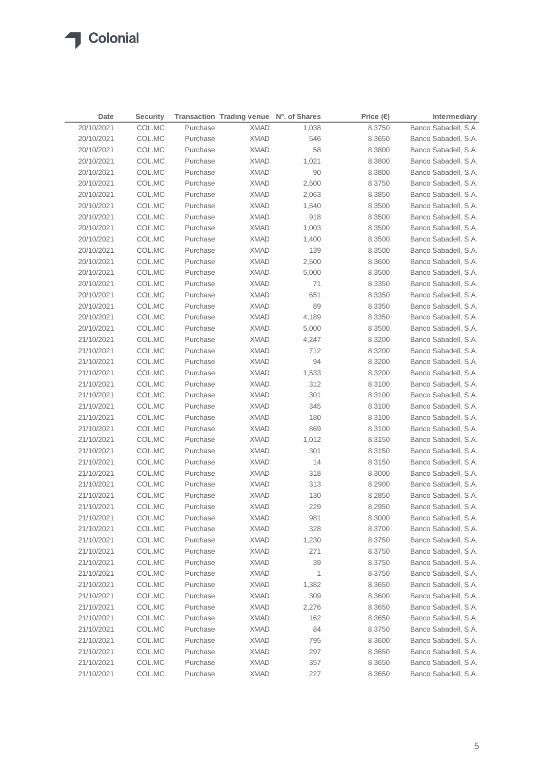| Date       | <b>Security</b> |          | Transaction Trading venue Nº. of Shares |       | Price $(\epsilon)$ | Intermediary         |
|------------|-----------------|----------|-----------------------------------------|-------|--------------------|----------------------|
| 20/10/2021 | COL.MC          | Purchase | <b>XMAD</b>                             | 1,038 | 8.3750             | Banco Sabadell, S.A. |
| 20/10/2021 | COL.MC          | Purchase | <b>XMAD</b>                             | 546   | 8.3650             | Banco Sabadell, S.A. |
| 20/10/2021 | COL.MC          | Purchase | <b>XMAD</b>                             | 58    | 8.3800             | Banco Sabadell, S.A. |
| 20/10/2021 | COL.MC          | Purchase | <b>XMAD</b>                             | 1,021 | 8.3800             | Banco Sabadell, S.A. |
| 20/10/2021 | COL.MC          | Purchase | <b>XMAD</b>                             | 90    | 8.3800             | Banco Sabadell, S.A. |
| 20/10/2021 | COL.MC          | Purchase | <b>XMAD</b>                             | 2,500 | 8.3750             | Banco Sabadell, S.A. |
| 20/10/2021 | COL.MC          | Purchase | <b>XMAD</b>                             | 2,063 | 8.3850             | Banco Sabadell, S.A. |
| 20/10/2021 | COL.MC          | Purchase | <b>XMAD</b>                             | 1,540 | 8.3500             | Banco Sabadell, S.A. |
| 20/10/2021 | COL.MC          | Purchase | <b>XMAD</b>                             | 918   | 8.3500             | Banco Sabadell, S.A. |
| 20/10/2021 | COL.MC          | Purchase | <b>XMAD</b>                             | 1,003 | 8.3500             | Banco Sabadell, S.A. |
| 20/10/2021 | COL.MC          | Purchase | <b>XMAD</b>                             | 1,400 | 8.3500             | Banco Sabadell, S.A. |
| 20/10/2021 | COL.MC          | Purchase | <b>XMAD</b>                             | 139   | 8.3500             | Banco Sabadell, S.A. |
| 20/10/2021 | COL.MC          | Purchase | <b>XMAD</b>                             | 2,500 | 8.3600             | Banco Sabadell, S.A. |
| 20/10/2021 | COL.MC          | Purchase | <b>XMAD</b>                             | 5,000 | 8.3500             | Banco Sabadell, S.A. |
| 20/10/2021 | COL.MC          | Purchase | <b>XMAD</b>                             | 71    | 8.3350             | Banco Sabadell, S.A. |
| 20/10/2021 | COL.MC          | Purchase | <b>XMAD</b>                             | 651   | 8.3350             | Banco Sabadell, S.A. |
| 20/10/2021 | COL.MC          | Purchase | <b>XMAD</b>                             | 89    | 8.3350             | Banco Sabadell, S.A. |
| 20/10/2021 | COL.MC          | Purchase | <b>XMAD</b>                             | 4,189 | 8.3350             | Banco Sabadell, S.A. |
| 20/10/2021 | COL.MC          | Purchase | <b>XMAD</b>                             | 5,000 | 8.3500             | Banco Sabadell, S.A. |
| 21/10/2021 | COL.MC          | Purchase | <b>XMAD</b>                             | 4,247 | 8.3200             | Banco Sabadell, S.A. |
| 21/10/2021 | COL.MC          | Purchase | <b>XMAD</b>                             | 712   | 8.3200             | Banco Sabadell, S.A. |
| 21/10/2021 | COL.MC          | Purchase | <b>XMAD</b>                             | 94    | 8.3200             | Banco Sabadell, S.A. |
| 21/10/2021 | COL.MC          | Purchase | <b>XMAD</b>                             | 1,533 | 8.3200             | Banco Sabadell, S.A. |
| 21/10/2021 | COL.MC          | Purchase | <b>XMAD</b>                             | 312   | 8.3100             | Banco Sabadell, S.A. |
| 21/10/2021 | COL.MC          | Purchase | XMAD                                    | 301   | 8.3100             | Banco Sabadell, S.A. |
| 21/10/2021 | COL.MC          | Purchase | XMAD                                    | 345   | 8.3100             | Banco Sabadell, S.A. |
| 21/10/2021 | COL.MC          | Purchase | <b>XMAD</b>                             | 180   | 8.3100             | Banco Sabadell, S.A. |
| 21/10/2021 | COL.MC          | Purchase | XMAD                                    | 869   | 8.3100             | Banco Sabadell, S.A. |
| 21/10/2021 | COL.MC          | Purchase | <b>XMAD</b>                             | 1,012 | 8.3150             | Banco Sabadell, S.A. |
| 21/10/2021 | COL.MC          | Purchase | <b>XMAD</b>                             | 301   | 8.3150             | Banco Sabadell, S.A. |
| 21/10/2021 | COL.MC          | Purchase | <b>XMAD</b>                             | 14    | 8.3150             | Banco Sabadell, S.A. |
| 21/10/2021 | COL.MC          | Purchase | <b>XMAD</b>                             | 318   | 8.3000             | Banco Sabadell, S.A. |
| 21/10/2021 | COL.MC          | Purchase | <b>XMAD</b>                             | 313   | 8.2900             | Banco Sabadell, S.A. |
| 21/10/2021 | COL.MC          | Purchase | <b>XMAD</b>                             | 130   | 8.2850             | Banco Sabadell, S.A. |
| 21/10/2021 | COL.MC          | Purchase | <b>XMAD</b>                             | 229   | 8.2950             | Banco Sabadell, S.A. |
| 21/10/2021 | COL.MC          | Purchase | <b>XMAD</b>                             | 981   | 8.3000             | Banco Sabadell, S.A. |
| 21/10/2021 | COL.MC          | Purchase | <b>XMAD</b>                             | 328   | 8.3700             | Banco Sabadell, S.A. |
| 21/10/2021 | COL.MC          | Purchase | <b>XMAD</b>                             | 1,230 | 8.3750             | Banco Sabadell, S.A. |
| 21/10/2021 | COL.MC          | Purchase | <b>XMAD</b>                             | 271   | 8.3750             | Banco Sabadell, S.A. |
| 21/10/2021 | COL.MC          | Purchase | <b>XMAD</b>                             | 39    | 8.3750             | Banco Sabadell, S.A. |
| 21/10/2021 | COL.MC          | Purchase | <b>XMAD</b>                             | 1     | 8.3750             | Banco Sabadell, S.A. |
| 21/10/2021 | COL.MC          | Purchase | <b>XMAD</b>                             | 1,382 | 8.3650             | Banco Sabadell, S.A. |
| 21/10/2021 | COL.MC          | Purchase | <b>XMAD</b>                             | 309   | 8.3600             | Banco Sabadell, S.A. |
| 21/10/2021 | COL.MC          | Purchase | <b>XMAD</b>                             | 2,276 | 8.3650             | Banco Sabadell, S.A. |
| 21/10/2021 | COL.MC          | Purchase | <b>XMAD</b>                             | 162   | 8.3650             | Banco Sabadell, S.A. |
| 21/10/2021 | COL.MC          | Purchase | <b>XMAD</b>                             | 84    | 8.3750             | Banco Sabadell, S.A. |
| 21/10/2021 | COL.MC          | Purchase | <b>XMAD</b>                             | 795   | 8.3600             | Banco Sabadell, S.A. |
| 21/10/2021 | COL.MC          | Purchase | <b>XMAD</b>                             | 297   | 8.3650             | Banco Sabadell, S.A. |
| 21/10/2021 | COL.MC          | Purchase | <b>XMAD</b>                             | 357   | 8.3650             | Banco Sabadell, S.A. |
| 21/10/2021 | COL.MC          | Purchase | <b>XMAD</b>                             | 227   | 8.3650             | Banco Sabadell, S.A. |
|            |                 |          |                                         |       |                    |                      |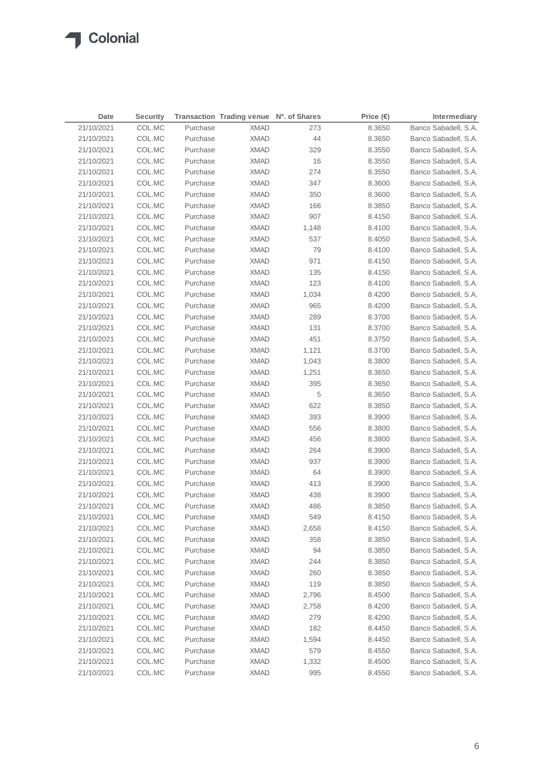| Date       | <b>Security</b> |          | Transaction Trading venue Nº. of Shares |       | Price $(\epsilon)$ | Intermediary         |
|------------|-----------------|----------|-----------------------------------------|-------|--------------------|----------------------|
| 21/10/2021 | COL.MC          | Purchase | <b>XMAD</b>                             | 273   | 8.3650             | Banco Sabadell, S.A. |
| 21/10/2021 | COL.MC          | Purchase | <b>XMAD</b>                             | 44    | 8.3650             | Banco Sabadell, S.A. |
| 21/10/2021 | COL.MC          | Purchase | <b>XMAD</b>                             | 329   | 8.3550             | Banco Sabadell, S.A. |
| 21/10/2021 | COL.MC          | Purchase | <b>XMAD</b>                             | 16    | 8.3550             | Banco Sabadell, S.A. |
| 21/10/2021 | COL.MC          | Purchase | <b>XMAD</b>                             | 274   | 8.3550             | Banco Sabadell, S.A. |
| 21/10/2021 | COL.MC          | Purchase | <b>XMAD</b>                             | 347   | 8.3600             | Banco Sabadell, S.A. |
| 21/10/2021 | COL.MC          | Purchase | <b>XMAD</b>                             | 350   | 8.3600             | Banco Sabadell, S.A. |
| 21/10/2021 | COL.MC          | Purchase | <b>XMAD</b>                             | 166   | 8.3850             | Banco Sabadell, S.A. |
| 21/10/2021 | COL.MC          | Purchase | <b>XMAD</b>                             | 907   | 8.4150             | Banco Sabadell, S.A. |
| 21/10/2021 | COL.MC          | Purchase | <b>XMAD</b>                             | 1,148 | 8.4100             | Banco Sabadell, S.A. |
| 21/10/2021 | COL.MC          | Purchase | <b>XMAD</b>                             | 537   | 8.4050             | Banco Sabadell, S.A. |
| 21/10/2021 | COL.MC          | Purchase | <b>XMAD</b>                             | 79    | 8.4100             | Banco Sabadell, S.A. |
| 21/10/2021 | COL.MC          | Purchase | <b>XMAD</b>                             | 971   | 8.4150             | Banco Sabadell, S.A. |
| 21/10/2021 | COL.MC          | Purchase | <b>XMAD</b>                             | 135   | 8.4150             | Banco Sabadell, S.A. |
| 21/10/2021 | COL.MC          | Purchase | <b>XMAD</b>                             | 123   | 8.4100             | Banco Sabadell, S.A. |
| 21/10/2021 | COL.MC          | Purchase | <b>XMAD</b>                             | 1,034 | 8.4200             | Banco Sabadell, S.A. |
| 21/10/2021 | COL.MC          | Purchase | <b>XMAD</b>                             | 965   | 8.4200             | Banco Sabadell, S.A. |
| 21/10/2021 | COL.MC          | Purchase | <b>XMAD</b>                             | 289   | 8.3700             | Banco Sabadell, S.A. |
| 21/10/2021 | COL.MC          | Purchase | <b>XMAD</b>                             | 131   | 8.3700             | Banco Sabadell, S.A. |
| 21/10/2021 | COL.MC          | Purchase | <b>XMAD</b>                             | 451   | 8.3750             | Banco Sabadell, S.A. |
| 21/10/2021 | COL.MC          | Purchase | <b>XMAD</b>                             | 1,121 | 8.3700             | Banco Sabadell, S.A. |
| 21/10/2021 | COL.MC          | Purchase | <b>XMAD</b>                             | 1,043 | 8.3800             | Banco Sabadell, S.A. |
| 21/10/2021 | COL.MC          | Purchase | XMAD                                    | 1,251 | 8.3650             | Banco Sabadell, S.A. |
| 21/10/2021 | COL.MC          | Purchase | XMAD                                    | 395   | 8.3650             | Banco Sabadell, S.A. |
| 21/10/2021 | COL.MC          | Purchase | XMAD                                    | 5     | 8.3650             | Banco Sabadell, S.A. |
| 21/10/2021 | COL.MC          | Purchase | XMAD                                    | 622   | 8.3850             | Banco Sabadell, S.A. |
| 21/10/2021 | COL.MC          | Purchase | XMAD                                    | 393   | 8.3900             | Banco Sabadell, S.A. |
| 21/10/2021 | COL.MC          | Purchase | XMAD                                    | 556   | 8.3800             | Banco Sabadell, S.A. |
| 21/10/2021 | COL.MC          | Purchase | XMAD                                    | 456   | 8.3800             | Banco Sabadell, S.A. |
| 21/10/2021 | COL.MC          | Purchase | XMAD                                    | 264   | 8.3900             | Banco Sabadell, S.A. |
| 21/10/2021 | COL.MC          | Purchase | XMAD                                    | 937   | 8.3900             | Banco Sabadell, S.A. |
| 21/10/2021 | COL.MC          | Purchase | <b>XMAD</b>                             | 64    | 8.3900             | Banco Sabadell, S.A. |
| 21/10/2021 | COL.MC          | Purchase | XMAD                                    | 413   | 8.3900             | Banco Sabadell, S.A. |
| 21/10/2021 | COL.MC          | Purchase | <b>XMAD</b>                             | 438   | 8.3900             | Banco Sabadell, S.A. |
| 21/10/2021 | COL.MC          | Purchase | <b>XMAD</b>                             | 486   | 8.3850             | Banco Sabadell, S.A. |
| 21/10/2021 | COL.MC          | Purchase | <b>XMAD</b>                             | 549   | 8.4150             | Banco Sabadell, S.A. |
| 21/10/2021 | COL.MC          | Purchase | <b>XMAD</b>                             | 2,658 | 8.4150             | Banco Sabadell, S.A. |
| 21/10/2021 | COL.MC          | Purchase | <b>XMAD</b>                             | 358   | 8.3850             | Banco Sabadell, S.A. |
| 21/10/2021 | COL.MC          | Purchase | <b>XMAD</b>                             | 94    | 8.3850             | Banco Sabadell, S.A. |
| 21/10/2021 | COL.MC          | Purchase | <b>XMAD</b>                             | 244   | 8.3850             | Banco Sabadell, S.A. |
| 21/10/2021 | COL.MC          | Purchase | <b>XMAD</b>                             | 260   | 8.3850             | Banco Sabadell, S.A. |
| 21/10/2021 | COL.MC          | Purchase | <b>XMAD</b>                             | 119   | 8.3850             | Banco Sabadell, S.A. |
| 21/10/2021 | COL.MC          | Purchase | <b>XMAD</b>                             | 2,796 | 8.4500             | Banco Sabadell, S.A. |
| 21/10/2021 | COL.MC          | Purchase | <b>XMAD</b>                             | 2,758 | 8.4200             | Banco Sabadell, S.A. |
| 21/10/2021 | COL.MC          | Purchase | <b>XMAD</b>                             | 279   | 8.4200             | Banco Sabadell, S.A. |
| 21/10/2021 | COL.MC          | Purchase | <b>XMAD</b>                             | 182   | 8.4450             | Banco Sabadell, S.A. |
| 21/10/2021 | COL.MC          | Purchase | <b>XMAD</b>                             | 1,594 | 8.4450             | Banco Sabadell, S.A. |
| 21/10/2021 | COL.MC          | Purchase | <b>XMAD</b>                             | 579   | 8.4550             | Banco Sabadell, S.A. |
| 21/10/2021 | COL.MC          | Purchase | <b>XMAD</b>                             | 1,332 | 8.4500             | Banco Sabadell, S.A. |
| 21/10/2021 | COL.MC          | Purchase | <b>XMAD</b>                             | 995   | 8.4550             | Banco Sabadell, S.A. |
|            |                 |          |                                         |       |                    |                      |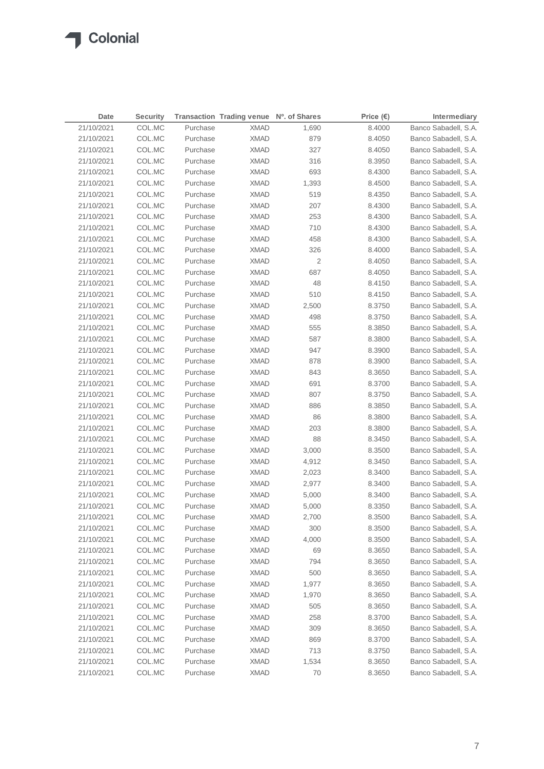| Date       | <b>Security</b> |          | Transaction Trading venue Nº. of Shares |                | Price $(\epsilon)$ | Intermediary         |
|------------|-----------------|----------|-----------------------------------------|----------------|--------------------|----------------------|
| 21/10/2021 | COL.MC          | Purchase | <b>XMAD</b>                             | 1,690          | 8.4000             | Banco Sabadell, S.A. |
| 21/10/2021 | COL.MC          | Purchase | <b>XMAD</b>                             | 879            | 8.4050             | Banco Sabadell, S.A. |
| 21/10/2021 | COL.MC          | Purchase | <b>XMAD</b>                             | 327            | 8.4050             | Banco Sabadell, S.A. |
| 21/10/2021 | COL.MC          | Purchase | <b>XMAD</b>                             | 316            | 8.3950             | Banco Sabadell, S.A. |
| 21/10/2021 | COL.MC          | Purchase | XMAD                                    | 693            | 8.4300             | Banco Sabadell, S.A. |
| 21/10/2021 | COL.MC          | Purchase | <b>XMAD</b>                             | 1,393          | 8.4500             | Banco Sabadell, S.A. |
| 21/10/2021 | COL.MC          | Purchase | <b>XMAD</b>                             | 519            | 8.4350             | Banco Sabadell, S.A. |
| 21/10/2021 | COL.MC          | Purchase | <b>XMAD</b>                             | 207            | 8.4300             | Banco Sabadell, S.A. |
| 21/10/2021 | COL.MC          | Purchase | <b>XMAD</b>                             | 253            | 8.4300             | Banco Sabadell, S.A. |
| 21/10/2021 | COL.MC          | Purchase | <b>XMAD</b>                             | 710            | 8.4300             | Banco Sabadell, S.A. |
| 21/10/2021 | COL.MC          | Purchase | XMAD                                    | 458            | 8.4300             | Banco Sabadell, S.A. |
| 21/10/2021 | COL.MC          | Purchase | <b>XMAD</b>                             | 326            | 8.4000             | Banco Sabadell, S.A. |
| 21/10/2021 | COL.MC          | Purchase | <b>XMAD</b>                             | $\overline{2}$ | 8.4050             | Banco Sabadell, S.A. |
| 21/10/2021 | COL.MC          | Purchase | <b>XMAD</b>                             | 687            | 8.4050             | Banco Sabadell, S.A. |
| 21/10/2021 | COL.MC          | Purchase | <b>XMAD</b>                             | 48             | 8.4150             | Banco Sabadell, S.A. |
| 21/10/2021 | COL.MC          | Purchase | XMAD                                    | 510            | 8.4150             | Banco Sabadell, S.A. |
| 21/10/2021 | COL.MC          | Purchase | XMAD                                    | 2,500          | 8.3750             | Banco Sabadell, S.A. |
| 21/10/2021 | COL.MC          | Purchase | XMAD                                    | 498            | 8.3750             | Banco Sabadell, S.A. |
| 21/10/2021 | COL.MC          | Purchase | XMAD                                    | 555            | 8.3850             | Banco Sabadell, S.A. |
| 21/10/2021 | COL.MC          | Purchase | XMAD                                    | 587            | 8.3800             | Banco Sabadell, S.A. |
| 21/10/2021 | COL.MC          | Purchase | <b>XMAD</b>                             | 947            | 8.3900             | Banco Sabadell, S.A. |
| 21/10/2021 | COL.MC          | Purchase | <b>XMAD</b>                             | 878            | 8.3900             | Banco Sabadell, S.A. |
| 21/10/2021 | COL.MC          | Purchase | <b>XMAD</b>                             | 843            | 8.3650             | Banco Sabadell, S.A. |
| 21/10/2021 | COL.MC          | Purchase | <b>XMAD</b>                             | 691            | 8.3700             | Banco Sabadell, S.A. |
| 21/10/2021 | COL.MC          | Purchase | <b>XMAD</b>                             | 807            | 8.3750             | Banco Sabadell, S.A. |
| 21/10/2021 | COL.MC          | Purchase | <b>XMAD</b>                             | 886            | 8.3850             | Banco Sabadell, S.A. |
| 21/10/2021 | COL.MC          | Purchase | XMAD                                    | 86             | 8.3800             | Banco Sabadell, S.A. |
| 21/10/2021 | COL.MC          | Purchase | <b>XMAD</b>                             | 203            | 8.3800             | Banco Sabadell, S.A. |
| 21/10/2021 | COL.MC          | Purchase | XMAD                                    | 88             | 8.3450             | Banco Sabadell, S.A. |
| 21/10/2021 | COL.MC          | Purchase | XMAD                                    | 3,000          | 8.3500             | Banco Sabadell, S.A. |
| 21/10/2021 | COL.MC          | Purchase | XMAD                                    | 4,912          | 8.3450             | Banco Sabadell, S.A. |
| 21/10/2021 | COL.MC          | Purchase | XMAD                                    | 2,023          | 8.3400             | Banco Sabadell, S.A. |
| 21/10/2021 | COL.MC          | Purchase | XMAD                                    | 2,977          | 8.3400             | Banco Sabadell, S.A. |
| 21/10/2021 | COL.MC          | Purchase | <b>XMAD</b>                             | 5,000          | 8.3400             | Banco Sabadell, S.A. |
| 21/10/2021 | COL.MC          | Purchase | XMAD                                    | 5,000          | 8.3350             | Banco Sabadell, S.A. |
| 21/10/2021 | COL.MC          | Purchase | <b>XMAD</b>                             | 2,700          | 8.3500             | Banco Sabadell, S.A. |
| 21/10/2021 | COL.MC          | Purchase | <b>XMAD</b>                             | 300            | 8.3500             | Banco Sabadell, S.A. |
| 21/10/2021 | COL.MC          | Purchase | <b>XMAD</b>                             | 4,000          | 8.3500             | Banco Sabadell, S.A. |
| 21/10/2021 | COL.MC          | Purchase | <b>XMAD</b>                             | 69             | 8.3650             | Banco Sabadell, S.A. |
| 21/10/2021 | COL.MC          | Purchase | <b>XMAD</b>                             | 794            | 8.3650             | Banco Sabadell, S.A. |
| 21/10/2021 | COL.MC          | Purchase | <b>XMAD</b>                             | 500            | 8.3650             | Banco Sabadell, S.A. |
| 21/10/2021 | COL.MC          | Purchase | <b>XMAD</b>                             | 1,977          | 8.3650             | Banco Sabadell, S.A. |
| 21/10/2021 | COL.MC          | Purchase | <b>XMAD</b>                             | 1,970          | 8.3650             | Banco Sabadell, S.A. |
| 21/10/2021 | COL.MC          | Purchase | <b>XMAD</b>                             | 505            | 8.3650             | Banco Sabadell, S.A. |
| 21/10/2021 | COL.MC          | Purchase | <b>XMAD</b>                             | 258            | 8.3700             | Banco Sabadell, S.A. |
| 21/10/2021 | COL.MC          | Purchase | <b>XMAD</b>                             | 309            | 8.3650             | Banco Sabadell, S.A. |
| 21/10/2021 | COL.MC          | Purchase | <b>XMAD</b>                             | 869            | 8.3700             | Banco Sabadell, S.A. |
| 21/10/2021 | COL.MC          | Purchase | XMAD                                    | 713            | 8.3750             | Banco Sabadell, S.A. |
| 21/10/2021 | COL.MC          | Purchase | <b>XMAD</b>                             | 1,534          | 8.3650             | Banco Sabadell, S.A. |
| 21/10/2021 | COL.MC          | Purchase | <b>XMAD</b>                             | 70             | 8.3650             | Banco Sabadell, S.A. |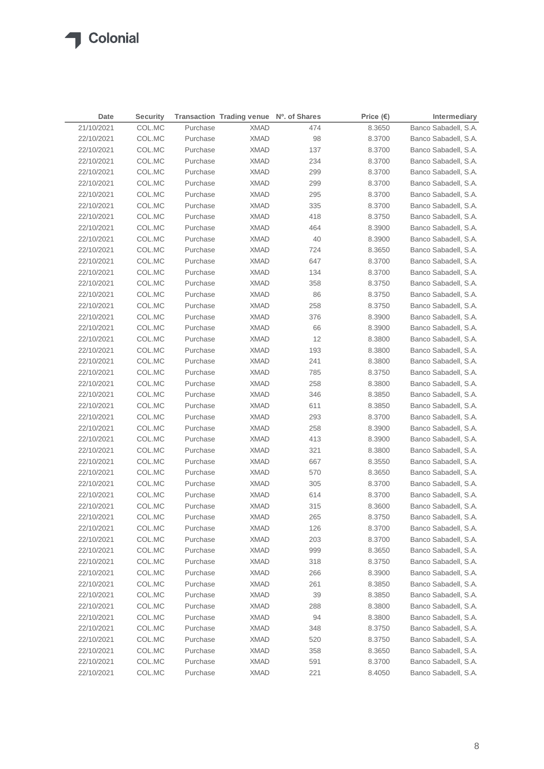| 21/10/2021<br>COL.MC<br>Purchase<br><b>XMAD</b><br>474<br>Banco Sabadell, S.A.<br>8.3650<br>22/10/2021<br>COL.MC<br>Purchase<br><b>XMAD</b><br>98<br>8.3700<br>Banco Sabadell, S.A.<br>137<br>22/10/2021<br>COL.MC<br>Purchase<br><b>XMAD</b><br>Banco Sabadell, S.A.<br>8.3700<br>234<br>22/10/2021<br>COL.MC<br>Purchase<br><b>XMAD</b><br>8.3700<br>Banco Sabadell, S.A.<br>22/10/2021<br>COL.MC<br>Purchase<br><b>XMAD</b><br>299<br>Banco Sabadell, S.A.<br>8.3700<br>22/10/2021<br>COL.MC<br>Purchase<br><b>XMAD</b><br>299<br>8.3700<br>Banco Sabadell, S.A.<br>22/10/2021<br>COL.MC<br>Purchase<br><b>XMAD</b><br>295<br>Banco Sabadell, S.A.<br>8.3700<br>335<br>Banco Sabadell, S.A.<br>22/10/2021<br>COL.MC<br>Purchase<br><b>XMAD</b><br>8.3700<br>418<br>22/10/2021<br>COL.MC<br>Purchase<br><b>XMAD</b><br>8.3750<br>Banco Sabadell, S.A.<br>22/10/2021<br>COL.MC<br>Purchase<br><b>XMAD</b><br>464<br>Banco Sabadell, S.A.<br>8.3900<br>40<br>22/10/2021<br>COL.MC<br>Purchase<br><b>XMAD</b><br>8.3900<br>Banco Sabadell, S.A.<br>22/10/2021<br>COL.MC<br>Purchase<br><b>XMAD</b><br>724<br>Banco Sabadell, S.A.<br>8.3650<br>22/10/2021<br>COL.MC<br>Purchase<br><b>XMAD</b><br>647<br>Banco Sabadell, S.A.<br>8.3700<br>22/10/2021<br>COL.MC<br>Purchase<br><b>XMAD</b><br>134<br>8.3700<br>Banco Sabadell, S.A.<br>22/10/2021<br>COL.MC<br>Purchase<br><b>XMAD</b><br>358<br>8.3750<br>Banco Sabadell, S.A.<br>86<br>22/10/2021<br>COL.MC<br>Purchase<br><b>XMAD</b><br>8.3750<br>Banco Sabadell, S.A.<br>258<br>22/10/2021<br>COL.MC<br>Purchase<br><b>XMAD</b><br>8.3750<br>Banco Sabadell, S.A.<br>22/10/2021<br>COL.MC<br>Purchase<br><b>XMAD</b><br>376<br>8.3900<br>Banco Sabadell, S.A.<br>22/10/2021<br>COL.MC<br>Purchase<br><b>XMAD</b><br>66<br>8.3900<br>Banco Sabadell, S.A.<br>12<br>22/10/2021<br>COL.MC<br>Purchase<br><b>XMAD</b><br>8.3800<br>Banco Sabadell, S.A.<br>22/10/2021<br>193<br>Banco Sabadell, S.A.<br>COL.MC<br>Purchase<br>XMAD<br>8.3800<br>22/10/2021<br>COL.MC<br>Purchase<br><b>XMAD</b><br>241<br>Banco Sabadell, S.A.<br>8.3800<br>Purchase<br>785<br>Banco Sabadell, S.A.<br>22/10/2021<br>COL.MC<br>XMAD<br>8.3750<br>22/10/2021<br>Purchase<br>258<br>Banco Sabadell, S.A.<br>COL.MC<br>XMAD<br>8.3800<br>22/10/2021<br>Purchase<br>346<br>Banco Sabadell, S.A.<br>COL.MC<br>XMAD<br>8.3850<br>Banco Sabadell, S.A.<br>22/10/2021<br>COL.MC<br>Purchase<br>XMAD<br>611<br>8.3850<br>293<br>Banco Sabadell, S.A.<br>22/10/2021<br>COL.MC<br>Purchase<br>XMAD<br>8.3700<br>258<br>Banco Sabadell, S.A.<br>22/10/2021<br>COL.MC<br>Purchase<br>XMAD<br>8.3900<br>22/10/2021<br>413<br>Banco Sabadell, S.A.<br>COL.MC<br>Purchase<br>XMAD<br>8.3900<br>22/10/2021<br>COL.MC<br>Purchase<br>321<br>Banco Sabadell, S.A.<br>XMAD<br>8.3800<br>22/10/2021<br>COL.MC<br>Purchase<br>667<br>Banco Sabadell, S.A.<br>XMAD<br>8.3550<br>22/10/2021<br>COL.MC<br>Purchase<br>570<br>8.3650<br>Banco Sabadell, S.A.<br>XMAD<br>22/10/2021<br>COL.MC<br>Purchase<br>305<br>Banco Sabadell, S.A.<br>XMAD<br>8.3700<br>Banco Sabadell, S.A.<br>22/10/2021<br>COL.MC<br>Purchase<br><b>XMAD</b><br>614<br>8.3700<br>Banco Sabadell, S.A.<br>22/10/2021<br>COL.MC<br>Purchase<br><b>XMAD</b><br>315<br>8.3600<br>COL.MC<br><b>XMAD</b><br>265<br>22/10/2021<br>8.3750<br>Banco Sabadell, S.A.<br>Purchase<br>22/10/2021<br>COL.MC<br>Purchase<br><b>XMAD</b><br>126<br>8.3700<br>Banco Sabadell, S.A.<br>203<br>Banco Sabadell, S.A.<br>22/10/2021<br>COL.MC<br>Purchase<br><b>XMAD</b><br>8.3700<br>22/10/2021<br>COL.MC<br>Purchase<br><b>XMAD</b><br>999<br>Banco Sabadell, S.A.<br>8.3650<br>Banco Sabadell, S.A.<br>22/10/2021<br>COL.MC<br>Purchase<br><b>XMAD</b><br>318<br>8.3750<br>22/10/2021<br>COL.MC<br>Purchase<br><b>XMAD</b><br>266<br>8.3900<br>Banco Sabadell, S.A. | Date       | <b>Security</b> |          | Transaction Trading venue Nº. of Shares |     | Price $(\epsilon)$ | Intermediary         |
|---------------------------------------------------------------------------------------------------------------------------------------------------------------------------------------------------------------------------------------------------------------------------------------------------------------------------------------------------------------------------------------------------------------------------------------------------------------------------------------------------------------------------------------------------------------------------------------------------------------------------------------------------------------------------------------------------------------------------------------------------------------------------------------------------------------------------------------------------------------------------------------------------------------------------------------------------------------------------------------------------------------------------------------------------------------------------------------------------------------------------------------------------------------------------------------------------------------------------------------------------------------------------------------------------------------------------------------------------------------------------------------------------------------------------------------------------------------------------------------------------------------------------------------------------------------------------------------------------------------------------------------------------------------------------------------------------------------------------------------------------------------------------------------------------------------------------------------------------------------------------------------------------------------------------------------------------------------------------------------------------------------------------------------------------------------------------------------------------------------------------------------------------------------------------------------------------------------------------------------------------------------------------------------------------------------------------------------------------------------------------------------------------------------------------------------------------------------------------------------------------------------------------------------------------------------------------------------------------------------------------------------------------------------------------------------------------------------------------------------------------------------------------------------------------------------------------------------------------------------------------------------------------------------------------------------------------------------------------------------------------------------------------------------------------------------------------------------------------------------------------------------------------------------------------------------------------------------------------------------------------------------------------------------------------------------------------------------------------------------------------------------------------------------------------------------------------------------------------------------------------------------------------------------------------------------------------------------------------------------------------------------------------------------------------------------------------------------------------------------------------------------------------------------------------------------------------------|------------|-----------------|----------|-----------------------------------------|-----|--------------------|----------------------|
|                                                                                                                                                                                                                                                                                                                                                                                                                                                                                                                                                                                                                                                                                                                                                                                                                                                                                                                                                                                                                                                                                                                                                                                                                                                                                                                                                                                                                                                                                                                                                                                                                                                                                                                                                                                                                                                                                                                                                                                                                                                                                                                                                                                                                                                                                                                                                                                                                                                                                                                                                                                                                                                                                                                                                                                                                                                                                                                                                                                                                                                                                                                                                                                                                                                                                                                                                                                                                                                                                                                                                                                                                                                                                                                                                                                                                                 |            |                 |          |                                         |     |                    |                      |
|                                                                                                                                                                                                                                                                                                                                                                                                                                                                                                                                                                                                                                                                                                                                                                                                                                                                                                                                                                                                                                                                                                                                                                                                                                                                                                                                                                                                                                                                                                                                                                                                                                                                                                                                                                                                                                                                                                                                                                                                                                                                                                                                                                                                                                                                                                                                                                                                                                                                                                                                                                                                                                                                                                                                                                                                                                                                                                                                                                                                                                                                                                                                                                                                                                                                                                                                                                                                                                                                                                                                                                                                                                                                                                                                                                                                                                 |            |                 |          |                                         |     |                    |                      |
|                                                                                                                                                                                                                                                                                                                                                                                                                                                                                                                                                                                                                                                                                                                                                                                                                                                                                                                                                                                                                                                                                                                                                                                                                                                                                                                                                                                                                                                                                                                                                                                                                                                                                                                                                                                                                                                                                                                                                                                                                                                                                                                                                                                                                                                                                                                                                                                                                                                                                                                                                                                                                                                                                                                                                                                                                                                                                                                                                                                                                                                                                                                                                                                                                                                                                                                                                                                                                                                                                                                                                                                                                                                                                                                                                                                                                                 |            |                 |          |                                         |     |                    |                      |
|                                                                                                                                                                                                                                                                                                                                                                                                                                                                                                                                                                                                                                                                                                                                                                                                                                                                                                                                                                                                                                                                                                                                                                                                                                                                                                                                                                                                                                                                                                                                                                                                                                                                                                                                                                                                                                                                                                                                                                                                                                                                                                                                                                                                                                                                                                                                                                                                                                                                                                                                                                                                                                                                                                                                                                                                                                                                                                                                                                                                                                                                                                                                                                                                                                                                                                                                                                                                                                                                                                                                                                                                                                                                                                                                                                                                                                 |            |                 |          |                                         |     |                    |                      |
|                                                                                                                                                                                                                                                                                                                                                                                                                                                                                                                                                                                                                                                                                                                                                                                                                                                                                                                                                                                                                                                                                                                                                                                                                                                                                                                                                                                                                                                                                                                                                                                                                                                                                                                                                                                                                                                                                                                                                                                                                                                                                                                                                                                                                                                                                                                                                                                                                                                                                                                                                                                                                                                                                                                                                                                                                                                                                                                                                                                                                                                                                                                                                                                                                                                                                                                                                                                                                                                                                                                                                                                                                                                                                                                                                                                                                                 |            |                 |          |                                         |     |                    |                      |
|                                                                                                                                                                                                                                                                                                                                                                                                                                                                                                                                                                                                                                                                                                                                                                                                                                                                                                                                                                                                                                                                                                                                                                                                                                                                                                                                                                                                                                                                                                                                                                                                                                                                                                                                                                                                                                                                                                                                                                                                                                                                                                                                                                                                                                                                                                                                                                                                                                                                                                                                                                                                                                                                                                                                                                                                                                                                                                                                                                                                                                                                                                                                                                                                                                                                                                                                                                                                                                                                                                                                                                                                                                                                                                                                                                                                                                 |            |                 |          |                                         |     |                    |                      |
|                                                                                                                                                                                                                                                                                                                                                                                                                                                                                                                                                                                                                                                                                                                                                                                                                                                                                                                                                                                                                                                                                                                                                                                                                                                                                                                                                                                                                                                                                                                                                                                                                                                                                                                                                                                                                                                                                                                                                                                                                                                                                                                                                                                                                                                                                                                                                                                                                                                                                                                                                                                                                                                                                                                                                                                                                                                                                                                                                                                                                                                                                                                                                                                                                                                                                                                                                                                                                                                                                                                                                                                                                                                                                                                                                                                                                                 |            |                 |          |                                         |     |                    |                      |
|                                                                                                                                                                                                                                                                                                                                                                                                                                                                                                                                                                                                                                                                                                                                                                                                                                                                                                                                                                                                                                                                                                                                                                                                                                                                                                                                                                                                                                                                                                                                                                                                                                                                                                                                                                                                                                                                                                                                                                                                                                                                                                                                                                                                                                                                                                                                                                                                                                                                                                                                                                                                                                                                                                                                                                                                                                                                                                                                                                                                                                                                                                                                                                                                                                                                                                                                                                                                                                                                                                                                                                                                                                                                                                                                                                                                                                 |            |                 |          |                                         |     |                    |                      |
|                                                                                                                                                                                                                                                                                                                                                                                                                                                                                                                                                                                                                                                                                                                                                                                                                                                                                                                                                                                                                                                                                                                                                                                                                                                                                                                                                                                                                                                                                                                                                                                                                                                                                                                                                                                                                                                                                                                                                                                                                                                                                                                                                                                                                                                                                                                                                                                                                                                                                                                                                                                                                                                                                                                                                                                                                                                                                                                                                                                                                                                                                                                                                                                                                                                                                                                                                                                                                                                                                                                                                                                                                                                                                                                                                                                                                                 |            |                 |          |                                         |     |                    |                      |
|                                                                                                                                                                                                                                                                                                                                                                                                                                                                                                                                                                                                                                                                                                                                                                                                                                                                                                                                                                                                                                                                                                                                                                                                                                                                                                                                                                                                                                                                                                                                                                                                                                                                                                                                                                                                                                                                                                                                                                                                                                                                                                                                                                                                                                                                                                                                                                                                                                                                                                                                                                                                                                                                                                                                                                                                                                                                                                                                                                                                                                                                                                                                                                                                                                                                                                                                                                                                                                                                                                                                                                                                                                                                                                                                                                                                                                 |            |                 |          |                                         |     |                    |                      |
|                                                                                                                                                                                                                                                                                                                                                                                                                                                                                                                                                                                                                                                                                                                                                                                                                                                                                                                                                                                                                                                                                                                                                                                                                                                                                                                                                                                                                                                                                                                                                                                                                                                                                                                                                                                                                                                                                                                                                                                                                                                                                                                                                                                                                                                                                                                                                                                                                                                                                                                                                                                                                                                                                                                                                                                                                                                                                                                                                                                                                                                                                                                                                                                                                                                                                                                                                                                                                                                                                                                                                                                                                                                                                                                                                                                                                                 |            |                 |          |                                         |     |                    |                      |
|                                                                                                                                                                                                                                                                                                                                                                                                                                                                                                                                                                                                                                                                                                                                                                                                                                                                                                                                                                                                                                                                                                                                                                                                                                                                                                                                                                                                                                                                                                                                                                                                                                                                                                                                                                                                                                                                                                                                                                                                                                                                                                                                                                                                                                                                                                                                                                                                                                                                                                                                                                                                                                                                                                                                                                                                                                                                                                                                                                                                                                                                                                                                                                                                                                                                                                                                                                                                                                                                                                                                                                                                                                                                                                                                                                                                                                 |            |                 |          |                                         |     |                    |                      |
|                                                                                                                                                                                                                                                                                                                                                                                                                                                                                                                                                                                                                                                                                                                                                                                                                                                                                                                                                                                                                                                                                                                                                                                                                                                                                                                                                                                                                                                                                                                                                                                                                                                                                                                                                                                                                                                                                                                                                                                                                                                                                                                                                                                                                                                                                                                                                                                                                                                                                                                                                                                                                                                                                                                                                                                                                                                                                                                                                                                                                                                                                                                                                                                                                                                                                                                                                                                                                                                                                                                                                                                                                                                                                                                                                                                                                                 |            |                 |          |                                         |     |                    |                      |
|                                                                                                                                                                                                                                                                                                                                                                                                                                                                                                                                                                                                                                                                                                                                                                                                                                                                                                                                                                                                                                                                                                                                                                                                                                                                                                                                                                                                                                                                                                                                                                                                                                                                                                                                                                                                                                                                                                                                                                                                                                                                                                                                                                                                                                                                                                                                                                                                                                                                                                                                                                                                                                                                                                                                                                                                                                                                                                                                                                                                                                                                                                                                                                                                                                                                                                                                                                                                                                                                                                                                                                                                                                                                                                                                                                                                                                 |            |                 |          |                                         |     |                    |                      |
|                                                                                                                                                                                                                                                                                                                                                                                                                                                                                                                                                                                                                                                                                                                                                                                                                                                                                                                                                                                                                                                                                                                                                                                                                                                                                                                                                                                                                                                                                                                                                                                                                                                                                                                                                                                                                                                                                                                                                                                                                                                                                                                                                                                                                                                                                                                                                                                                                                                                                                                                                                                                                                                                                                                                                                                                                                                                                                                                                                                                                                                                                                                                                                                                                                                                                                                                                                                                                                                                                                                                                                                                                                                                                                                                                                                                                                 |            |                 |          |                                         |     |                    |                      |
|                                                                                                                                                                                                                                                                                                                                                                                                                                                                                                                                                                                                                                                                                                                                                                                                                                                                                                                                                                                                                                                                                                                                                                                                                                                                                                                                                                                                                                                                                                                                                                                                                                                                                                                                                                                                                                                                                                                                                                                                                                                                                                                                                                                                                                                                                                                                                                                                                                                                                                                                                                                                                                                                                                                                                                                                                                                                                                                                                                                                                                                                                                                                                                                                                                                                                                                                                                                                                                                                                                                                                                                                                                                                                                                                                                                                                                 |            |                 |          |                                         |     |                    |                      |
|                                                                                                                                                                                                                                                                                                                                                                                                                                                                                                                                                                                                                                                                                                                                                                                                                                                                                                                                                                                                                                                                                                                                                                                                                                                                                                                                                                                                                                                                                                                                                                                                                                                                                                                                                                                                                                                                                                                                                                                                                                                                                                                                                                                                                                                                                                                                                                                                                                                                                                                                                                                                                                                                                                                                                                                                                                                                                                                                                                                                                                                                                                                                                                                                                                                                                                                                                                                                                                                                                                                                                                                                                                                                                                                                                                                                                                 |            |                 |          |                                         |     |                    |                      |
|                                                                                                                                                                                                                                                                                                                                                                                                                                                                                                                                                                                                                                                                                                                                                                                                                                                                                                                                                                                                                                                                                                                                                                                                                                                                                                                                                                                                                                                                                                                                                                                                                                                                                                                                                                                                                                                                                                                                                                                                                                                                                                                                                                                                                                                                                                                                                                                                                                                                                                                                                                                                                                                                                                                                                                                                                                                                                                                                                                                                                                                                                                                                                                                                                                                                                                                                                                                                                                                                                                                                                                                                                                                                                                                                                                                                                                 |            |                 |          |                                         |     |                    |                      |
|                                                                                                                                                                                                                                                                                                                                                                                                                                                                                                                                                                                                                                                                                                                                                                                                                                                                                                                                                                                                                                                                                                                                                                                                                                                                                                                                                                                                                                                                                                                                                                                                                                                                                                                                                                                                                                                                                                                                                                                                                                                                                                                                                                                                                                                                                                                                                                                                                                                                                                                                                                                                                                                                                                                                                                                                                                                                                                                                                                                                                                                                                                                                                                                                                                                                                                                                                                                                                                                                                                                                                                                                                                                                                                                                                                                                                                 |            |                 |          |                                         |     |                    |                      |
|                                                                                                                                                                                                                                                                                                                                                                                                                                                                                                                                                                                                                                                                                                                                                                                                                                                                                                                                                                                                                                                                                                                                                                                                                                                                                                                                                                                                                                                                                                                                                                                                                                                                                                                                                                                                                                                                                                                                                                                                                                                                                                                                                                                                                                                                                                                                                                                                                                                                                                                                                                                                                                                                                                                                                                                                                                                                                                                                                                                                                                                                                                                                                                                                                                                                                                                                                                                                                                                                                                                                                                                                                                                                                                                                                                                                                                 |            |                 |          |                                         |     |                    |                      |
|                                                                                                                                                                                                                                                                                                                                                                                                                                                                                                                                                                                                                                                                                                                                                                                                                                                                                                                                                                                                                                                                                                                                                                                                                                                                                                                                                                                                                                                                                                                                                                                                                                                                                                                                                                                                                                                                                                                                                                                                                                                                                                                                                                                                                                                                                                                                                                                                                                                                                                                                                                                                                                                                                                                                                                                                                                                                                                                                                                                                                                                                                                                                                                                                                                                                                                                                                                                                                                                                                                                                                                                                                                                                                                                                                                                                                                 |            |                 |          |                                         |     |                    |                      |
|                                                                                                                                                                                                                                                                                                                                                                                                                                                                                                                                                                                                                                                                                                                                                                                                                                                                                                                                                                                                                                                                                                                                                                                                                                                                                                                                                                                                                                                                                                                                                                                                                                                                                                                                                                                                                                                                                                                                                                                                                                                                                                                                                                                                                                                                                                                                                                                                                                                                                                                                                                                                                                                                                                                                                                                                                                                                                                                                                                                                                                                                                                                                                                                                                                                                                                                                                                                                                                                                                                                                                                                                                                                                                                                                                                                                                                 |            |                 |          |                                         |     |                    |                      |
|                                                                                                                                                                                                                                                                                                                                                                                                                                                                                                                                                                                                                                                                                                                                                                                                                                                                                                                                                                                                                                                                                                                                                                                                                                                                                                                                                                                                                                                                                                                                                                                                                                                                                                                                                                                                                                                                                                                                                                                                                                                                                                                                                                                                                                                                                                                                                                                                                                                                                                                                                                                                                                                                                                                                                                                                                                                                                                                                                                                                                                                                                                                                                                                                                                                                                                                                                                                                                                                                                                                                                                                                                                                                                                                                                                                                                                 |            |                 |          |                                         |     |                    |                      |
|                                                                                                                                                                                                                                                                                                                                                                                                                                                                                                                                                                                                                                                                                                                                                                                                                                                                                                                                                                                                                                                                                                                                                                                                                                                                                                                                                                                                                                                                                                                                                                                                                                                                                                                                                                                                                                                                                                                                                                                                                                                                                                                                                                                                                                                                                                                                                                                                                                                                                                                                                                                                                                                                                                                                                                                                                                                                                                                                                                                                                                                                                                                                                                                                                                                                                                                                                                                                                                                                                                                                                                                                                                                                                                                                                                                                                                 |            |                 |          |                                         |     |                    |                      |
|                                                                                                                                                                                                                                                                                                                                                                                                                                                                                                                                                                                                                                                                                                                                                                                                                                                                                                                                                                                                                                                                                                                                                                                                                                                                                                                                                                                                                                                                                                                                                                                                                                                                                                                                                                                                                                                                                                                                                                                                                                                                                                                                                                                                                                                                                                                                                                                                                                                                                                                                                                                                                                                                                                                                                                                                                                                                                                                                                                                                                                                                                                                                                                                                                                                                                                                                                                                                                                                                                                                                                                                                                                                                                                                                                                                                                                 |            |                 |          |                                         |     |                    |                      |
|                                                                                                                                                                                                                                                                                                                                                                                                                                                                                                                                                                                                                                                                                                                                                                                                                                                                                                                                                                                                                                                                                                                                                                                                                                                                                                                                                                                                                                                                                                                                                                                                                                                                                                                                                                                                                                                                                                                                                                                                                                                                                                                                                                                                                                                                                                                                                                                                                                                                                                                                                                                                                                                                                                                                                                                                                                                                                                                                                                                                                                                                                                                                                                                                                                                                                                                                                                                                                                                                                                                                                                                                                                                                                                                                                                                                                                 |            |                 |          |                                         |     |                    |                      |
|                                                                                                                                                                                                                                                                                                                                                                                                                                                                                                                                                                                                                                                                                                                                                                                                                                                                                                                                                                                                                                                                                                                                                                                                                                                                                                                                                                                                                                                                                                                                                                                                                                                                                                                                                                                                                                                                                                                                                                                                                                                                                                                                                                                                                                                                                                                                                                                                                                                                                                                                                                                                                                                                                                                                                                                                                                                                                                                                                                                                                                                                                                                                                                                                                                                                                                                                                                                                                                                                                                                                                                                                                                                                                                                                                                                                                                 |            |                 |          |                                         |     |                    |                      |
|                                                                                                                                                                                                                                                                                                                                                                                                                                                                                                                                                                                                                                                                                                                                                                                                                                                                                                                                                                                                                                                                                                                                                                                                                                                                                                                                                                                                                                                                                                                                                                                                                                                                                                                                                                                                                                                                                                                                                                                                                                                                                                                                                                                                                                                                                                                                                                                                                                                                                                                                                                                                                                                                                                                                                                                                                                                                                                                                                                                                                                                                                                                                                                                                                                                                                                                                                                                                                                                                                                                                                                                                                                                                                                                                                                                                                                 |            |                 |          |                                         |     |                    |                      |
|                                                                                                                                                                                                                                                                                                                                                                                                                                                                                                                                                                                                                                                                                                                                                                                                                                                                                                                                                                                                                                                                                                                                                                                                                                                                                                                                                                                                                                                                                                                                                                                                                                                                                                                                                                                                                                                                                                                                                                                                                                                                                                                                                                                                                                                                                                                                                                                                                                                                                                                                                                                                                                                                                                                                                                                                                                                                                                                                                                                                                                                                                                                                                                                                                                                                                                                                                                                                                                                                                                                                                                                                                                                                                                                                                                                                                                 |            |                 |          |                                         |     |                    |                      |
|                                                                                                                                                                                                                                                                                                                                                                                                                                                                                                                                                                                                                                                                                                                                                                                                                                                                                                                                                                                                                                                                                                                                                                                                                                                                                                                                                                                                                                                                                                                                                                                                                                                                                                                                                                                                                                                                                                                                                                                                                                                                                                                                                                                                                                                                                                                                                                                                                                                                                                                                                                                                                                                                                                                                                                                                                                                                                                                                                                                                                                                                                                                                                                                                                                                                                                                                                                                                                                                                                                                                                                                                                                                                                                                                                                                                                                 |            |                 |          |                                         |     |                    |                      |
|                                                                                                                                                                                                                                                                                                                                                                                                                                                                                                                                                                                                                                                                                                                                                                                                                                                                                                                                                                                                                                                                                                                                                                                                                                                                                                                                                                                                                                                                                                                                                                                                                                                                                                                                                                                                                                                                                                                                                                                                                                                                                                                                                                                                                                                                                                                                                                                                                                                                                                                                                                                                                                                                                                                                                                                                                                                                                                                                                                                                                                                                                                                                                                                                                                                                                                                                                                                                                                                                                                                                                                                                                                                                                                                                                                                                                                 |            |                 |          |                                         |     |                    |                      |
|                                                                                                                                                                                                                                                                                                                                                                                                                                                                                                                                                                                                                                                                                                                                                                                                                                                                                                                                                                                                                                                                                                                                                                                                                                                                                                                                                                                                                                                                                                                                                                                                                                                                                                                                                                                                                                                                                                                                                                                                                                                                                                                                                                                                                                                                                                                                                                                                                                                                                                                                                                                                                                                                                                                                                                                                                                                                                                                                                                                                                                                                                                                                                                                                                                                                                                                                                                                                                                                                                                                                                                                                                                                                                                                                                                                                                                 |            |                 |          |                                         |     |                    |                      |
|                                                                                                                                                                                                                                                                                                                                                                                                                                                                                                                                                                                                                                                                                                                                                                                                                                                                                                                                                                                                                                                                                                                                                                                                                                                                                                                                                                                                                                                                                                                                                                                                                                                                                                                                                                                                                                                                                                                                                                                                                                                                                                                                                                                                                                                                                                                                                                                                                                                                                                                                                                                                                                                                                                                                                                                                                                                                                                                                                                                                                                                                                                                                                                                                                                                                                                                                                                                                                                                                                                                                                                                                                                                                                                                                                                                                                                 |            |                 |          |                                         |     |                    |                      |
|                                                                                                                                                                                                                                                                                                                                                                                                                                                                                                                                                                                                                                                                                                                                                                                                                                                                                                                                                                                                                                                                                                                                                                                                                                                                                                                                                                                                                                                                                                                                                                                                                                                                                                                                                                                                                                                                                                                                                                                                                                                                                                                                                                                                                                                                                                                                                                                                                                                                                                                                                                                                                                                                                                                                                                                                                                                                                                                                                                                                                                                                                                                                                                                                                                                                                                                                                                                                                                                                                                                                                                                                                                                                                                                                                                                                                                 |            |                 |          |                                         |     |                    |                      |
|                                                                                                                                                                                                                                                                                                                                                                                                                                                                                                                                                                                                                                                                                                                                                                                                                                                                                                                                                                                                                                                                                                                                                                                                                                                                                                                                                                                                                                                                                                                                                                                                                                                                                                                                                                                                                                                                                                                                                                                                                                                                                                                                                                                                                                                                                                                                                                                                                                                                                                                                                                                                                                                                                                                                                                                                                                                                                                                                                                                                                                                                                                                                                                                                                                                                                                                                                                                                                                                                                                                                                                                                                                                                                                                                                                                                                                 |            |                 |          |                                         |     |                    |                      |
|                                                                                                                                                                                                                                                                                                                                                                                                                                                                                                                                                                                                                                                                                                                                                                                                                                                                                                                                                                                                                                                                                                                                                                                                                                                                                                                                                                                                                                                                                                                                                                                                                                                                                                                                                                                                                                                                                                                                                                                                                                                                                                                                                                                                                                                                                                                                                                                                                                                                                                                                                                                                                                                                                                                                                                                                                                                                                                                                                                                                                                                                                                                                                                                                                                                                                                                                                                                                                                                                                                                                                                                                                                                                                                                                                                                                                                 |            |                 |          |                                         |     |                    |                      |
|                                                                                                                                                                                                                                                                                                                                                                                                                                                                                                                                                                                                                                                                                                                                                                                                                                                                                                                                                                                                                                                                                                                                                                                                                                                                                                                                                                                                                                                                                                                                                                                                                                                                                                                                                                                                                                                                                                                                                                                                                                                                                                                                                                                                                                                                                                                                                                                                                                                                                                                                                                                                                                                                                                                                                                                                                                                                                                                                                                                                                                                                                                                                                                                                                                                                                                                                                                                                                                                                                                                                                                                                                                                                                                                                                                                                                                 |            |                 |          |                                         |     |                    |                      |
|                                                                                                                                                                                                                                                                                                                                                                                                                                                                                                                                                                                                                                                                                                                                                                                                                                                                                                                                                                                                                                                                                                                                                                                                                                                                                                                                                                                                                                                                                                                                                                                                                                                                                                                                                                                                                                                                                                                                                                                                                                                                                                                                                                                                                                                                                                                                                                                                                                                                                                                                                                                                                                                                                                                                                                                                                                                                                                                                                                                                                                                                                                                                                                                                                                                                                                                                                                                                                                                                                                                                                                                                                                                                                                                                                                                                                                 |            |                 |          |                                         |     |                    |                      |
|                                                                                                                                                                                                                                                                                                                                                                                                                                                                                                                                                                                                                                                                                                                                                                                                                                                                                                                                                                                                                                                                                                                                                                                                                                                                                                                                                                                                                                                                                                                                                                                                                                                                                                                                                                                                                                                                                                                                                                                                                                                                                                                                                                                                                                                                                                                                                                                                                                                                                                                                                                                                                                                                                                                                                                                                                                                                                                                                                                                                                                                                                                                                                                                                                                                                                                                                                                                                                                                                                                                                                                                                                                                                                                                                                                                                                                 |            |                 |          |                                         |     |                    |                      |
|                                                                                                                                                                                                                                                                                                                                                                                                                                                                                                                                                                                                                                                                                                                                                                                                                                                                                                                                                                                                                                                                                                                                                                                                                                                                                                                                                                                                                                                                                                                                                                                                                                                                                                                                                                                                                                                                                                                                                                                                                                                                                                                                                                                                                                                                                                                                                                                                                                                                                                                                                                                                                                                                                                                                                                                                                                                                                                                                                                                                                                                                                                                                                                                                                                                                                                                                                                                                                                                                                                                                                                                                                                                                                                                                                                                                                                 |            |                 |          |                                         |     |                    |                      |
|                                                                                                                                                                                                                                                                                                                                                                                                                                                                                                                                                                                                                                                                                                                                                                                                                                                                                                                                                                                                                                                                                                                                                                                                                                                                                                                                                                                                                                                                                                                                                                                                                                                                                                                                                                                                                                                                                                                                                                                                                                                                                                                                                                                                                                                                                                                                                                                                                                                                                                                                                                                                                                                                                                                                                                                                                                                                                                                                                                                                                                                                                                                                                                                                                                                                                                                                                                                                                                                                                                                                                                                                                                                                                                                                                                                                                                 |            |                 |          |                                         |     |                    |                      |
|                                                                                                                                                                                                                                                                                                                                                                                                                                                                                                                                                                                                                                                                                                                                                                                                                                                                                                                                                                                                                                                                                                                                                                                                                                                                                                                                                                                                                                                                                                                                                                                                                                                                                                                                                                                                                                                                                                                                                                                                                                                                                                                                                                                                                                                                                                                                                                                                                                                                                                                                                                                                                                                                                                                                                                                                                                                                                                                                                                                                                                                                                                                                                                                                                                                                                                                                                                                                                                                                                                                                                                                                                                                                                                                                                                                                                                 | 22/10/2021 | COL.MC          | Purchase | <b>XMAD</b>                             | 261 | 8.3850             | Banco Sabadell, S.A. |
| 22/10/2021<br>COL.MC<br>Purchase<br><b>XMAD</b><br>39<br>8.3850<br>Banco Sabadell, S.A.                                                                                                                                                                                                                                                                                                                                                                                                                                                                                                                                                                                                                                                                                                                                                                                                                                                                                                                                                                                                                                                                                                                                                                                                                                                                                                                                                                                                                                                                                                                                                                                                                                                                                                                                                                                                                                                                                                                                                                                                                                                                                                                                                                                                                                                                                                                                                                                                                                                                                                                                                                                                                                                                                                                                                                                                                                                                                                                                                                                                                                                                                                                                                                                                                                                                                                                                                                                                                                                                                                                                                                                                                                                                                                                                         |            |                 |          |                                         |     |                    |                      |
| 22/10/2021<br>COL.MC<br>Purchase<br><b>XMAD</b><br>288<br>8.3800<br>Banco Sabadell, S.A.                                                                                                                                                                                                                                                                                                                                                                                                                                                                                                                                                                                                                                                                                                                                                                                                                                                                                                                                                                                                                                                                                                                                                                                                                                                                                                                                                                                                                                                                                                                                                                                                                                                                                                                                                                                                                                                                                                                                                                                                                                                                                                                                                                                                                                                                                                                                                                                                                                                                                                                                                                                                                                                                                                                                                                                                                                                                                                                                                                                                                                                                                                                                                                                                                                                                                                                                                                                                                                                                                                                                                                                                                                                                                                                                        |            |                 |          |                                         |     |                    |                      |
| 22/10/2021<br>COL.MC<br>Purchase<br><b>XMAD</b><br>94<br>8.3800<br>Banco Sabadell, S.A.                                                                                                                                                                                                                                                                                                                                                                                                                                                                                                                                                                                                                                                                                                                                                                                                                                                                                                                                                                                                                                                                                                                                                                                                                                                                                                                                                                                                                                                                                                                                                                                                                                                                                                                                                                                                                                                                                                                                                                                                                                                                                                                                                                                                                                                                                                                                                                                                                                                                                                                                                                                                                                                                                                                                                                                                                                                                                                                                                                                                                                                                                                                                                                                                                                                                                                                                                                                                                                                                                                                                                                                                                                                                                                                                         |            |                 |          |                                         |     |                    |                      |
| 22/10/2021<br>COL.MC<br>Purchase<br><b>XMAD</b><br>348<br>8.3750<br>Banco Sabadell, S.A.                                                                                                                                                                                                                                                                                                                                                                                                                                                                                                                                                                                                                                                                                                                                                                                                                                                                                                                                                                                                                                                                                                                                                                                                                                                                                                                                                                                                                                                                                                                                                                                                                                                                                                                                                                                                                                                                                                                                                                                                                                                                                                                                                                                                                                                                                                                                                                                                                                                                                                                                                                                                                                                                                                                                                                                                                                                                                                                                                                                                                                                                                                                                                                                                                                                                                                                                                                                                                                                                                                                                                                                                                                                                                                                                        |            |                 |          |                                         |     |                    |                      |
| 22/10/2021<br>COL.MC<br>Purchase<br><b>XMAD</b><br>520<br>8.3750<br>Banco Sabadell, S.A.                                                                                                                                                                                                                                                                                                                                                                                                                                                                                                                                                                                                                                                                                                                                                                                                                                                                                                                                                                                                                                                                                                                                                                                                                                                                                                                                                                                                                                                                                                                                                                                                                                                                                                                                                                                                                                                                                                                                                                                                                                                                                                                                                                                                                                                                                                                                                                                                                                                                                                                                                                                                                                                                                                                                                                                                                                                                                                                                                                                                                                                                                                                                                                                                                                                                                                                                                                                                                                                                                                                                                                                                                                                                                                                                        |            |                 |          |                                         |     |                    |                      |
| 22/10/2021<br>COL.MC<br>Purchase<br><b>XMAD</b><br>358<br>8.3650<br>Banco Sabadell, S.A.                                                                                                                                                                                                                                                                                                                                                                                                                                                                                                                                                                                                                                                                                                                                                                                                                                                                                                                                                                                                                                                                                                                                                                                                                                                                                                                                                                                                                                                                                                                                                                                                                                                                                                                                                                                                                                                                                                                                                                                                                                                                                                                                                                                                                                                                                                                                                                                                                                                                                                                                                                                                                                                                                                                                                                                                                                                                                                                                                                                                                                                                                                                                                                                                                                                                                                                                                                                                                                                                                                                                                                                                                                                                                                                                        |            |                 |          |                                         |     |                    |                      |
| 22/10/2021<br>COL.MC<br>Purchase<br><b>XMAD</b><br>591<br>8.3700<br>Banco Sabadell, S.A.                                                                                                                                                                                                                                                                                                                                                                                                                                                                                                                                                                                                                                                                                                                                                                                                                                                                                                                                                                                                                                                                                                                                                                                                                                                                                                                                                                                                                                                                                                                                                                                                                                                                                                                                                                                                                                                                                                                                                                                                                                                                                                                                                                                                                                                                                                                                                                                                                                                                                                                                                                                                                                                                                                                                                                                                                                                                                                                                                                                                                                                                                                                                                                                                                                                                                                                                                                                                                                                                                                                                                                                                                                                                                                                                        |            |                 |          |                                         |     |                    |                      |
| Banco Sabadell, S.A.<br>22/10/2021<br>COL.MC<br>Purchase<br><b>XMAD</b><br>221<br>8.4050                                                                                                                                                                                                                                                                                                                                                                                                                                                                                                                                                                                                                                                                                                                                                                                                                                                                                                                                                                                                                                                                                                                                                                                                                                                                                                                                                                                                                                                                                                                                                                                                                                                                                                                                                                                                                                                                                                                                                                                                                                                                                                                                                                                                                                                                                                                                                                                                                                                                                                                                                                                                                                                                                                                                                                                                                                                                                                                                                                                                                                                                                                                                                                                                                                                                                                                                                                                                                                                                                                                                                                                                                                                                                                                                        |            |                 |          |                                         |     |                    |                      |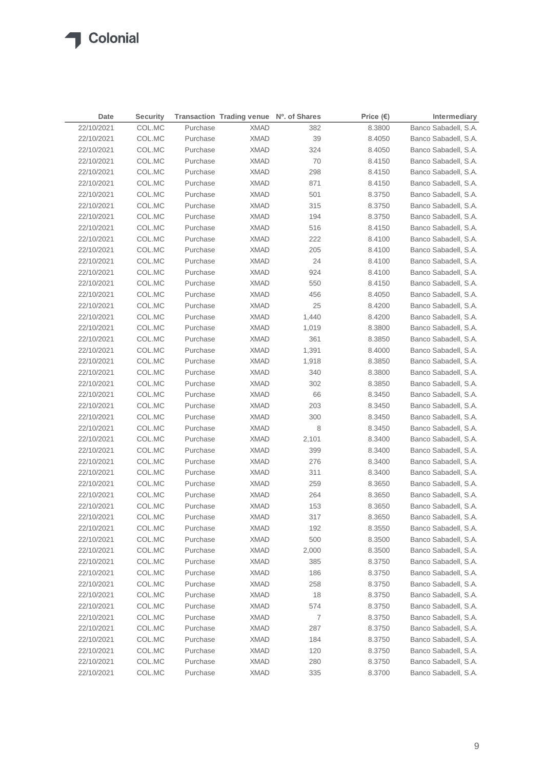| Date       | <b>Security</b> |          | Transaction Trading venue Nº. of Shares |       | Price $(\epsilon)$ | Intermediary         |
|------------|-----------------|----------|-----------------------------------------|-------|--------------------|----------------------|
| 22/10/2021 | COL.MC          | Purchase | <b>XMAD</b>                             | 382   | 8.3800             | Banco Sabadell, S.A. |
| 22/10/2021 | COL.MC          | Purchase | <b>XMAD</b>                             | 39    | 8.4050             | Banco Sabadell, S.A. |
| 22/10/2021 | COL.MC          | Purchase | <b>XMAD</b>                             | 324   | 8.4050             | Banco Sabadell, S.A. |
| 22/10/2021 | COL.MC          | Purchase | <b>XMAD</b>                             | 70    | 8.4150             | Banco Sabadell, S.A. |
| 22/10/2021 | COL.MC          | Purchase | <b>XMAD</b>                             | 298   | 8.4150             | Banco Sabadell, S.A. |
| 22/10/2021 | COL.MC          | Purchase | <b>XMAD</b>                             | 871   | 8.4150             | Banco Sabadell, S.A. |
| 22/10/2021 | COL.MC          | Purchase | <b>XMAD</b>                             | 501   | 8.3750             | Banco Sabadell, S.A. |
| 22/10/2021 | COL.MC          | Purchase | <b>XMAD</b>                             | 315   | 8.3750             | Banco Sabadell, S.A. |
| 22/10/2021 | COL.MC          | Purchase | <b>XMAD</b>                             | 194   | 8.3750             | Banco Sabadell, S.A. |
| 22/10/2021 | COL.MC          | Purchase | <b>XMAD</b>                             | 516   | 8.4150             | Banco Sabadell, S.A. |
| 22/10/2021 | COL.MC          | Purchase | <b>XMAD</b>                             | 222   | 8.4100             | Banco Sabadell, S.A. |
| 22/10/2021 | COL.MC          | Purchase | <b>XMAD</b>                             | 205   | 8.4100             | Banco Sabadell, S.A. |
| 22/10/2021 | COL.MC          | Purchase | <b>XMAD</b>                             | 24    | 8.4100             | Banco Sabadell, S.A. |
| 22/10/2021 | COL.MC          | Purchase | <b>XMAD</b>                             | 924   | 8.4100             | Banco Sabadell, S.A. |
| 22/10/2021 | COL.MC          | Purchase | <b>XMAD</b>                             | 550   | 8.4150             | Banco Sabadell, S.A. |
| 22/10/2021 | COL.MC          | Purchase | <b>XMAD</b>                             | 456   | 8.4050             | Banco Sabadell, S.A. |
| 22/10/2021 | COL.MC          | Purchase | <b>XMAD</b>                             | 25    | 8.4200             | Banco Sabadell, S.A. |
| 22/10/2021 | COL.MC          | Purchase | <b>XMAD</b>                             | 1,440 | 8.4200             | Banco Sabadell, S.A. |
| 22/10/2021 | COL.MC          | Purchase | <b>XMAD</b>                             | 1,019 | 8.3800             | Banco Sabadell, S.A. |
| 22/10/2021 | COL.MC          | Purchase | <b>XMAD</b>                             | 361   | 8.3850             | Banco Sabadell, S.A. |
| 22/10/2021 | COL.MC          | Purchase | <b>XMAD</b>                             | 1,391 | 8.4000             | Banco Sabadell, S.A. |
| 22/10/2021 | COL.MC          | Purchase | <b>XMAD</b>                             | 1,918 | 8.3850             | Banco Sabadell, S.A. |
| 22/10/2021 | COL.MC          | Purchase | XMAD                                    | 340   | 8.3800             | Banco Sabadell, S.A. |
| 22/10/2021 | COL.MC          | Purchase | XMAD                                    | 302   | 8.3850             | Banco Sabadell, S.A. |
| 22/10/2021 | COL.MC          | Purchase | XMAD                                    | 66    | 8.3450             | Banco Sabadell, S.A. |
| 22/10/2021 | COL.MC          | Purchase | XMAD                                    | 203   | 8.3450             | Banco Sabadell, S.A. |
| 22/10/2021 | COL.MC          | Purchase | XMAD                                    | 300   | 8.3450             | Banco Sabadell, S.A. |
| 22/10/2021 | COL.MC          | Purchase | XMAD                                    | 8     | 8.3450             | Banco Sabadell, S.A. |
| 22/10/2021 | COL.MC          | Purchase | XMAD                                    | 2,101 | 8.3400             | Banco Sabadell, S.A. |
| 22/10/2021 | COL.MC          | Purchase | XMAD                                    | 399   | 8.3400             | Banco Sabadell, S.A. |
| 22/10/2021 | COL.MC          | Purchase | XMAD                                    | 276   | 8.3400             | Banco Sabadell, S.A. |
| 22/10/2021 | COL.MC          | Purchase | <b>XMAD</b>                             | 311   | 8.3400             | Banco Sabadell, S.A. |
| 22/10/2021 | COL.MC          | Purchase | XMAD                                    | 259   | 8.3650             | Banco Sabadell, S.A. |
| 22/10/2021 | COL.MC          | Purchase | <b>XMAD</b>                             | 264   | 8.3650             | Banco Sabadell, S.A. |
| 22/10/2021 | COL.MC          | Purchase | <b>XMAD</b>                             | 153   | 8.3650             | Banco Sabadell, S.A. |
| 22/10/2021 | COL.MC          | Purchase | <b>XMAD</b>                             | 317   | 8.3650             | Banco Sabadell, S.A. |
| 22/10/2021 | COL.MC          | Purchase | <b>XMAD</b>                             | 192   | 8.3550             | Banco Sabadell, S.A. |
| 22/10/2021 | COL.MC          | Purchase | <b>XMAD</b>                             | 500   | 8.3500             | Banco Sabadell, S.A. |
| 22/10/2021 | COL.MC          | Purchase | <b>XMAD</b>                             | 2,000 | 8.3500             | Banco Sabadell, S.A. |
| 22/10/2021 | COL.MC          | Purchase | <b>XMAD</b>                             | 385   | 8.3750             | Banco Sabadell, S.A. |
| 22/10/2021 | COL.MC          | Purchase | <b>XMAD</b>                             | 186   | 8.3750             | Banco Sabadell, S.A. |
| 22/10/2021 | COL.MC          | Purchase | <b>XMAD</b>                             | 258   | 8.3750             | Banco Sabadell, S.A. |
| 22/10/2021 | COL.MC          | Purchase | <b>XMAD</b>                             | 18    | 8.3750             | Banco Sabadell, S.A. |
| 22/10/2021 | COL.MC          | Purchase | <b>XMAD</b>                             | 574   | 8.3750             | Banco Sabadell, S.A. |
| 22/10/2021 | COL.MC          | Purchase | <b>XMAD</b>                             | 7     | 8.3750             | Banco Sabadell, S.A. |
| 22/10/2021 | COL.MC          | Purchase | <b>XMAD</b>                             | 287   | 8.3750             | Banco Sabadell, S.A. |
| 22/10/2021 | COL.MC          | Purchase | <b>XMAD</b>                             | 184   | 8.3750             | Banco Sabadell, S.A. |
| 22/10/2021 | COL.MC          | Purchase | <b>XMAD</b>                             | 120   | 8.3750             | Banco Sabadell, S.A. |
| 22/10/2021 | COL.MC          | Purchase | <b>XMAD</b>                             | 280   | 8.3750             | Banco Sabadell, S.A. |
| 22/10/2021 | COL.MC          | Purchase | <b>XMAD</b>                             | 335   | 8.3700             | Banco Sabadell, S.A. |
|            |                 |          |                                         |       |                    |                      |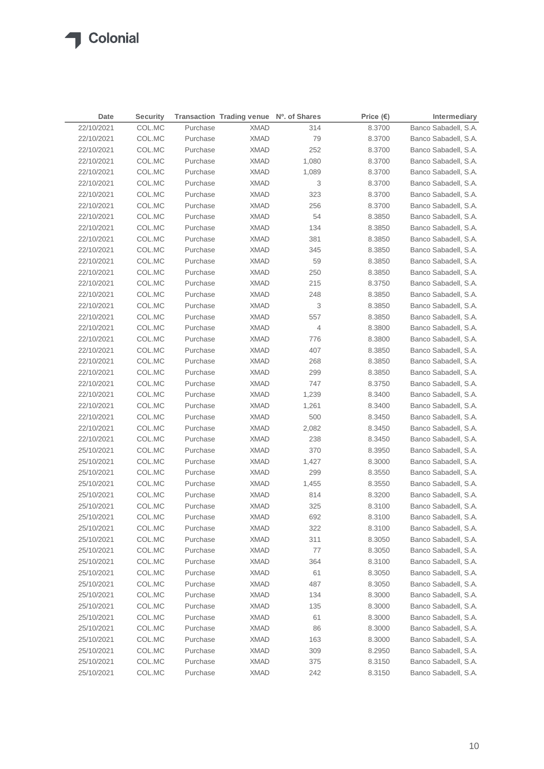$\sqrt{2}$ 

| 22/10/2021<br>Purchase<br>Banco Sabadell, S.A.<br>COL.MC<br><b>XMAD</b><br>314<br>8.3700<br>22/10/2021<br>COL.MC<br>Purchase<br><b>XMAD</b><br>79<br>8.3700<br>Banco Sabadell, S.A.<br>252<br>22/10/2021<br>COL.MC<br>Purchase<br><b>XMAD</b><br>8.3700<br>Banco Sabadell, S.A.<br>COL.MC<br><b>XMAD</b><br>1,080<br>Banco Sabadell, S.A.<br>22/10/2021<br>Purchase<br>8.3700<br>22/10/2021<br>COL.MC<br>Purchase<br><b>XMAD</b><br>Banco Sabadell, S.A.<br>1,089<br>8.3700<br>22/10/2021<br>COL.MC<br>Purchase<br><b>XMAD</b><br>3<br>8.3700<br>Banco Sabadell, S.A.<br>323<br>22/10/2021<br>COL.MC<br>Purchase<br><b>XMAD</b><br>Banco Sabadell, S.A.<br>8.3700<br>256<br>Banco Sabadell, S.A.<br>22/10/2021<br>COL.MC<br>Purchase<br><b>XMAD</b><br>8.3700<br>54<br>22/10/2021<br>COL.MC<br>Purchase<br><b>XMAD</b><br>8.3850<br>Banco Sabadell, S.A.<br>134<br>Banco Sabadell, S.A.<br>22/10/2021<br>COL.MC<br>Purchase<br><b>XMAD</b><br>8.3850<br>381<br>22/10/2021<br>COL.MC<br>Purchase<br><b>XMAD</b><br>8.3850<br>Banco Sabadell, S.A.<br>22/10/2021<br>COL.MC<br>Purchase<br><b>XMAD</b><br>345<br>Banco Sabadell, S.A.<br>8.3850<br>22/10/2021<br>COL.MC<br>Purchase<br><b>XMAD</b><br>59<br>8.3850<br>Banco Sabadell, S.A.<br>22/10/2021<br>COL.MC<br>Purchase<br><b>XMAD</b><br>250<br>Banco Sabadell, S.A.<br>8.3850<br>22/10/2021<br>COL.MC<br>Purchase<br><b>XMAD</b><br>215<br>Banco Sabadell, S.A.<br>8.3750<br>22/10/2021<br>COL.MC<br>Purchase<br><b>XMAD</b><br>248<br>8.3850<br>Banco Sabadell, S.A.<br>3<br>22/10/2021<br>COL.MC<br>Purchase<br><b>XMAD</b><br>8.3850<br>Banco Sabadell, S.A.<br>557<br>22/10/2021<br>COL.MC<br>Purchase<br><b>XMAD</b><br>8.3850<br>Banco Sabadell, S.A.<br>22/10/2021<br>COL.MC<br>Purchase<br><b>XMAD</b><br>4<br>8.3800<br>Banco Sabadell, S.A.<br>22/10/2021<br>COL.MC<br>Purchase<br><b>XMAD</b><br>776<br>8.3800<br>Banco Sabadell, S.A.<br>407<br>22/10/2021<br>COL.MC<br>Purchase<br><b>XMAD</b><br>8.3850<br>Banco Sabadell, S.A.<br>22/10/2021<br>COL.MC<br>Purchase<br><b>XMAD</b><br>268<br>8.3850<br>Banco Sabadell, S.A.<br>22/10/2021<br>COL.MC<br>Purchase<br>299<br>Banco Sabadell, S.A.<br>XMAD<br>8.3850<br>22/10/2021<br>COL.MC<br>Purchase<br>747<br>Banco Sabadell, S.A.<br>XMAD<br>8.3750<br>22/10/2021<br>COL.MC<br>Purchase<br>Banco Sabadell, S.A.<br>XMAD<br>1,239<br>8.3400<br>22/10/2021<br>COL.MC<br>Purchase<br>Banco Sabadell, S.A.<br>XMAD<br>1,261<br>8.3400<br>22/10/2021<br>COL.MC<br>Purchase<br>500<br>Banco Sabadell, S.A.<br>XMAD<br>8.3450<br>22/10/2021<br>Purchase<br>2,082<br>Banco Sabadell, S.A.<br>COL.MC<br>XMAD<br>8.3450<br>22/10/2021<br>Purchase<br>238<br>Banco Sabadell, S.A.<br>COL.MC<br>XMAD<br>8.3450<br>25/10/2021<br>Banco Sabadell, S.A.<br>COL.MC<br>Purchase<br>XMAD<br>370<br>8.3950<br>25/10/2021<br>Banco Sabadell, S.A.<br>COL.MC<br>Purchase<br>XMAD<br>1,427<br>8.3000<br>25/10/2021<br>COL.MC<br>Purchase<br>299<br>Banco Sabadell, S.A.<br><b>XMAD</b><br>8.3550<br>25/10/2021<br>COL.MC<br>Purchase<br>1,455<br>Banco Sabadell, S.A.<br>XMAD<br>8.3550<br>25/10/2021<br>COL.MC<br>Purchase<br><b>XMAD</b><br>814<br>8.3200<br>Banco Sabadell, S.A.<br>25/10/2021<br>COL.MC<br>Purchase<br><b>XMAD</b><br>325<br>8.3100<br>Banco Sabadell, S.A.<br>25/10/2021<br>COL.MC<br><b>XMAD</b><br>692<br>Purchase<br>8.3100<br>Banco Sabadell, S.A.<br>COL.MC<br>25/10/2021<br>Purchase<br><b>XMAD</b><br>322<br>Banco Sabadell, S.A.<br>8.3100<br>311<br>25/10/2021<br>COL.MC<br>Purchase<br><b>XMAD</b><br>8.3050<br>Banco Sabadell, S.A.<br>$77 \,$<br>25/10/2021<br>COL.MC<br>Purchase<br><b>XMAD</b><br>8.3050<br>Banco Sabadell, S.A.<br>Banco Sabadell, S.A.<br>25/10/2021<br>COL.MC<br>Purchase<br><b>XMAD</b><br>364<br>8.3100<br>61<br>25/10/2021<br>COL.MC<br>Purchase<br><b>XMAD</b><br>8.3050<br>Banco Sabadell, S.A.<br>Banco Sabadell, S.A.<br>25/10/2021<br>COL.MC<br>Purchase<br><b>XMAD</b><br>487<br>8.3050<br>25/10/2021<br>COL.MC<br>Purchase<br><b>XMAD</b><br>134<br>8.3000<br>Banco Sabadell, S.A.<br>Banco Sabadell, S.A.<br>25/10/2021<br>COL.MC<br>Purchase<br><b>XMAD</b><br>135<br>8.3000<br>25/10/2021<br>COL.MC<br>Purchase<br><b>XMAD</b><br>61<br>8.3000<br>Banco Sabadell, S.A.<br>25/10/2021<br>COL.MC<br>Purchase<br><b>XMAD</b><br>86<br>8.3000<br>Banco Sabadell, S.A.<br>25/10/2021<br>COL.MC<br>Purchase<br><b>XMAD</b><br>163<br>8.3000<br>Banco Sabadell, S.A.<br>25/10/2021<br>COL.MC<br>Purchase<br><b>XMAD</b><br>309<br>8.2950<br>Banco Sabadell, S.A.<br>25/10/2021<br>COL.MC<br>Purchase<br><b>XMAD</b><br>375<br>8.3150<br>Banco Sabadell, S.A. | Date       | <b>Security</b> |          | Transaction Trading venue Nº. of Shares |     | Price $(\epsilon)$ | Intermediary         |
|--------------------------------------------------------------------------------------------------------------------------------------------------------------------------------------------------------------------------------------------------------------------------------------------------------------------------------------------------------------------------------------------------------------------------------------------------------------------------------------------------------------------------------------------------------------------------------------------------------------------------------------------------------------------------------------------------------------------------------------------------------------------------------------------------------------------------------------------------------------------------------------------------------------------------------------------------------------------------------------------------------------------------------------------------------------------------------------------------------------------------------------------------------------------------------------------------------------------------------------------------------------------------------------------------------------------------------------------------------------------------------------------------------------------------------------------------------------------------------------------------------------------------------------------------------------------------------------------------------------------------------------------------------------------------------------------------------------------------------------------------------------------------------------------------------------------------------------------------------------------------------------------------------------------------------------------------------------------------------------------------------------------------------------------------------------------------------------------------------------------------------------------------------------------------------------------------------------------------------------------------------------------------------------------------------------------------------------------------------------------------------------------------------------------------------------------------------------------------------------------------------------------------------------------------------------------------------------------------------------------------------------------------------------------------------------------------------------------------------------------------------------------------------------------------------------------------------------------------------------------------------------------------------------------------------------------------------------------------------------------------------------------------------------------------------------------------------------------------------------------------------------------------------------------------------------------------------------------------------------------------------------------------------------------------------------------------------------------------------------------------------------------------------------------------------------------------------------------------------------------------------------------------------------------------------------------------------------------------------------------------------------------------------------------------------------------------------------------------------------------------------------------------------------------------------------------------------------------------------------------------------------------------------------------------------------------------------------------------------------------------------------------------------------------------------------------------------------------------------------------------------------------------------------------------------------------------------------------------------------------------------------------------------------------------------------------------------------------------------------------------------------------------------------------------------------------------------------------------------------------------------------------------------------------------------------------------------------------------------------------------|------------|-----------------|----------|-----------------------------------------|-----|--------------------|----------------------|
|                                                                                                                                                                                                                                                                                                                                                                                                                                                                                                                                                                                                                                                                                                                                                                                                                                                                                                                                                                                                                                                                                                                                                                                                                                                                                                                                                                                                                                                                                                                                                                                                                                                                                                                                                                                                                                                                                                                                                                                                                                                                                                                                                                                                                                                                                                                                                                                                                                                                                                                                                                                                                                                                                                                                                                                                                                                                                                                                                                                                                                                                                                                                                                                                                                                                                                                                                                                                                                                                                                                                                                                                                                                                                                                                                                                                                                                                                                                                                                                                                                                                                                                                                                                                                                                                                                                                                                                                                                                                                                                                                                                                                          |            |                 |          |                                         |     |                    |                      |
|                                                                                                                                                                                                                                                                                                                                                                                                                                                                                                                                                                                                                                                                                                                                                                                                                                                                                                                                                                                                                                                                                                                                                                                                                                                                                                                                                                                                                                                                                                                                                                                                                                                                                                                                                                                                                                                                                                                                                                                                                                                                                                                                                                                                                                                                                                                                                                                                                                                                                                                                                                                                                                                                                                                                                                                                                                                                                                                                                                                                                                                                                                                                                                                                                                                                                                                                                                                                                                                                                                                                                                                                                                                                                                                                                                                                                                                                                                                                                                                                                                                                                                                                                                                                                                                                                                                                                                                                                                                                                                                                                                                                                          |            |                 |          |                                         |     |                    |                      |
|                                                                                                                                                                                                                                                                                                                                                                                                                                                                                                                                                                                                                                                                                                                                                                                                                                                                                                                                                                                                                                                                                                                                                                                                                                                                                                                                                                                                                                                                                                                                                                                                                                                                                                                                                                                                                                                                                                                                                                                                                                                                                                                                                                                                                                                                                                                                                                                                                                                                                                                                                                                                                                                                                                                                                                                                                                                                                                                                                                                                                                                                                                                                                                                                                                                                                                                                                                                                                                                                                                                                                                                                                                                                                                                                                                                                                                                                                                                                                                                                                                                                                                                                                                                                                                                                                                                                                                                                                                                                                                                                                                                                                          |            |                 |          |                                         |     |                    |                      |
|                                                                                                                                                                                                                                                                                                                                                                                                                                                                                                                                                                                                                                                                                                                                                                                                                                                                                                                                                                                                                                                                                                                                                                                                                                                                                                                                                                                                                                                                                                                                                                                                                                                                                                                                                                                                                                                                                                                                                                                                                                                                                                                                                                                                                                                                                                                                                                                                                                                                                                                                                                                                                                                                                                                                                                                                                                                                                                                                                                                                                                                                                                                                                                                                                                                                                                                                                                                                                                                                                                                                                                                                                                                                                                                                                                                                                                                                                                                                                                                                                                                                                                                                                                                                                                                                                                                                                                                                                                                                                                                                                                                                                          |            |                 |          |                                         |     |                    |                      |
|                                                                                                                                                                                                                                                                                                                                                                                                                                                                                                                                                                                                                                                                                                                                                                                                                                                                                                                                                                                                                                                                                                                                                                                                                                                                                                                                                                                                                                                                                                                                                                                                                                                                                                                                                                                                                                                                                                                                                                                                                                                                                                                                                                                                                                                                                                                                                                                                                                                                                                                                                                                                                                                                                                                                                                                                                                                                                                                                                                                                                                                                                                                                                                                                                                                                                                                                                                                                                                                                                                                                                                                                                                                                                                                                                                                                                                                                                                                                                                                                                                                                                                                                                                                                                                                                                                                                                                                                                                                                                                                                                                                                                          |            |                 |          |                                         |     |                    |                      |
|                                                                                                                                                                                                                                                                                                                                                                                                                                                                                                                                                                                                                                                                                                                                                                                                                                                                                                                                                                                                                                                                                                                                                                                                                                                                                                                                                                                                                                                                                                                                                                                                                                                                                                                                                                                                                                                                                                                                                                                                                                                                                                                                                                                                                                                                                                                                                                                                                                                                                                                                                                                                                                                                                                                                                                                                                                                                                                                                                                                                                                                                                                                                                                                                                                                                                                                                                                                                                                                                                                                                                                                                                                                                                                                                                                                                                                                                                                                                                                                                                                                                                                                                                                                                                                                                                                                                                                                                                                                                                                                                                                                                                          |            |                 |          |                                         |     |                    |                      |
|                                                                                                                                                                                                                                                                                                                                                                                                                                                                                                                                                                                                                                                                                                                                                                                                                                                                                                                                                                                                                                                                                                                                                                                                                                                                                                                                                                                                                                                                                                                                                                                                                                                                                                                                                                                                                                                                                                                                                                                                                                                                                                                                                                                                                                                                                                                                                                                                                                                                                                                                                                                                                                                                                                                                                                                                                                                                                                                                                                                                                                                                                                                                                                                                                                                                                                                                                                                                                                                                                                                                                                                                                                                                                                                                                                                                                                                                                                                                                                                                                                                                                                                                                                                                                                                                                                                                                                                                                                                                                                                                                                                                                          |            |                 |          |                                         |     |                    |                      |
|                                                                                                                                                                                                                                                                                                                                                                                                                                                                                                                                                                                                                                                                                                                                                                                                                                                                                                                                                                                                                                                                                                                                                                                                                                                                                                                                                                                                                                                                                                                                                                                                                                                                                                                                                                                                                                                                                                                                                                                                                                                                                                                                                                                                                                                                                                                                                                                                                                                                                                                                                                                                                                                                                                                                                                                                                                                                                                                                                                                                                                                                                                                                                                                                                                                                                                                                                                                                                                                                                                                                                                                                                                                                                                                                                                                                                                                                                                                                                                                                                                                                                                                                                                                                                                                                                                                                                                                                                                                                                                                                                                                                                          |            |                 |          |                                         |     |                    |                      |
|                                                                                                                                                                                                                                                                                                                                                                                                                                                                                                                                                                                                                                                                                                                                                                                                                                                                                                                                                                                                                                                                                                                                                                                                                                                                                                                                                                                                                                                                                                                                                                                                                                                                                                                                                                                                                                                                                                                                                                                                                                                                                                                                                                                                                                                                                                                                                                                                                                                                                                                                                                                                                                                                                                                                                                                                                                                                                                                                                                                                                                                                                                                                                                                                                                                                                                                                                                                                                                                                                                                                                                                                                                                                                                                                                                                                                                                                                                                                                                                                                                                                                                                                                                                                                                                                                                                                                                                                                                                                                                                                                                                                                          |            |                 |          |                                         |     |                    |                      |
|                                                                                                                                                                                                                                                                                                                                                                                                                                                                                                                                                                                                                                                                                                                                                                                                                                                                                                                                                                                                                                                                                                                                                                                                                                                                                                                                                                                                                                                                                                                                                                                                                                                                                                                                                                                                                                                                                                                                                                                                                                                                                                                                                                                                                                                                                                                                                                                                                                                                                                                                                                                                                                                                                                                                                                                                                                                                                                                                                                                                                                                                                                                                                                                                                                                                                                                                                                                                                                                                                                                                                                                                                                                                                                                                                                                                                                                                                                                                                                                                                                                                                                                                                                                                                                                                                                                                                                                                                                                                                                                                                                                                                          |            |                 |          |                                         |     |                    |                      |
|                                                                                                                                                                                                                                                                                                                                                                                                                                                                                                                                                                                                                                                                                                                                                                                                                                                                                                                                                                                                                                                                                                                                                                                                                                                                                                                                                                                                                                                                                                                                                                                                                                                                                                                                                                                                                                                                                                                                                                                                                                                                                                                                                                                                                                                                                                                                                                                                                                                                                                                                                                                                                                                                                                                                                                                                                                                                                                                                                                                                                                                                                                                                                                                                                                                                                                                                                                                                                                                                                                                                                                                                                                                                                                                                                                                                                                                                                                                                                                                                                                                                                                                                                                                                                                                                                                                                                                                                                                                                                                                                                                                                                          |            |                 |          |                                         |     |                    |                      |
|                                                                                                                                                                                                                                                                                                                                                                                                                                                                                                                                                                                                                                                                                                                                                                                                                                                                                                                                                                                                                                                                                                                                                                                                                                                                                                                                                                                                                                                                                                                                                                                                                                                                                                                                                                                                                                                                                                                                                                                                                                                                                                                                                                                                                                                                                                                                                                                                                                                                                                                                                                                                                                                                                                                                                                                                                                                                                                                                                                                                                                                                                                                                                                                                                                                                                                                                                                                                                                                                                                                                                                                                                                                                                                                                                                                                                                                                                                                                                                                                                                                                                                                                                                                                                                                                                                                                                                                                                                                                                                                                                                                                                          |            |                 |          |                                         |     |                    |                      |
|                                                                                                                                                                                                                                                                                                                                                                                                                                                                                                                                                                                                                                                                                                                                                                                                                                                                                                                                                                                                                                                                                                                                                                                                                                                                                                                                                                                                                                                                                                                                                                                                                                                                                                                                                                                                                                                                                                                                                                                                                                                                                                                                                                                                                                                                                                                                                                                                                                                                                                                                                                                                                                                                                                                                                                                                                                                                                                                                                                                                                                                                                                                                                                                                                                                                                                                                                                                                                                                                                                                                                                                                                                                                                                                                                                                                                                                                                                                                                                                                                                                                                                                                                                                                                                                                                                                                                                                                                                                                                                                                                                                                                          |            |                 |          |                                         |     |                    |                      |
|                                                                                                                                                                                                                                                                                                                                                                                                                                                                                                                                                                                                                                                                                                                                                                                                                                                                                                                                                                                                                                                                                                                                                                                                                                                                                                                                                                                                                                                                                                                                                                                                                                                                                                                                                                                                                                                                                                                                                                                                                                                                                                                                                                                                                                                                                                                                                                                                                                                                                                                                                                                                                                                                                                                                                                                                                                                                                                                                                                                                                                                                                                                                                                                                                                                                                                                                                                                                                                                                                                                                                                                                                                                                                                                                                                                                                                                                                                                                                                                                                                                                                                                                                                                                                                                                                                                                                                                                                                                                                                                                                                                                                          |            |                 |          |                                         |     |                    |                      |
|                                                                                                                                                                                                                                                                                                                                                                                                                                                                                                                                                                                                                                                                                                                                                                                                                                                                                                                                                                                                                                                                                                                                                                                                                                                                                                                                                                                                                                                                                                                                                                                                                                                                                                                                                                                                                                                                                                                                                                                                                                                                                                                                                                                                                                                                                                                                                                                                                                                                                                                                                                                                                                                                                                                                                                                                                                                                                                                                                                                                                                                                                                                                                                                                                                                                                                                                                                                                                                                                                                                                                                                                                                                                                                                                                                                                                                                                                                                                                                                                                                                                                                                                                                                                                                                                                                                                                                                                                                                                                                                                                                                                                          |            |                 |          |                                         |     |                    |                      |
|                                                                                                                                                                                                                                                                                                                                                                                                                                                                                                                                                                                                                                                                                                                                                                                                                                                                                                                                                                                                                                                                                                                                                                                                                                                                                                                                                                                                                                                                                                                                                                                                                                                                                                                                                                                                                                                                                                                                                                                                                                                                                                                                                                                                                                                                                                                                                                                                                                                                                                                                                                                                                                                                                                                                                                                                                                                                                                                                                                                                                                                                                                                                                                                                                                                                                                                                                                                                                                                                                                                                                                                                                                                                                                                                                                                                                                                                                                                                                                                                                                                                                                                                                                                                                                                                                                                                                                                                                                                                                                                                                                                                                          |            |                 |          |                                         |     |                    |                      |
|                                                                                                                                                                                                                                                                                                                                                                                                                                                                                                                                                                                                                                                                                                                                                                                                                                                                                                                                                                                                                                                                                                                                                                                                                                                                                                                                                                                                                                                                                                                                                                                                                                                                                                                                                                                                                                                                                                                                                                                                                                                                                                                                                                                                                                                                                                                                                                                                                                                                                                                                                                                                                                                                                                                                                                                                                                                                                                                                                                                                                                                                                                                                                                                                                                                                                                                                                                                                                                                                                                                                                                                                                                                                                                                                                                                                                                                                                                                                                                                                                                                                                                                                                                                                                                                                                                                                                                                                                                                                                                                                                                                                                          |            |                 |          |                                         |     |                    |                      |
|                                                                                                                                                                                                                                                                                                                                                                                                                                                                                                                                                                                                                                                                                                                                                                                                                                                                                                                                                                                                                                                                                                                                                                                                                                                                                                                                                                                                                                                                                                                                                                                                                                                                                                                                                                                                                                                                                                                                                                                                                                                                                                                                                                                                                                                                                                                                                                                                                                                                                                                                                                                                                                                                                                                                                                                                                                                                                                                                                                                                                                                                                                                                                                                                                                                                                                                                                                                                                                                                                                                                                                                                                                                                                                                                                                                                                                                                                                                                                                                                                                                                                                                                                                                                                                                                                                                                                                                                                                                                                                                                                                                                                          |            |                 |          |                                         |     |                    |                      |
|                                                                                                                                                                                                                                                                                                                                                                                                                                                                                                                                                                                                                                                                                                                                                                                                                                                                                                                                                                                                                                                                                                                                                                                                                                                                                                                                                                                                                                                                                                                                                                                                                                                                                                                                                                                                                                                                                                                                                                                                                                                                                                                                                                                                                                                                                                                                                                                                                                                                                                                                                                                                                                                                                                                                                                                                                                                                                                                                                                                                                                                                                                                                                                                                                                                                                                                                                                                                                                                                                                                                                                                                                                                                                                                                                                                                                                                                                                                                                                                                                                                                                                                                                                                                                                                                                                                                                                                                                                                                                                                                                                                                                          |            |                 |          |                                         |     |                    |                      |
|                                                                                                                                                                                                                                                                                                                                                                                                                                                                                                                                                                                                                                                                                                                                                                                                                                                                                                                                                                                                                                                                                                                                                                                                                                                                                                                                                                                                                                                                                                                                                                                                                                                                                                                                                                                                                                                                                                                                                                                                                                                                                                                                                                                                                                                                                                                                                                                                                                                                                                                                                                                                                                                                                                                                                                                                                                                                                                                                                                                                                                                                                                                                                                                                                                                                                                                                                                                                                                                                                                                                                                                                                                                                                                                                                                                                                                                                                                                                                                                                                                                                                                                                                                                                                                                                                                                                                                                                                                                                                                                                                                                                                          |            |                 |          |                                         |     |                    |                      |
|                                                                                                                                                                                                                                                                                                                                                                                                                                                                                                                                                                                                                                                                                                                                                                                                                                                                                                                                                                                                                                                                                                                                                                                                                                                                                                                                                                                                                                                                                                                                                                                                                                                                                                                                                                                                                                                                                                                                                                                                                                                                                                                                                                                                                                                                                                                                                                                                                                                                                                                                                                                                                                                                                                                                                                                                                                                                                                                                                                                                                                                                                                                                                                                                                                                                                                                                                                                                                                                                                                                                                                                                                                                                                                                                                                                                                                                                                                                                                                                                                                                                                                                                                                                                                                                                                                                                                                                                                                                                                                                                                                                                                          |            |                 |          |                                         |     |                    |                      |
|                                                                                                                                                                                                                                                                                                                                                                                                                                                                                                                                                                                                                                                                                                                                                                                                                                                                                                                                                                                                                                                                                                                                                                                                                                                                                                                                                                                                                                                                                                                                                                                                                                                                                                                                                                                                                                                                                                                                                                                                                                                                                                                                                                                                                                                                                                                                                                                                                                                                                                                                                                                                                                                                                                                                                                                                                                                                                                                                                                                                                                                                                                                                                                                                                                                                                                                                                                                                                                                                                                                                                                                                                                                                                                                                                                                                                                                                                                                                                                                                                                                                                                                                                                                                                                                                                                                                                                                                                                                                                                                                                                                                                          |            |                 |          |                                         |     |                    |                      |
|                                                                                                                                                                                                                                                                                                                                                                                                                                                                                                                                                                                                                                                                                                                                                                                                                                                                                                                                                                                                                                                                                                                                                                                                                                                                                                                                                                                                                                                                                                                                                                                                                                                                                                                                                                                                                                                                                                                                                                                                                                                                                                                                                                                                                                                                                                                                                                                                                                                                                                                                                                                                                                                                                                                                                                                                                                                                                                                                                                                                                                                                                                                                                                                                                                                                                                                                                                                                                                                                                                                                                                                                                                                                                                                                                                                                                                                                                                                                                                                                                                                                                                                                                                                                                                                                                                                                                                                                                                                                                                                                                                                                                          |            |                 |          |                                         |     |                    |                      |
|                                                                                                                                                                                                                                                                                                                                                                                                                                                                                                                                                                                                                                                                                                                                                                                                                                                                                                                                                                                                                                                                                                                                                                                                                                                                                                                                                                                                                                                                                                                                                                                                                                                                                                                                                                                                                                                                                                                                                                                                                                                                                                                                                                                                                                                                                                                                                                                                                                                                                                                                                                                                                                                                                                                                                                                                                                                                                                                                                                                                                                                                                                                                                                                                                                                                                                                                                                                                                                                                                                                                                                                                                                                                                                                                                                                                                                                                                                                                                                                                                                                                                                                                                                                                                                                                                                                                                                                                                                                                                                                                                                                                                          |            |                 |          |                                         |     |                    |                      |
|                                                                                                                                                                                                                                                                                                                                                                                                                                                                                                                                                                                                                                                                                                                                                                                                                                                                                                                                                                                                                                                                                                                                                                                                                                                                                                                                                                                                                                                                                                                                                                                                                                                                                                                                                                                                                                                                                                                                                                                                                                                                                                                                                                                                                                                                                                                                                                                                                                                                                                                                                                                                                                                                                                                                                                                                                                                                                                                                                                                                                                                                                                                                                                                                                                                                                                                                                                                                                                                                                                                                                                                                                                                                                                                                                                                                                                                                                                                                                                                                                                                                                                                                                                                                                                                                                                                                                                                                                                                                                                                                                                                                                          |            |                 |          |                                         |     |                    |                      |
|                                                                                                                                                                                                                                                                                                                                                                                                                                                                                                                                                                                                                                                                                                                                                                                                                                                                                                                                                                                                                                                                                                                                                                                                                                                                                                                                                                                                                                                                                                                                                                                                                                                                                                                                                                                                                                                                                                                                                                                                                                                                                                                                                                                                                                                                                                                                                                                                                                                                                                                                                                                                                                                                                                                                                                                                                                                                                                                                                                                                                                                                                                                                                                                                                                                                                                                                                                                                                                                                                                                                                                                                                                                                                                                                                                                                                                                                                                                                                                                                                                                                                                                                                                                                                                                                                                                                                                                                                                                                                                                                                                                                                          |            |                 |          |                                         |     |                    |                      |
|                                                                                                                                                                                                                                                                                                                                                                                                                                                                                                                                                                                                                                                                                                                                                                                                                                                                                                                                                                                                                                                                                                                                                                                                                                                                                                                                                                                                                                                                                                                                                                                                                                                                                                                                                                                                                                                                                                                                                                                                                                                                                                                                                                                                                                                                                                                                                                                                                                                                                                                                                                                                                                                                                                                                                                                                                                                                                                                                                                                                                                                                                                                                                                                                                                                                                                                                                                                                                                                                                                                                                                                                                                                                                                                                                                                                                                                                                                                                                                                                                                                                                                                                                                                                                                                                                                                                                                                                                                                                                                                                                                                                                          |            |                 |          |                                         |     |                    |                      |
|                                                                                                                                                                                                                                                                                                                                                                                                                                                                                                                                                                                                                                                                                                                                                                                                                                                                                                                                                                                                                                                                                                                                                                                                                                                                                                                                                                                                                                                                                                                                                                                                                                                                                                                                                                                                                                                                                                                                                                                                                                                                                                                                                                                                                                                                                                                                                                                                                                                                                                                                                                                                                                                                                                                                                                                                                                                                                                                                                                                                                                                                                                                                                                                                                                                                                                                                                                                                                                                                                                                                                                                                                                                                                                                                                                                                                                                                                                                                                                                                                                                                                                                                                                                                                                                                                                                                                                                                                                                                                                                                                                                                                          |            |                 |          |                                         |     |                    |                      |
|                                                                                                                                                                                                                                                                                                                                                                                                                                                                                                                                                                                                                                                                                                                                                                                                                                                                                                                                                                                                                                                                                                                                                                                                                                                                                                                                                                                                                                                                                                                                                                                                                                                                                                                                                                                                                                                                                                                                                                                                                                                                                                                                                                                                                                                                                                                                                                                                                                                                                                                                                                                                                                                                                                                                                                                                                                                                                                                                                                                                                                                                                                                                                                                                                                                                                                                                                                                                                                                                                                                                                                                                                                                                                                                                                                                                                                                                                                                                                                                                                                                                                                                                                                                                                                                                                                                                                                                                                                                                                                                                                                                                                          |            |                 |          |                                         |     |                    |                      |
|                                                                                                                                                                                                                                                                                                                                                                                                                                                                                                                                                                                                                                                                                                                                                                                                                                                                                                                                                                                                                                                                                                                                                                                                                                                                                                                                                                                                                                                                                                                                                                                                                                                                                                                                                                                                                                                                                                                                                                                                                                                                                                                                                                                                                                                                                                                                                                                                                                                                                                                                                                                                                                                                                                                                                                                                                                                                                                                                                                                                                                                                                                                                                                                                                                                                                                                                                                                                                                                                                                                                                                                                                                                                                                                                                                                                                                                                                                                                                                                                                                                                                                                                                                                                                                                                                                                                                                                                                                                                                                                                                                                                                          |            |                 |          |                                         |     |                    |                      |
|                                                                                                                                                                                                                                                                                                                                                                                                                                                                                                                                                                                                                                                                                                                                                                                                                                                                                                                                                                                                                                                                                                                                                                                                                                                                                                                                                                                                                                                                                                                                                                                                                                                                                                                                                                                                                                                                                                                                                                                                                                                                                                                                                                                                                                                                                                                                                                                                                                                                                                                                                                                                                                                                                                                                                                                                                                                                                                                                                                                                                                                                                                                                                                                                                                                                                                                                                                                                                                                                                                                                                                                                                                                                                                                                                                                                                                                                                                                                                                                                                                                                                                                                                                                                                                                                                                                                                                                                                                                                                                                                                                                                                          |            |                 |          |                                         |     |                    |                      |
|                                                                                                                                                                                                                                                                                                                                                                                                                                                                                                                                                                                                                                                                                                                                                                                                                                                                                                                                                                                                                                                                                                                                                                                                                                                                                                                                                                                                                                                                                                                                                                                                                                                                                                                                                                                                                                                                                                                                                                                                                                                                                                                                                                                                                                                                                                                                                                                                                                                                                                                                                                                                                                                                                                                                                                                                                                                                                                                                                                                                                                                                                                                                                                                                                                                                                                                                                                                                                                                                                                                                                                                                                                                                                                                                                                                                                                                                                                                                                                                                                                                                                                                                                                                                                                                                                                                                                                                                                                                                                                                                                                                                                          |            |                 |          |                                         |     |                    |                      |
|                                                                                                                                                                                                                                                                                                                                                                                                                                                                                                                                                                                                                                                                                                                                                                                                                                                                                                                                                                                                                                                                                                                                                                                                                                                                                                                                                                                                                                                                                                                                                                                                                                                                                                                                                                                                                                                                                                                                                                                                                                                                                                                                                                                                                                                                                                                                                                                                                                                                                                                                                                                                                                                                                                                                                                                                                                                                                                                                                                                                                                                                                                                                                                                                                                                                                                                                                                                                                                                                                                                                                                                                                                                                                                                                                                                                                                                                                                                                                                                                                                                                                                                                                                                                                                                                                                                                                                                                                                                                                                                                                                                                                          |            |                 |          |                                         |     |                    |                      |
|                                                                                                                                                                                                                                                                                                                                                                                                                                                                                                                                                                                                                                                                                                                                                                                                                                                                                                                                                                                                                                                                                                                                                                                                                                                                                                                                                                                                                                                                                                                                                                                                                                                                                                                                                                                                                                                                                                                                                                                                                                                                                                                                                                                                                                                                                                                                                                                                                                                                                                                                                                                                                                                                                                                                                                                                                                                                                                                                                                                                                                                                                                                                                                                                                                                                                                                                                                                                                                                                                                                                                                                                                                                                                                                                                                                                                                                                                                                                                                                                                                                                                                                                                                                                                                                                                                                                                                                                                                                                                                                                                                                                                          |            |                 |          |                                         |     |                    |                      |
|                                                                                                                                                                                                                                                                                                                                                                                                                                                                                                                                                                                                                                                                                                                                                                                                                                                                                                                                                                                                                                                                                                                                                                                                                                                                                                                                                                                                                                                                                                                                                                                                                                                                                                                                                                                                                                                                                                                                                                                                                                                                                                                                                                                                                                                                                                                                                                                                                                                                                                                                                                                                                                                                                                                                                                                                                                                                                                                                                                                                                                                                                                                                                                                                                                                                                                                                                                                                                                                                                                                                                                                                                                                                                                                                                                                                                                                                                                                                                                                                                                                                                                                                                                                                                                                                                                                                                                                                                                                                                                                                                                                                                          |            |                 |          |                                         |     |                    |                      |
|                                                                                                                                                                                                                                                                                                                                                                                                                                                                                                                                                                                                                                                                                                                                                                                                                                                                                                                                                                                                                                                                                                                                                                                                                                                                                                                                                                                                                                                                                                                                                                                                                                                                                                                                                                                                                                                                                                                                                                                                                                                                                                                                                                                                                                                                                                                                                                                                                                                                                                                                                                                                                                                                                                                                                                                                                                                                                                                                                                                                                                                                                                                                                                                                                                                                                                                                                                                                                                                                                                                                                                                                                                                                                                                                                                                                                                                                                                                                                                                                                                                                                                                                                                                                                                                                                                                                                                                                                                                                                                                                                                                                                          |            |                 |          |                                         |     |                    |                      |
|                                                                                                                                                                                                                                                                                                                                                                                                                                                                                                                                                                                                                                                                                                                                                                                                                                                                                                                                                                                                                                                                                                                                                                                                                                                                                                                                                                                                                                                                                                                                                                                                                                                                                                                                                                                                                                                                                                                                                                                                                                                                                                                                                                                                                                                                                                                                                                                                                                                                                                                                                                                                                                                                                                                                                                                                                                                                                                                                                                                                                                                                                                                                                                                                                                                                                                                                                                                                                                                                                                                                                                                                                                                                                                                                                                                                                                                                                                                                                                                                                                                                                                                                                                                                                                                                                                                                                                                                                                                                                                                                                                                                                          |            |                 |          |                                         |     |                    |                      |
|                                                                                                                                                                                                                                                                                                                                                                                                                                                                                                                                                                                                                                                                                                                                                                                                                                                                                                                                                                                                                                                                                                                                                                                                                                                                                                                                                                                                                                                                                                                                                                                                                                                                                                                                                                                                                                                                                                                                                                                                                                                                                                                                                                                                                                                                                                                                                                                                                                                                                                                                                                                                                                                                                                                                                                                                                                                                                                                                                                                                                                                                                                                                                                                                                                                                                                                                                                                                                                                                                                                                                                                                                                                                                                                                                                                                                                                                                                                                                                                                                                                                                                                                                                                                                                                                                                                                                                                                                                                                                                                                                                                                                          |            |                 |          |                                         |     |                    |                      |
|                                                                                                                                                                                                                                                                                                                                                                                                                                                                                                                                                                                                                                                                                                                                                                                                                                                                                                                                                                                                                                                                                                                                                                                                                                                                                                                                                                                                                                                                                                                                                                                                                                                                                                                                                                                                                                                                                                                                                                                                                                                                                                                                                                                                                                                                                                                                                                                                                                                                                                                                                                                                                                                                                                                                                                                                                                                                                                                                                                                                                                                                                                                                                                                                                                                                                                                                                                                                                                                                                                                                                                                                                                                                                                                                                                                                                                                                                                                                                                                                                                                                                                                                                                                                                                                                                                                                                                                                                                                                                                                                                                                                                          |            |                 |          |                                         |     |                    |                      |
|                                                                                                                                                                                                                                                                                                                                                                                                                                                                                                                                                                                                                                                                                                                                                                                                                                                                                                                                                                                                                                                                                                                                                                                                                                                                                                                                                                                                                                                                                                                                                                                                                                                                                                                                                                                                                                                                                                                                                                                                                                                                                                                                                                                                                                                                                                                                                                                                                                                                                                                                                                                                                                                                                                                                                                                                                                                                                                                                                                                                                                                                                                                                                                                                                                                                                                                                                                                                                                                                                                                                                                                                                                                                                                                                                                                                                                                                                                                                                                                                                                                                                                                                                                                                                                                                                                                                                                                                                                                                                                                                                                                                                          |            |                 |          |                                         |     |                    |                      |
|                                                                                                                                                                                                                                                                                                                                                                                                                                                                                                                                                                                                                                                                                                                                                                                                                                                                                                                                                                                                                                                                                                                                                                                                                                                                                                                                                                                                                                                                                                                                                                                                                                                                                                                                                                                                                                                                                                                                                                                                                                                                                                                                                                                                                                                                                                                                                                                                                                                                                                                                                                                                                                                                                                                                                                                                                                                                                                                                                                                                                                                                                                                                                                                                                                                                                                                                                                                                                                                                                                                                                                                                                                                                                                                                                                                                                                                                                                                                                                                                                                                                                                                                                                                                                                                                                                                                                                                                                                                                                                                                                                                                                          |            |                 |          |                                         |     |                    |                      |
|                                                                                                                                                                                                                                                                                                                                                                                                                                                                                                                                                                                                                                                                                                                                                                                                                                                                                                                                                                                                                                                                                                                                                                                                                                                                                                                                                                                                                                                                                                                                                                                                                                                                                                                                                                                                                                                                                                                                                                                                                                                                                                                                                                                                                                                                                                                                                                                                                                                                                                                                                                                                                                                                                                                                                                                                                                                                                                                                                                                                                                                                                                                                                                                                                                                                                                                                                                                                                                                                                                                                                                                                                                                                                                                                                                                                                                                                                                                                                                                                                                                                                                                                                                                                                                                                                                                                                                                                                                                                                                                                                                                                                          |            |                 |          |                                         |     |                    |                      |
|                                                                                                                                                                                                                                                                                                                                                                                                                                                                                                                                                                                                                                                                                                                                                                                                                                                                                                                                                                                                                                                                                                                                                                                                                                                                                                                                                                                                                                                                                                                                                                                                                                                                                                                                                                                                                                                                                                                                                                                                                                                                                                                                                                                                                                                                                                                                                                                                                                                                                                                                                                                                                                                                                                                                                                                                                                                                                                                                                                                                                                                                                                                                                                                                                                                                                                                                                                                                                                                                                                                                                                                                                                                                                                                                                                                                                                                                                                                                                                                                                                                                                                                                                                                                                                                                                                                                                                                                                                                                                                                                                                                                                          |            |                 |          |                                         |     |                    |                      |
|                                                                                                                                                                                                                                                                                                                                                                                                                                                                                                                                                                                                                                                                                                                                                                                                                                                                                                                                                                                                                                                                                                                                                                                                                                                                                                                                                                                                                                                                                                                                                                                                                                                                                                                                                                                                                                                                                                                                                                                                                                                                                                                                                                                                                                                                                                                                                                                                                                                                                                                                                                                                                                                                                                                                                                                                                                                                                                                                                                                                                                                                                                                                                                                                                                                                                                                                                                                                                                                                                                                                                                                                                                                                                                                                                                                                                                                                                                                                                                                                                                                                                                                                                                                                                                                                                                                                                                                                                                                                                                                                                                                                                          |            |                 |          |                                         |     |                    |                      |
|                                                                                                                                                                                                                                                                                                                                                                                                                                                                                                                                                                                                                                                                                                                                                                                                                                                                                                                                                                                                                                                                                                                                                                                                                                                                                                                                                                                                                                                                                                                                                                                                                                                                                                                                                                                                                                                                                                                                                                                                                                                                                                                                                                                                                                                                                                                                                                                                                                                                                                                                                                                                                                                                                                                                                                                                                                                                                                                                                                                                                                                                                                                                                                                                                                                                                                                                                                                                                                                                                                                                                                                                                                                                                                                                                                                                                                                                                                                                                                                                                                                                                                                                                                                                                                                                                                                                                                                                                                                                                                                                                                                                                          |            |                 |          |                                         |     |                    |                      |
|                                                                                                                                                                                                                                                                                                                                                                                                                                                                                                                                                                                                                                                                                                                                                                                                                                                                                                                                                                                                                                                                                                                                                                                                                                                                                                                                                                                                                                                                                                                                                                                                                                                                                                                                                                                                                                                                                                                                                                                                                                                                                                                                                                                                                                                                                                                                                                                                                                                                                                                                                                                                                                                                                                                                                                                                                                                                                                                                                                                                                                                                                                                                                                                                                                                                                                                                                                                                                                                                                                                                                                                                                                                                                                                                                                                                                                                                                                                                                                                                                                                                                                                                                                                                                                                                                                                                                                                                                                                                                                                                                                                                                          |            |                 |          |                                         |     |                    |                      |
|                                                                                                                                                                                                                                                                                                                                                                                                                                                                                                                                                                                                                                                                                                                                                                                                                                                                                                                                                                                                                                                                                                                                                                                                                                                                                                                                                                                                                                                                                                                                                                                                                                                                                                                                                                                                                                                                                                                                                                                                                                                                                                                                                                                                                                                                                                                                                                                                                                                                                                                                                                                                                                                                                                                                                                                                                                                                                                                                                                                                                                                                                                                                                                                                                                                                                                                                                                                                                                                                                                                                                                                                                                                                                                                                                                                                                                                                                                                                                                                                                                                                                                                                                                                                                                                                                                                                                                                                                                                                                                                                                                                                                          |            |                 |          |                                         |     |                    |                      |
|                                                                                                                                                                                                                                                                                                                                                                                                                                                                                                                                                                                                                                                                                                                                                                                                                                                                                                                                                                                                                                                                                                                                                                                                                                                                                                                                                                                                                                                                                                                                                                                                                                                                                                                                                                                                                                                                                                                                                                                                                                                                                                                                                                                                                                                                                                                                                                                                                                                                                                                                                                                                                                                                                                                                                                                                                                                                                                                                                                                                                                                                                                                                                                                                                                                                                                                                                                                                                                                                                                                                                                                                                                                                                                                                                                                                                                                                                                                                                                                                                                                                                                                                                                                                                                                                                                                                                                                                                                                                                                                                                                                                                          |            |                 |          |                                         |     |                    |                      |
|                                                                                                                                                                                                                                                                                                                                                                                                                                                                                                                                                                                                                                                                                                                                                                                                                                                                                                                                                                                                                                                                                                                                                                                                                                                                                                                                                                                                                                                                                                                                                                                                                                                                                                                                                                                                                                                                                                                                                                                                                                                                                                                                                                                                                                                                                                                                                                                                                                                                                                                                                                                                                                                                                                                                                                                                                                                                                                                                                                                                                                                                                                                                                                                                                                                                                                                                                                                                                                                                                                                                                                                                                                                                                                                                                                                                                                                                                                                                                                                                                                                                                                                                                                                                                                                                                                                                                                                                                                                                                                                                                                                                                          |            |                 |          |                                         |     |                    |                      |
|                                                                                                                                                                                                                                                                                                                                                                                                                                                                                                                                                                                                                                                                                                                                                                                                                                                                                                                                                                                                                                                                                                                                                                                                                                                                                                                                                                                                                                                                                                                                                                                                                                                                                                                                                                                                                                                                                                                                                                                                                                                                                                                                                                                                                                                                                                                                                                                                                                                                                                                                                                                                                                                                                                                                                                                                                                                                                                                                                                                                                                                                                                                                                                                                                                                                                                                                                                                                                                                                                                                                                                                                                                                                                                                                                                                                                                                                                                                                                                                                                                                                                                                                                                                                                                                                                                                                                                                                                                                                                                                                                                                                                          | 25/10/2021 | COL.MC          | Purchase | <b>XMAD</b>                             | 242 | 8.3150             | Banco Sabadell, S.A. |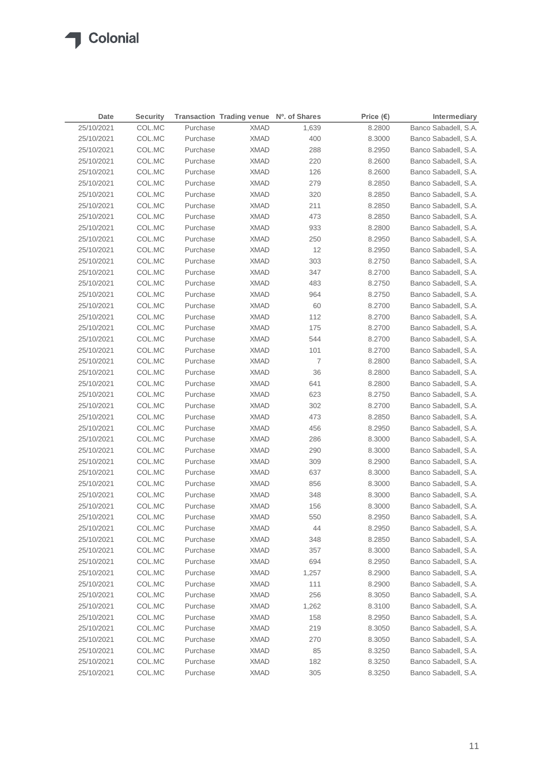| Date       | <b>Security</b> |          | Transaction Trading venue Nº. of Shares |                | Price $(\epsilon)$ | Intermediary         |
|------------|-----------------|----------|-----------------------------------------|----------------|--------------------|----------------------|
| 25/10/2021 | COL.MC          | Purchase | <b>XMAD</b>                             | 1,639          | 8.2800             | Banco Sabadell, S.A. |
| 25/10/2021 | COL.MC          | Purchase | <b>XMAD</b>                             | 400            | 8.3000             | Banco Sabadell, S.A. |
| 25/10/2021 | COL.MC          | Purchase | <b>XMAD</b>                             | 288            | 8.2950             | Banco Sabadell, S.A. |
| 25/10/2021 | COL.MC          | Purchase | <b>XMAD</b>                             | 220            | 8.2600             | Banco Sabadell, S.A. |
| 25/10/2021 | COL.MC          | Purchase | <b>XMAD</b>                             | 126            | 8.2600             | Banco Sabadell, S.A. |
| 25/10/2021 | COL.MC          | Purchase | <b>XMAD</b>                             | 279            | 8.2850             | Banco Sabadell, S.A. |
| 25/10/2021 | COL.MC          | Purchase | <b>XMAD</b>                             | 320            | 8.2850             | Banco Sabadell, S.A. |
| 25/10/2021 | COL.MC          | Purchase | <b>XMAD</b>                             | 211            | 8.2850             | Banco Sabadell, S.A. |
| 25/10/2021 | COL.MC          | Purchase | <b>XMAD</b>                             | 473            | 8.2850             | Banco Sabadell, S.A. |
| 25/10/2021 | COL.MC          | Purchase | <b>XMAD</b>                             | 933            | 8.2800             | Banco Sabadell, S.A. |
| 25/10/2021 | COL.MC          | Purchase | <b>XMAD</b>                             | 250            | 8.2950             | Banco Sabadell, S.A. |
| 25/10/2021 | COL.MC          | Purchase | <b>XMAD</b>                             | 12             | 8.2950             | Banco Sabadell, S.A. |
| 25/10/2021 | COL.MC          | Purchase | <b>XMAD</b>                             | 303            | 8.2750             | Banco Sabadell, S.A. |
| 25/10/2021 | COL.MC          | Purchase | <b>XMAD</b>                             | 347            | 8.2700             | Banco Sabadell, S.A. |
| 25/10/2021 | COL.MC          | Purchase | <b>XMAD</b>                             | 483            | 8.2750             | Banco Sabadell, S.A. |
| 25/10/2021 | COL.MC          | Purchase | <b>XMAD</b>                             | 964            | 8.2750             | Banco Sabadell, S.A. |
| 25/10/2021 | COL.MC          | Purchase | <b>XMAD</b>                             | 60             | 8.2700             | Banco Sabadell, S.A. |
| 25/10/2021 | COL.MC          | Purchase | <b>XMAD</b>                             | 112            | 8.2700             | Banco Sabadell, S.A. |
| 25/10/2021 | COL.MC          | Purchase | <b>XMAD</b>                             | 175            | 8.2700             | Banco Sabadell, S.A. |
| 25/10/2021 | COL.MC          | Purchase | <b>XMAD</b>                             | 544            | 8.2700             | Banco Sabadell, S.A. |
| 25/10/2021 | COL.MC          | Purchase | <b>XMAD</b>                             | 101            | 8.2700             | Banco Sabadell, S.A. |
| 25/10/2021 | COL.MC          | Purchase | <b>XMAD</b>                             | $\overline{7}$ | 8.2800             | Banco Sabadell, S.A. |
| 25/10/2021 | COL.MC          | Purchase | XMAD                                    | 36             | 8.2800             | Banco Sabadell, S.A. |
| 25/10/2021 | COL.MC          | Purchase | XMAD                                    | 641            | 8.2800             | Banco Sabadell, S.A. |
| 25/10/2021 | COL.MC          | Purchase | XMAD                                    | 623            | 8.2750             | Banco Sabadell, S.A. |
| 25/10/2021 | COL.MC          | Purchase | XMAD                                    | 302            | 8.2700             | Banco Sabadell, S.A. |
| 25/10/2021 | COL.MC          | Purchase | XMAD                                    | 473            | 8.2850             | Banco Sabadell, S.A. |
| 25/10/2021 | COL.MC          | Purchase | XMAD                                    | 456            | 8.2950             | Banco Sabadell, S.A. |
| 25/10/2021 | COL.MC          | Purchase | XMAD                                    | 286            | 8.3000             | Banco Sabadell, S.A. |
| 25/10/2021 | COL.MC          | Purchase | XMAD                                    | 290            | 8.3000             | Banco Sabadell, S.A. |
| 25/10/2021 | COL.MC          | Purchase | XMAD                                    | 309            | 8.2900             | Banco Sabadell, S.A. |
| 25/10/2021 | COL.MC          | Purchase | XMAD                                    | 637            | 8.3000             | Banco Sabadell, S.A. |
| 25/10/2021 | COL.MC          | Purchase | XMAD                                    | 856            | 8.3000             | Banco Sabadell, S.A. |
| 25/10/2021 | COL.MC          | Purchase | <b>XMAD</b>                             | 348            | 8.3000             | Banco Sabadell, S.A. |
| 25/10/2021 | COL.MC          | Purchase | <b>XMAD</b>                             | 156            | 8.3000             | Banco Sabadell, S.A. |
| 25/10/2021 | COL.MC          | Purchase | <b>XMAD</b>                             | 550            | 8.2950             | Banco Sabadell, S.A. |
| 25/10/2021 | COL.MC          | Purchase | <b>XMAD</b>                             | 44             | 8.2950             | Banco Sabadell, S.A. |
| 25/10/2021 | COL.MC          | Purchase | <b>XMAD</b>                             | 348            | 8.2850             | Banco Sabadell, S.A. |
| 25/10/2021 | COL.MC          | Purchase | <b>XMAD</b>                             | 357            | 8.3000             | Banco Sabadell, S.A. |
| 25/10/2021 | COL.MC          | Purchase | <b>XMAD</b>                             | 694            | 8.2950             | Banco Sabadell, S.A. |
| 25/10/2021 | COL.MC          | Purchase | <b>XMAD</b>                             | 1,257          | 8.2900             | Banco Sabadell, S.A. |
| 25/10/2021 | COL.MC          | Purchase | <b>XMAD</b>                             | 111            | 8.2900             | Banco Sabadell, S.A. |
| 25/10/2021 | COL.MC          | Purchase | <b>XMAD</b>                             | 256            | 8.3050             | Banco Sabadell, S.A. |
| 25/10/2021 | COL.MC          | Purchase | <b>XMAD</b>                             | 1,262          | 8.3100             | Banco Sabadell, S.A. |
| 25/10/2021 | COL.MC          | Purchase | <b>XMAD</b>                             | 158            | 8.2950             | Banco Sabadell, S.A. |
| 25/10/2021 | COL.MC          | Purchase | <b>XMAD</b>                             | 219            | 8.3050             | Banco Sabadell, S.A. |
| 25/10/2021 | COL.MC          | Purchase | <b>XMAD</b>                             | 270            | 8.3050             | Banco Sabadell, S.A. |
| 25/10/2021 | COL.MC          | Purchase | <b>XMAD</b>                             | 85             | 8.3250             | Banco Sabadell, S.A. |
| 25/10/2021 | COL.MC          | Purchase | <b>XMAD</b>                             | 182            | 8.3250             | Banco Sabadell, S.A. |
| 25/10/2021 | COL.MC          | Purchase | <b>XMAD</b>                             | 305            | 8.3250             | Banco Sabadell, S.A. |
|            |                 |          |                                         |                |                    |                      |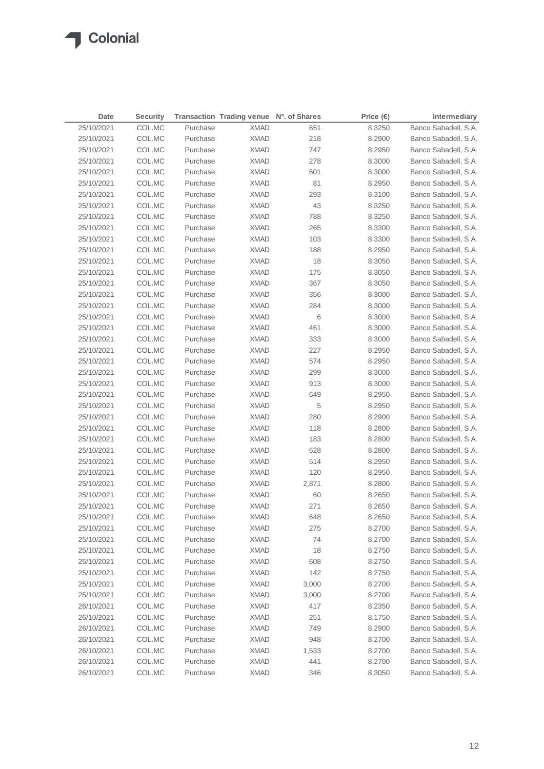$\sqrt{2}$ 

| 25/10/2021<br>Purchase<br>Banco Sabadell, S.A.<br>COL.MC<br><b>XMAD</b><br>651<br>8.3250<br>25/10/2021<br>COL.MC<br>Purchase<br><b>XMAD</b><br>218<br>8.2900<br>Banco Sabadell, S.A.<br>25/10/2021<br>COL.MC<br>Purchase<br><b>XMAD</b><br>747<br>8.2950<br>Banco Sabadell, S.A.<br>COL.MC<br><b>XMAD</b><br>Banco Sabadell, S.A.<br>25/10/2021<br>Purchase<br>278<br>8.3000<br>601<br>25/10/2021<br>COL.MC<br>Purchase<br><b>XMAD</b><br>8.3000<br>Banco Sabadell, S.A. |  |
|--------------------------------------------------------------------------------------------------------------------------------------------------------------------------------------------------------------------------------------------------------------------------------------------------------------------------------------------------------------------------------------------------------------------------------------------------------------------------|--|
|                                                                                                                                                                                                                                                                                                                                                                                                                                                                          |  |
|                                                                                                                                                                                                                                                                                                                                                                                                                                                                          |  |
|                                                                                                                                                                                                                                                                                                                                                                                                                                                                          |  |
|                                                                                                                                                                                                                                                                                                                                                                                                                                                                          |  |
|                                                                                                                                                                                                                                                                                                                                                                                                                                                                          |  |
| 81<br>25/10/2021<br>COL.MC<br>Purchase<br><b>XMAD</b><br>8.2950<br>Banco Sabadell, S.A.                                                                                                                                                                                                                                                                                                                                                                                  |  |
| 293<br>25/10/2021<br>COL.MC<br>Purchase<br><b>XMAD</b><br>Banco Sabadell, S.A.<br>8.3100                                                                                                                                                                                                                                                                                                                                                                                 |  |
| 43<br>25/10/2021<br>COL.MC<br>Purchase<br><b>XMAD</b><br>8.3250<br>Banco Sabadell, S.A.                                                                                                                                                                                                                                                                                                                                                                                  |  |
| 25/10/2021<br>COL.MC<br>Purchase<br><b>XMAD</b><br>788<br>8.3250<br>Banco Sabadell, S.A.                                                                                                                                                                                                                                                                                                                                                                                 |  |
| 265<br>25/10/2021<br>COL.MC<br>Purchase<br><b>XMAD</b><br>8.3300<br>Banco Sabadell, S.A.                                                                                                                                                                                                                                                                                                                                                                                 |  |
| 25/10/2021<br>COL.MC<br>Purchase<br><b>XMAD</b><br>103<br>8.3300<br>Banco Sabadell, S.A.                                                                                                                                                                                                                                                                                                                                                                                 |  |
| 25/10/2021<br>COL.MC<br>Purchase<br><b>XMAD</b><br>188<br>8.2950<br>Banco Sabadell, S.A.                                                                                                                                                                                                                                                                                                                                                                                 |  |
| 18<br>25/10/2021<br>COL.MC<br>Purchase<br><b>XMAD</b><br>8.3050<br>Banco Sabadell, S.A.                                                                                                                                                                                                                                                                                                                                                                                  |  |
| 25/10/2021<br>COL.MC<br>Purchase<br><b>XMAD</b><br>175<br>8.3050<br>Banco Sabadell, S.A.                                                                                                                                                                                                                                                                                                                                                                                 |  |
| 367<br>25/10/2021<br>COL.MC<br>Purchase<br><b>XMAD</b><br>8.3050<br>Banco Sabadell, S.A.                                                                                                                                                                                                                                                                                                                                                                                 |  |
| 25/10/2021<br>COL.MC<br>Purchase<br><b>XMAD</b><br>356<br>8.3000<br>Banco Sabadell, S.A.                                                                                                                                                                                                                                                                                                                                                                                 |  |
| 25/10/2021<br>COL.MC<br>Purchase<br><b>XMAD</b><br>284<br>8.3000<br>Banco Sabadell, S.A.                                                                                                                                                                                                                                                                                                                                                                                 |  |
| 6<br>25/10/2021<br>COL.MC<br>Purchase<br><b>XMAD</b><br>8.3000<br>Banco Sabadell, S.A.                                                                                                                                                                                                                                                                                                                                                                                   |  |
| 25/10/2021<br>COL.MC<br>Purchase<br><b>XMAD</b><br>461<br>8.3000<br>Banco Sabadell, S.A.                                                                                                                                                                                                                                                                                                                                                                                 |  |
| 25/10/2021<br>COL.MC<br>Purchase<br><b>XMAD</b><br>333<br>8.3000<br>Banco Sabadell, S.A.                                                                                                                                                                                                                                                                                                                                                                                 |  |
| 25/10/2021<br>COL.MC<br>Purchase<br><b>XMAD</b><br>227<br>8.2950<br>Banco Sabadell, S.A.                                                                                                                                                                                                                                                                                                                                                                                 |  |
| 25/10/2021<br>COL.MC<br>Purchase<br><b>XMAD</b><br>574<br>Banco Sabadell, S.A.<br>8.2950                                                                                                                                                                                                                                                                                                                                                                                 |  |
| 25/10/2021<br>COL.MC<br>Purchase<br>299<br>8.3000<br>Banco Sabadell, S.A.<br>XMAD                                                                                                                                                                                                                                                                                                                                                                                        |  |
| 25/10/2021<br>COL.MC<br>Purchase<br>913<br>Banco Sabadell, S.A.<br>XMAD<br>8.3000                                                                                                                                                                                                                                                                                                                                                                                        |  |
| 25/10/2021<br>COL.MC<br>Purchase<br>649<br>Banco Sabadell, S.A.<br>XMAD<br>8.2950                                                                                                                                                                                                                                                                                                                                                                                        |  |
| 5<br>25/10/2021<br>COL.MC<br>Purchase<br>Banco Sabadell, S.A.<br>XMAD<br>8.2950                                                                                                                                                                                                                                                                                                                                                                                          |  |
| 25/10/2021<br>Purchase<br>280<br>8.2900<br>Banco Sabadell, S.A.<br>COL.MC<br>XMAD                                                                                                                                                                                                                                                                                                                                                                                        |  |
| Banco Sabadell, S.A.<br>25/10/2021<br>COL.MC<br>Purchase<br>XMAD<br>118<br>8.2800                                                                                                                                                                                                                                                                                                                                                                                        |  |
| 25/10/2021<br>Purchase<br>183<br>Banco Sabadell, S.A.<br>COL.MC<br>XMAD<br>8.2800                                                                                                                                                                                                                                                                                                                                                                                        |  |
| 25/10/2021<br>628<br>Banco Sabadell, S.A.<br>COL.MC<br>Purchase<br>XMAD<br>8.2800                                                                                                                                                                                                                                                                                                                                                                                        |  |
| 25/10/2021<br>514<br>Banco Sabadell, S.A.<br>COL.MC<br>Purchase<br>XMAD<br>8.2950                                                                                                                                                                                                                                                                                                                                                                                        |  |
| 25/10/2021<br>COL.MC<br>Purchase<br>120<br>Banco Sabadell, S.A.<br>XMAD<br>8.2950                                                                                                                                                                                                                                                                                                                                                                                        |  |
| 25/10/2021<br>COL.MC<br>Purchase<br>Banco Sabadell, S.A.<br>XMAD<br>2,871<br>8.2800                                                                                                                                                                                                                                                                                                                                                                                      |  |
| 25/10/2021<br>COL.MC<br>Purchase<br><b>XMAD</b><br>60<br>8.2650<br>Banco Sabadell, S.A.                                                                                                                                                                                                                                                                                                                                                                                  |  |
| Banco Sabadell, S.A.<br>25/10/2021<br>COL.MC<br>Purchase<br><b>XMAD</b><br>271<br>8.2650                                                                                                                                                                                                                                                                                                                                                                                 |  |
| 25/10/2021<br>COL.MC<br><b>XMAD</b><br>Purchase<br>648<br>8.2650<br>Banco Sabadell, S.A.                                                                                                                                                                                                                                                                                                                                                                                 |  |
| COL.MC<br>25/10/2021<br>Purchase<br><b>XMAD</b><br>275<br>8.2700<br>Banco Sabadell, S.A.                                                                                                                                                                                                                                                                                                                                                                                 |  |
| <b>XMAD</b><br>25/10/2021<br>COL.MC<br>Purchase<br>74<br>8.2700<br>Banco Sabadell, S.A.                                                                                                                                                                                                                                                                                                                                                                                  |  |
| 18<br>25/10/2021<br>COL.MC<br>Purchase<br><b>XMAD</b><br>8.2750<br>Banco Sabadell, S.A.                                                                                                                                                                                                                                                                                                                                                                                  |  |
| Banco Sabadell, S.A.<br>25/10/2021<br>COL.MC<br>Purchase<br><b>XMAD</b><br>608<br>8.2750                                                                                                                                                                                                                                                                                                                                                                                 |  |
| 25/10/2021<br>COL.MC<br>Purchase<br><b>XMAD</b><br>142<br>8.2750<br>Banco Sabadell, S.A.                                                                                                                                                                                                                                                                                                                                                                                 |  |
| Banco Sabadell, S.A.<br>25/10/2021<br>COL.MC<br>Purchase<br><b>XMAD</b><br>3,000<br>8.2700                                                                                                                                                                                                                                                                                                                                                                               |  |
| 25/10/2021<br>COL.MC<br>Purchase<br><b>XMAD</b><br>3,000<br>8.2700<br>Banco Sabadell, S.A.                                                                                                                                                                                                                                                                                                                                                                               |  |
| Banco Sabadell, S.A.<br>26/10/2021<br>COL.MC<br>Purchase<br><b>XMAD</b><br>417<br>8.2350                                                                                                                                                                                                                                                                                                                                                                                 |  |
| 26/10/2021<br>COL.MC<br>Purchase<br><b>XMAD</b><br>251<br>8.1750<br>Banco Sabadell, S.A.                                                                                                                                                                                                                                                                                                                                                                                 |  |
| 26/10/2021<br>COL.MC<br>Purchase<br><b>XMAD</b><br>749<br>8.2900<br>Banco Sabadell, S.A.                                                                                                                                                                                                                                                                                                                                                                                 |  |
| 26/10/2021<br>COL.MC<br>Purchase<br><b>XMAD</b><br>948<br>8.2700<br>Banco Sabadell, S.A.                                                                                                                                                                                                                                                                                                                                                                                 |  |
| 26/10/2021<br>COL.MC<br>Purchase<br><b>XMAD</b><br>8.2700<br>Banco Sabadell, S.A.<br>1,533                                                                                                                                                                                                                                                                                                                                                                               |  |
| 26/10/2021<br>COL.MC<br>Purchase<br><b>XMAD</b><br>441<br>8.2700<br>Banco Sabadell, S.A.                                                                                                                                                                                                                                                                                                                                                                                 |  |
| 26/10/2021<br>COL.MC<br>Purchase<br><b>XMAD</b><br>346<br>8.3050<br>Banco Sabadell, S.A.                                                                                                                                                                                                                                                                                                                                                                                 |  |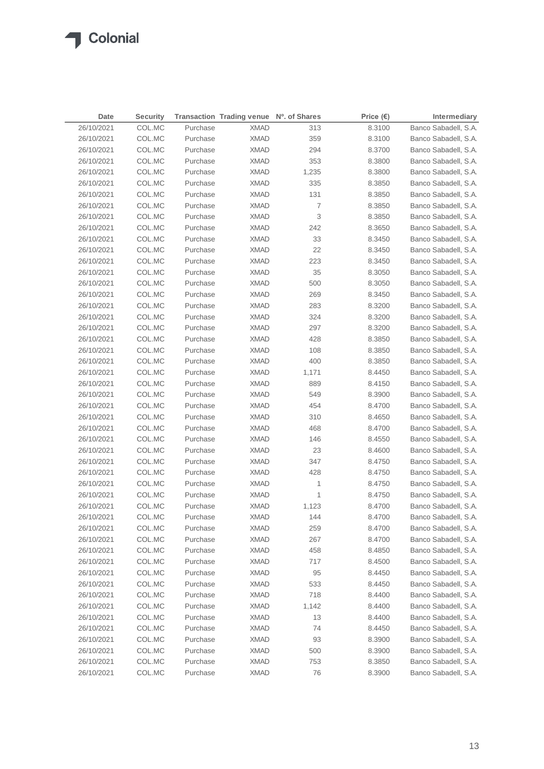◢

| 26/10/2021<br>COL.MC<br>Purchase<br><b>XMAD</b><br>Banco Sabadell, S.A.<br>313<br>8.3100<br>26/10/2021<br><b>XMAD</b><br>COL.MC<br>Purchase<br>359<br>8.3100<br>Banco Sabadell, S.A.<br>294<br>26/10/2021<br>COL.MC<br>Purchase<br><b>XMAD</b><br>Banco Sabadell, S.A.<br>8.3700<br>353<br>26/10/2021<br>COL.MC<br>Purchase<br><b>XMAD</b><br>8.3800<br>Banco Sabadell, S.A.<br>26/10/2021<br>COL.MC<br>Purchase<br><b>XMAD</b><br>1,235<br>8.3800<br>Banco Sabadell, S.A.<br>26/10/2021<br>COL.MC<br>Purchase<br><b>XMAD</b><br>335<br>8.3850<br>Banco Sabadell, S.A.<br>26/10/2021<br>COL.MC<br>Purchase<br><b>XMAD</b><br>131<br>Banco Sabadell, S.A.<br>8.3850<br>Banco Sabadell, S.A.<br>26/10/2021<br>COL.MC<br>Purchase<br><b>XMAD</b><br>7<br>8.3850<br>3<br>26/10/2021<br>COL.MC<br>Purchase<br><b>XMAD</b><br>8.3850<br>Banco Sabadell, S.A.<br>Banco Sabadell, S.A.<br>26/10/2021<br>COL.MC<br>Purchase<br><b>XMAD</b><br>242<br>8.3650<br>33<br>26/10/2021<br>COL.MC<br>Purchase<br><b>XMAD</b><br>Banco Sabadell, S.A.<br>8.3450<br>22<br>26/10/2021<br>COL.MC<br>Purchase<br><b>XMAD</b><br>Banco Sabadell, S.A.<br>8.3450<br>26/10/2021<br>COL.MC<br>Purchase<br><b>XMAD</b><br>223<br>Banco Sabadell, S.A.<br>8.3450<br>26/10/2021<br>COL.MC<br>Purchase<br><b>XMAD</b><br>35<br>8.3050<br>Banco Sabadell, S.A.<br>26/10/2021<br>COL.MC<br>Purchase<br><b>XMAD</b><br>500<br>8.3050<br>Banco Sabadell, S.A.<br>26/10/2021<br>COL.MC<br>Purchase<br><b>XMAD</b><br>269<br>8.3450<br>Banco Sabadell, S.A.<br>26/10/2021<br>COL.MC<br>Purchase<br><b>XMAD</b><br>283<br>8.3200<br>Banco Sabadell, S.A.<br>324<br>26/10/2021<br>COL.MC<br>Purchase<br><b>XMAD</b><br>8.3200<br>Banco Sabadell, S.A.<br>26/10/2021<br>COL.MC<br>Purchase<br><b>XMAD</b><br>297<br>8.3200<br>Banco Sabadell, S.A.<br>26/10/2021<br>COL.MC<br>Purchase<br><b>XMAD</b><br>428<br>8.3850<br>Banco Sabadell, S.A.<br>26/10/2021<br>COL.MC<br>Purchase<br>108<br>Banco Sabadell, S.A.<br>XMAD<br>8.3850<br>26/10/2021<br>COL.MC<br>Purchase<br><b>XMAD</b><br>400<br>Banco Sabadell, S.A.<br>8.3850<br>26/10/2021<br>Purchase<br>Banco Sabadell, S.A.<br>COL.MC<br>XMAD<br>1,171<br>8.4450<br>26/10/2021<br>COL.MC<br>Purchase<br>889<br>Banco Sabadell, S.A.<br>XMAD<br>8.4150<br>26/10/2021<br>Purchase<br>549<br>Banco Sabadell, S.A.<br>COL.MC<br>XMAD<br>8.3900<br>454<br>Banco Sabadell, S.A.<br>26/10/2021<br>COL.MC<br>Purchase<br>XMAD<br>8.4700<br>Purchase<br>310<br>Banco Sabadell, S.A.<br>26/10/2021<br>COL.MC<br>XMAD<br>8.4650<br>26/10/2021<br>468<br>Banco Sabadell, S.A.<br>COL.MC<br>Purchase<br>XMAD<br>8.4700<br>26/10/2021<br>COL.MC<br>146<br>Banco Sabadell, S.A.<br>Purchase<br>XMAD<br>8.4550<br>26/10/2021<br>COL.MC<br>Purchase<br>23<br>Banco Sabadell, S.A.<br>XMAD<br>8.4600<br>26/10/2021<br>COL.MC<br>Purchase<br>347<br>Banco Sabadell, S.A.<br>XMAD<br>8.4750<br>26/10/2021<br>COL.MC<br>Purchase<br><b>XMAD</b><br>428<br>8.4750<br>Banco Sabadell, S.A.<br>26/10/2021<br>COL.MC<br>Purchase<br>1<br>Banco Sabadell, S.A.<br>XMAD<br>8.4750<br>Banco Sabadell, S.A.<br>26/10/2021<br>COL.MC<br>Purchase<br><b>XMAD</b><br>1<br>8.4750<br>Banco Sabadell, S.A.<br>26/10/2021<br>COL.MC<br>Purchase<br><b>XMAD</b><br>1,123<br>8.4700<br>COL.MC<br><b>XMAD</b><br>144<br>8.4700<br>26/10/2021<br>Banco Sabadell, S.A.<br>Purchase<br>26/10/2021<br>COL.MC<br>Purchase<br><b>XMAD</b><br>259<br>8.4700<br>Banco Sabadell, S.A.<br>267<br>Banco Sabadell, S.A.<br>26/10/2021<br>COL.MC<br>Purchase<br><b>XMAD</b><br>8.4700<br>26/10/2021<br>COL.MC<br>Purchase<br><b>XMAD</b><br>458<br>8.4850<br>Banco Sabadell, S.A.<br>Banco Sabadell, S.A.<br>26/10/2021<br>COL.MC<br>Purchase<br><b>XMAD</b><br>717<br>8.4500<br>26/10/2021<br>COL.MC<br>Purchase<br><b>XMAD</b><br>95<br>8.4450<br>Banco Sabadell, S.A.<br>Banco Sabadell, S.A.<br>26/10/2021<br>COL.MC<br>Purchase<br><b>XMAD</b><br>533<br>8.4450<br>26/10/2021<br>COL.MC<br>Purchase<br><b>XMAD</b><br>718<br>Banco Sabadell, S.A.<br>8.4400<br>26/10/2021<br>COL.MC<br>Purchase<br><b>XMAD</b><br>1,142<br>Banco Sabadell, S.A.<br>8.4400<br>26/10/2021<br>COL.MC<br>Purchase<br><b>XMAD</b><br>13<br>Banco Sabadell, S.A.<br>8.4400<br>26/10/2021<br>COL.MC<br>Purchase<br><b>XMAD</b><br>74<br>8.4450<br>Banco Sabadell, S.A.<br>26/10/2021<br>COL.MC<br>Purchase<br><b>XMAD</b><br>93<br>8.3900<br>Banco Sabadell, S.A.<br>26/10/2021<br>COL.MC<br>Purchase<br><b>XMAD</b><br>500<br>8.3900<br>Banco Sabadell, S.A.<br>26/10/2021<br>COL.MC<br>Purchase<br><b>XMAD</b><br>753<br>8.3850<br>Banco Sabadell, S.A. | Date       | <b>Security</b> |          | Transaction Trading venue Nº. of Shares |    | Price $(\epsilon)$ | <b>Intermediary</b>  |
|-----------------------------------------------------------------------------------------------------------------------------------------------------------------------------------------------------------------------------------------------------------------------------------------------------------------------------------------------------------------------------------------------------------------------------------------------------------------------------------------------------------------------------------------------------------------------------------------------------------------------------------------------------------------------------------------------------------------------------------------------------------------------------------------------------------------------------------------------------------------------------------------------------------------------------------------------------------------------------------------------------------------------------------------------------------------------------------------------------------------------------------------------------------------------------------------------------------------------------------------------------------------------------------------------------------------------------------------------------------------------------------------------------------------------------------------------------------------------------------------------------------------------------------------------------------------------------------------------------------------------------------------------------------------------------------------------------------------------------------------------------------------------------------------------------------------------------------------------------------------------------------------------------------------------------------------------------------------------------------------------------------------------------------------------------------------------------------------------------------------------------------------------------------------------------------------------------------------------------------------------------------------------------------------------------------------------------------------------------------------------------------------------------------------------------------------------------------------------------------------------------------------------------------------------------------------------------------------------------------------------------------------------------------------------------------------------------------------------------------------------------------------------------------------------------------------------------------------------------------------------------------------------------------------------------------------------------------------------------------------------------------------------------------------------------------------------------------------------------------------------------------------------------------------------------------------------------------------------------------------------------------------------------------------------------------------------------------------------------------------------------------------------------------------------------------------------------------------------------------------------------------------------------------------------------------------------------------------------------------------------------------------------------------------------------------------------------------------------------------------------------------------------------------------------------------------------------------------------------------------------------------------------------------------------------------------------------------------------------------------------------------------------------------------------------------------------------------------------------------------------------------------------------------------------------------------------------------------------------------------------------------------------------------------------------------------------------------------------------------------------------------------------------------------------------------------------------------------------------------------------------------------------------------------------------------------------------------------------------|------------|-----------------|----------|-----------------------------------------|----|--------------------|----------------------|
|                                                                                                                                                                                                                                                                                                                                                                                                                                                                                                                                                                                                                                                                                                                                                                                                                                                                                                                                                                                                                                                                                                                                                                                                                                                                                                                                                                                                                                                                                                                                                                                                                                                                                                                                                                                                                                                                                                                                                                                                                                                                                                                                                                                                                                                                                                                                                                                                                                                                                                                                                                                                                                                                                                                                                                                                                                                                                                                                                                                                                                                                                                                                                                                                                                                                                                                                                                                                                                                                                                                                                                                                                                                                                                                                                                                                                                                                                                                                                                                                                                                                                                                                                                                                                                                                                                                                                                                                                                                                                                                                                                                                     |            |                 |          |                                         |    |                    |                      |
|                                                                                                                                                                                                                                                                                                                                                                                                                                                                                                                                                                                                                                                                                                                                                                                                                                                                                                                                                                                                                                                                                                                                                                                                                                                                                                                                                                                                                                                                                                                                                                                                                                                                                                                                                                                                                                                                                                                                                                                                                                                                                                                                                                                                                                                                                                                                                                                                                                                                                                                                                                                                                                                                                                                                                                                                                                                                                                                                                                                                                                                                                                                                                                                                                                                                                                                                                                                                                                                                                                                                                                                                                                                                                                                                                                                                                                                                                                                                                                                                                                                                                                                                                                                                                                                                                                                                                                                                                                                                                                                                                                                                     |            |                 |          |                                         |    |                    |                      |
|                                                                                                                                                                                                                                                                                                                                                                                                                                                                                                                                                                                                                                                                                                                                                                                                                                                                                                                                                                                                                                                                                                                                                                                                                                                                                                                                                                                                                                                                                                                                                                                                                                                                                                                                                                                                                                                                                                                                                                                                                                                                                                                                                                                                                                                                                                                                                                                                                                                                                                                                                                                                                                                                                                                                                                                                                                                                                                                                                                                                                                                                                                                                                                                                                                                                                                                                                                                                                                                                                                                                                                                                                                                                                                                                                                                                                                                                                                                                                                                                                                                                                                                                                                                                                                                                                                                                                                                                                                                                                                                                                                                                     |            |                 |          |                                         |    |                    |                      |
|                                                                                                                                                                                                                                                                                                                                                                                                                                                                                                                                                                                                                                                                                                                                                                                                                                                                                                                                                                                                                                                                                                                                                                                                                                                                                                                                                                                                                                                                                                                                                                                                                                                                                                                                                                                                                                                                                                                                                                                                                                                                                                                                                                                                                                                                                                                                                                                                                                                                                                                                                                                                                                                                                                                                                                                                                                                                                                                                                                                                                                                                                                                                                                                                                                                                                                                                                                                                                                                                                                                                                                                                                                                                                                                                                                                                                                                                                                                                                                                                                                                                                                                                                                                                                                                                                                                                                                                                                                                                                                                                                                                                     |            |                 |          |                                         |    |                    |                      |
|                                                                                                                                                                                                                                                                                                                                                                                                                                                                                                                                                                                                                                                                                                                                                                                                                                                                                                                                                                                                                                                                                                                                                                                                                                                                                                                                                                                                                                                                                                                                                                                                                                                                                                                                                                                                                                                                                                                                                                                                                                                                                                                                                                                                                                                                                                                                                                                                                                                                                                                                                                                                                                                                                                                                                                                                                                                                                                                                                                                                                                                                                                                                                                                                                                                                                                                                                                                                                                                                                                                                                                                                                                                                                                                                                                                                                                                                                                                                                                                                                                                                                                                                                                                                                                                                                                                                                                                                                                                                                                                                                                                                     |            |                 |          |                                         |    |                    |                      |
|                                                                                                                                                                                                                                                                                                                                                                                                                                                                                                                                                                                                                                                                                                                                                                                                                                                                                                                                                                                                                                                                                                                                                                                                                                                                                                                                                                                                                                                                                                                                                                                                                                                                                                                                                                                                                                                                                                                                                                                                                                                                                                                                                                                                                                                                                                                                                                                                                                                                                                                                                                                                                                                                                                                                                                                                                                                                                                                                                                                                                                                                                                                                                                                                                                                                                                                                                                                                                                                                                                                                                                                                                                                                                                                                                                                                                                                                                                                                                                                                                                                                                                                                                                                                                                                                                                                                                                                                                                                                                                                                                                                                     |            |                 |          |                                         |    |                    |                      |
|                                                                                                                                                                                                                                                                                                                                                                                                                                                                                                                                                                                                                                                                                                                                                                                                                                                                                                                                                                                                                                                                                                                                                                                                                                                                                                                                                                                                                                                                                                                                                                                                                                                                                                                                                                                                                                                                                                                                                                                                                                                                                                                                                                                                                                                                                                                                                                                                                                                                                                                                                                                                                                                                                                                                                                                                                                                                                                                                                                                                                                                                                                                                                                                                                                                                                                                                                                                                                                                                                                                                                                                                                                                                                                                                                                                                                                                                                                                                                                                                                                                                                                                                                                                                                                                                                                                                                                                                                                                                                                                                                                                                     |            |                 |          |                                         |    |                    |                      |
|                                                                                                                                                                                                                                                                                                                                                                                                                                                                                                                                                                                                                                                                                                                                                                                                                                                                                                                                                                                                                                                                                                                                                                                                                                                                                                                                                                                                                                                                                                                                                                                                                                                                                                                                                                                                                                                                                                                                                                                                                                                                                                                                                                                                                                                                                                                                                                                                                                                                                                                                                                                                                                                                                                                                                                                                                                                                                                                                                                                                                                                                                                                                                                                                                                                                                                                                                                                                                                                                                                                                                                                                                                                                                                                                                                                                                                                                                                                                                                                                                                                                                                                                                                                                                                                                                                                                                                                                                                                                                                                                                                                                     |            |                 |          |                                         |    |                    |                      |
|                                                                                                                                                                                                                                                                                                                                                                                                                                                                                                                                                                                                                                                                                                                                                                                                                                                                                                                                                                                                                                                                                                                                                                                                                                                                                                                                                                                                                                                                                                                                                                                                                                                                                                                                                                                                                                                                                                                                                                                                                                                                                                                                                                                                                                                                                                                                                                                                                                                                                                                                                                                                                                                                                                                                                                                                                                                                                                                                                                                                                                                                                                                                                                                                                                                                                                                                                                                                                                                                                                                                                                                                                                                                                                                                                                                                                                                                                                                                                                                                                                                                                                                                                                                                                                                                                                                                                                                                                                                                                                                                                                                                     |            |                 |          |                                         |    |                    |                      |
|                                                                                                                                                                                                                                                                                                                                                                                                                                                                                                                                                                                                                                                                                                                                                                                                                                                                                                                                                                                                                                                                                                                                                                                                                                                                                                                                                                                                                                                                                                                                                                                                                                                                                                                                                                                                                                                                                                                                                                                                                                                                                                                                                                                                                                                                                                                                                                                                                                                                                                                                                                                                                                                                                                                                                                                                                                                                                                                                                                                                                                                                                                                                                                                                                                                                                                                                                                                                                                                                                                                                                                                                                                                                                                                                                                                                                                                                                                                                                                                                                                                                                                                                                                                                                                                                                                                                                                                                                                                                                                                                                                                                     |            |                 |          |                                         |    |                    |                      |
|                                                                                                                                                                                                                                                                                                                                                                                                                                                                                                                                                                                                                                                                                                                                                                                                                                                                                                                                                                                                                                                                                                                                                                                                                                                                                                                                                                                                                                                                                                                                                                                                                                                                                                                                                                                                                                                                                                                                                                                                                                                                                                                                                                                                                                                                                                                                                                                                                                                                                                                                                                                                                                                                                                                                                                                                                                                                                                                                                                                                                                                                                                                                                                                                                                                                                                                                                                                                                                                                                                                                                                                                                                                                                                                                                                                                                                                                                                                                                                                                                                                                                                                                                                                                                                                                                                                                                                                                                                                                                                                                                                                                     |            |                 |          |                                         |    |                    |                      |
|                                                                                                                                                                                                                                                                                                                                                                                                                                                                                                                                                                                                                                                                                                                                                                                                                                                                                                                                                                                                                                                                                                                                                                                                                                                                                                                                                                                                                                                                                                                                                                                                                                                                                                                                                                                                                                                                                                                                                                                                                                                                                                                                                                                                                                                                                                                                                                                                                                                                                                                                                                                                                                                                                                                                                                                                                                                                                                                                                                                                                                                                                                                                                                                                                                                                                                                                                                                                                                                                                                                                                                                                                                                                                                                                                                                                                                                                                                                                                                                                                                                                                                                                                                                                                                                                                                                                                                                                                                                                                                                                                                                                     |            |                 |          |                                         |    |                    |                      |
|                                                                                                                                                                                                                                                                                                                                                                                                                                                                                                                                                                                                                                                                                                                                                                                                                                                                                                                                                                                                                                                                                                                                                                                                                                                                                                                                                                                                                                                                                                                                                                                                                                                                                                                                                                                                                                                                                                                                                                                                                                                                                                                                                                                                                                                                                                                                                                                                                                                                                                                                                                                                                                                                                                                                                                                                                                                                                                                                                                                                                                                                                                                                                                                                                                                                                                                                                                                                                                                                                                                                                                                                                                                                                                                                                                                                                                                                                                                                                                                                                                                                                                                                                                                                                                                                                                                                                                                                                                                                                                                                                                                                     |            |                 |          |                                         |    |                    |                      |
|                                                                                                                                                                                                                                                                                                                                                                                                                                                                                                                                                                                                                                                                                                                                                                                                                                                                                                                                                                                                                                                                                                                                                                                                                                                                                                                                                                                                                                                                                                                                                                                                                                                                                                                                                                                                                                                                                                                                                                                                                                                                                                                                                                                                                                                                                                                                                                                                                                                                                                                                                                                                                                                                                                                                                                                                                                                                                                                                                                                                                                                                                                                                                                                                                                                                                                                                                                                                                                                                                                                                                                                                                                                                                                                                                                                                                                                                                                                                                                                                                                                                                                                                                                                                                                                                                                                                                                                                                                                                                                                                                                                                     |            |                 |          |                                         |    |                    |                      |
|                                                                                                                                                                                                                                                                                                                                                                                                                                                                                                                                                                                                                                                                                                                                                                                                                                                                                                                                                                                                                                                                                                                                                                                                                                                                                                                                                                                                                                                                                                                                                                                                                                                                                                                                                                                                                                                                                                                                                                                                                                                                                                                                                                                                                                                                                                                                                                                                                                                                                                                                                                                                                                                                                                                                                                                                                                                                                                                                                                                                                                                                                                                                                                                                                                                                                                                                                                                                                                                                                                                                                                                                                                                                                                                                                                                                                                                                                                                                                                                                                                                                                                                                                                                                                                                                                                                                                                                                                                                                                                                                                                                                     |            |                 |          |                                         |    |                    |                      |
|                                                                                                                                                                                                                                                                                                                                                                                                                                                                                                                                                                                                                                                                                                                                                                                                                                                                                                                                                                                                                                                                                                                                                                                                                                                                                                                                                                                                                                                                                                                                                                                                                                                                                                                                                                                                                                                                                                                                                                                                                                                                                                                                                                                                                                                                                                                                                                                                                                                                                                                                                                                                                                                                                                                                                                                                                                                                                                                                                                                                                                                                                                                                                                                                                                                                                                                                                                                                                                                                                                                                                                                                                                                                                                                                                                                                                                                                                                                                                                                                                                                                                                                                                                                                                                                                                                                                                                                                                                                                                                                                                                                                     |            |                 |          |                                         |    |                    |                      |
|                                                                                                                                                                                                                                                                                                                                                                                                                                                                                                                                                                                                                                                                                                                                                                                                                                                                                                                                                                                                                                                                                                                                                                                                                                                                                                                                                                                                                                                                                                                                                                                                                                                                                                                                                                                                                                                                                                                                                                                                                                                                                                                                                                                                                                                                                                                                                                                                                                                                                                                                                                                                                                                                                                                                                                                                                                                                                                                                                                                                                                                                                                                                                                                                                                                                                                                                                                                                                                                                                                                                                                                                                                                                                                                                                                                                                                                                                                                                                                                                                                                                                                                                                                                                                                                                                                                                                                                                                                                                                                                                                                                                     |            |                 |          |                                         |    |                    |                      |
|                                                                                                                                                                                                                                                                                                                                                                                                                                                                                                                                                                                                                                                                                                                                                                                                                                                                                                                                                                                                                                                                                                                                                                                                                                                                                                                                                                                                                                                                                                                                                                                                                                                                                                                                                                                                                                                                                                                                                                                                                                                                                                                                                                                                                                                                                                                                                                                                                                                                                                                                                                                                                                                                                                                                                                                                                                                                                                                                                                                                                                                                                                                                                                                                                                                                                                                                                                                                                                                                                                                                                                                                                                                                                                                                                                                                                                                                                                                                                                                                                                                                                                                                                                                                                                                                                                                                                                                                                                                                                                                                                                                                     |            |                 |          |                                         |    |                    |                      |
|                                                                                                                                                                                                                                                                                                                                                                                                                                                                                                                                                                                                                                                                                                                                                                                                                                                                                                                                                                                                                                                                                                                                                                                                                                                                                                                                                                                                                                                                                                                                                                                                                                                                                                                                                                                                                                                                                                                                                                                                                                                                                                                                                                                                                                                                                                                                                                                                                                                                                                                                                                                                                                                                                                                                                                                                                                                                                                                                                                                                                                                                                                                                                                                                                                                                                                                                                                                                                                                                                                                                                                                                                                                                                                                                                                                                                                                                                                                                                                                                                                                                                                                                                                                                                                                                                                                                                                                                                                                                                                                                                                                                     |            |                 |          |                                         |    |                    |                      |
|                                                                                                                                                                                                                                                                                                                                                                                                                                                                                                                                                                                                                                                                                                                                                                                                                                                                                                                                                                                                                                                                                                                                                                                                                                                                                                                                                                                                                                                                                                                                                                                                                                                                                                                                                                                                                                                                                                                                                                                                                                                                                                                                                                                                                                                                                                                                                                                                                                                                                                                                                                                                                                                                                                                                                                                                                                                                                                                                                                                                                                                                                                                                                                                                                                                                                                                                                                                                                                                                                                                                                                                                                                                                                                                                                                                                                                                                                                                                                                                                                                                                                                                                                                                                                                                                                                                                                                                                                                                                                                                                                                                                     |            |                 |          |                                         |    |                    |                      |
|                                                                                                                                                                                                                                                                                                                                                                                                                                                                                                                                                                                                                                                                                                                                                                                                                                                                                                                                                                                                                                                                                                                                                                                                                                                                                                                                                                                                                                                                                                                                                                                                                                                                                                                                                                                                                                                                                                                                                                                                                                                                                                                                                                                                                                                                                                                                                                                                                                                                                                                                                                                                                                                                                                                                                                                                                                                                                                                                                                                                                                                                                                                                                                                                                                                                                                                                                                                                                                                                                                                                                                                                                                                                                                                                                                                                                                                                                                                                                                                                                                                                                                                                                                                                                                                                                                                                                                                                                                                                                                                                                                                                     |            |                 |          |                                         |    |                    |                      |
|                                                                                                                                                                                                                                                                                                                                                                                                                                                                                                                                                                                                                                                                                                                                                                                                                                                                                                                                                                                                                                                                                                                                                                                                                                                                                                                                                                                                                                                                                                                                                                                                                                                                                                                                                                                                                                                                                                                                                                                                                                                                                                                                                                                                                                                                                                                                                                                                                                                                                                                                                                                                                                                                                                                                                                                                                                                                                                                                                                                                                                                                                                                                                                                                                                                                                                                                                                                                                                                                                                                                                                                                                                                                                                                                                                                                                                                                                                                                                                                                                                                                                                                                                                                                                                                                                                                                                                                                                                                                                                                                                                                                     |            |                 |          |                                         |    |                    |                      |
|                                                                                                                                                                                                                                                                                                                                                                                                                                                                                                                                                                                                                                                                                                                                                                                                                                                                                                                                                                                                                                                                                                                                                                                                                                                                                                                                                                                                                                                                                                                                                                                                                                                                                                                                                                                                                                                                                                                                                                                                                                                                                                                                                                                                                                                                                                                                                                                                                                                                                                                                                                                                                                                                                                                                                                                                                                                                                                                                                                                                                                                                                                                                                                                                                                                                                                                                                                                                                                                                                                                                                                                                                                                                                                                                                                                                                                                                                                                                                                                                                                                                                                                                                                                                                                                                                                                                                                                                                                                                                                                                                                                                     |            |                 |          |                                         |    |                    |                      |
|                                                                                                                                                                                                                                                                                                                                                                                                                                                                                                                                                                                                                                                                                                                                                                                                                                                                                                                                                                                                                                                                                                                                                                                                                                                                                                                                                                                                                                                                                                                                                                                                                                                                                                                                                                                                                                                                                                                                                                                                                                                                                                                                                                                                                                                                                                                                                                                                                                                                                                                                                                                                                                                                                                                                                                                                                                                                                                                                                                                                                                                                                                                                                                                                                                                                                                                                                                                                                                                                                                                                                                                                                                                                                                                                                                                                                                                                                                                                                                                                                                                                                                                                                                                                                                                                                                                                                                                                                                                                                                                                                                                                     |            |                 |          |                                         |    |                    |                      |
|                                                                                                                                                                                                                                                                                                                                                                                                                                                                                                                                                                                                                                                                                                                                                                                                                                                                                                                                                                                                                                                                                                                                                                                                                                                                                                                                                                                                                                                                                                                                                                                                                                                                                                                                                                                                                                                                                                                                                                                                                                                                                                                                                                                                                                                                                                                                                                                                                                                                                                                                                                                                                                                                                                                                                                                                                                                                                                                                                                                                                                                                                                                                                                                                                                                                                                                                                                                                                                                                                                                                                                                                                                                                                                                                                                                                                                                                                                                                                                                                                                                                                                                                                                                                                                                                                                                                                                                                                                                                                                                                                                                                     |            |                 |          |                                         |    |                    |                      |
|                                                                                                                                                                                                                                                                                                                                                                                                                                                                                                                                                                                                                                                                                                                                                                                                                                                                                                                                                                                                                                                                                                                                                                                                                                                                                                                                                                                                                                                                                                                                                                                                                                                                                                                                                                                                                                                                                                                                                                                                                                                                                                                                                                                                                                                                                                                                                                                                                                                                                                                                                                                                                                                                                                                                                                                                                                                                                                                                                                                                                                                                                                                                                                                                                                                                                                                                                                                                                                                                                                                                                                                                                                                                                                                                                                                                                                                                                                                                                                                                                                                                                                                                                                                                                                                                                                                                                                                                                                                                                                                                                                                                     |            |                 |          |                                         |    |                    |                      |
|                                                                                                                                                                                                                                                                                                                                                                                                                                                                                                                                                                                                                                                                                                                                                                                                                                                                                                                                                                                                                                                                                                                                                                                                                                                                                                                                                                                                                                                                                                                                                                                                                                                                                                                                                                                                                                                                                                                                                                                                                                                                                                                                                                                                                                                                                                                                                                                                                                                                                                                                                                                                                                                                                                                                                                                                                                                                                                                                                                                                                                                                                                                                                                                                                                                                                                                                                                                                                                                                                                                                                                                                                                                                                                                                                                                                                                                                                                                                                                                                                                                                                                                                                                                                                                                                                                                                                                                                                                                                                                                                                                                                     |            |                 |          |                                         |    |                    |                      |
|                                                                                                                                                                                                                                                                                                                                                                                                                                                                                                                                                                                                                                                                                                                                                                                                                                                                                                                                                                                                                                                                                                                                                                                                                                                                                                                                                                                                                                                                                                                                                                                                                                                                                                                                                                                                                                                                                                                                                                                                                                                                                                                                                                                                                                                                                                                                                                                                                                                                                                                                                                                                                                                                                                                                                                                                                                                                                                                                                                                                                                                                                                                                                                                                                                                                                                                                                                                                                                                                                                                                                                                                                                                                                                                                                                                                                                                                                                                                                                                                                                                                                                                                                                                                                                                                                                                                                                                                                                                                                                                                                                                                     |            |                 |          |                                         |    |                    |                      |
|                                                                                                                                                                                                                                                                                                                                                                                                                                                                                                                                                                                                                                                                                                                                                                                                                                                                                                                                                                                                                                                                                                                                                                                                                                                                                                                                                                                                                                                                                                                                                                                                                                                                                                                                                                                                                                                                                                                                                                                                                                                                                                                                                                                                                                                                                                                                                                                                                                                                                                                                                                                                                                                                                                                                                                                                                                                                                                                                                                                                                                                                                                                                                                                                                                                                                                                                                                                                                                                                                                                                                                                                                                                                                                                                                                                                                                                                                                                                                                                                                                                                                                                                                                                                                                                                                                                                                                                                                                                                                                                                                                                                     |            |                 |          |                                         |    |                    |                      |
|                                                                                                                                                                                                                                                                                                                                                                                                                                                                                                                                                                                                                                                                                                                                                                                                                                                                                                                                                                                                                                                                                                                                                                                                                                                                                                                                                                                                                                                                                                                                                                                                                                                                                                                                                                                                                                                                                                                                                                                                                                                                                                                                                                                                                                                                                                                                                                                                                                                                                                                                                                                                                                                                                                                                                                                                                                                                                                                                                                                                                                                                                                                                                                                                                                                                                                                                                                                                                                                                                                                                                                                                                                                                                                                                                                                                                                                                                                                                                                                                                                                                                                                                                                                                                                                                                                                                                                                                                                                                                                                                                                                                     |            |                 |          |                                         |    |                    |                      |
|                                                                                                                                                                                                                                                                                                                                                                                                                                                                                                                                                                                                                                                                                                                                                                                                                                                                                                                                                                                                                                                                                                                                                                                                                                                                                                                                                                                                                                                                                                                                                                                                                                                                                                                                                                                                                                                                                                                                                                                                                                                                                                                                                                                                                                                                                                                                                                                                                                                                                                                                                                                                                                                                                                                                                                                                                                                                                                                                                                                                                                                                                                                                                                                                                                                                                                                                                                                                                                                                                                                                                                                                                                                                                                                                                                                                                                                                                                                                                                                                                                                                                                                                                                                                                                                                                                                                                                                                                                                                                                                                                                                                     |            |                 |          |                                         |    |                    |                      |
|                                                                                                                                                                                                                                                                                                                                                                                                                                                                                                                                                                                                                                                                                                                                                                                                                                                                                                                                                                                                                                                                                                                                                                                                                                                                                                                                                                                                                                                                                                                                                                                                                                                                                                                                                                                                                                                                                                                                                                                                                                                                                                                                                                                                                                                                                                                                                                                                                                                                                                                                                                                                                                                                                                                                                                                                                                                                                                                                                                                                                                                                                                                                                                                                                                                                                                                                                                                                                                                                                                                                                                                                                                                                                                                                                                                                                                                                                                                                                                                                                                                                                                                                                                                                                                                                                                                                                                                                                                                                                                                                                                                                     |            |                 |          |                                         |    |                    |                      |
|                                                                                                                                                                                                                                                                                                                                                                                                                                                                                                                                                                                                                                                                                                                                                                                                                                                                                                                                                                                                                                                                                                                                                                                                                                                                                                                                                                                                                                                                                                                                                                                                                                                                                                                                                                                                                                                                                                                                                                                                                                                                                                                                                                                                                                                                                                                                                                                                                                                                                                                                                                                                                                                                                                                                                                                                                                                                                                                                                                                                                                                                                                                                                                                                                                                                                                                                                                                                                                                                                                                                                                                                                                                                                                                                                                                                                                                                                                                                                                                                                                                                                                                                                                                                                                                                                                                                                                                                                                                                                                                                                                                                     |            |                 |          |                                         |    |                    |                      |
|                                                                                                                                                                                                                                                                                                                                                                                                                                                                                                                                                                                                                                                                                                                                                                                                                                                                                                                                                                                                                                                                                                                                                                                                                                                                                                                                                                                                                                                                                                                                                                                                                                                                                                                                                                                                                                                                                                                                                                                                                                                                                                                                                                                                                                                                                                                                                                                                                                                                                                                                                                                                                                                                                                                                                                                                                                                                                                                                                                                                                                                                                                                                                                                                                                                                                                                                                                                                                                                                                                                                                                                                                                                                                                                                                                                                                                                                                                                                                                                                                                                                                                                                                                                                                                                                                                                                                                                                                                                                                                                                                                                                     |            |                 |          |                                         |    |                    |                      |
|                                                                                                                                                                                                                                                                                                                                                                                                                                                                                                                                                                                                                                                                                                                                                                                                                                                                                                                                                                                                                                                                                                                                                                                                                                                                                                                                                                                                                                                                                                                                                                                                                                                                                                                                                                                                                                                                                                                                                                                                                                                                                                                                                                                                                                                                                                                                                                                                                                                                                                                                                                                                                                                                                                                                                                                                                                                                                                                                                                                                                                                                                                                                                                                                                                                                                                                                                                                                                                                                                                                                                                                                                                                                                                                                                                                                                                                                                                                                                                                                                                                                                                                                                                                                                                                                                                                                                                                                                                                                                                                                                                                                     |            |                 |          |                                         |    |                    |                      |
|                                                                                                                                                                                                                                                                                                                                                                                                                                                                                                                                                                                                                                                                                                                                                                                                                                                                                                                                                                                                                                                                                                                                                                                                                                                                                                                                                                                                                                                                                                                                                                                                                                                                                                                                                                                                                                                                                                                                                                                                                                                                                                                                                                                                                                                                                                                                                                                                                                                                                                                                                                                                                                                                                                                                                                                                                                                                                                                                                                                                                                                                                                                                                                                                                                                                                                                                                                                                                                                                                                                                                                                                                                                                                                                                                                                                                                                                                                                                                                                                                                                                                                                                                                                                                                                                                                                                                                                                                                                                                                                                                                                                     |            |                 |          |                                         |    |                    |                      |
|                                                                                                                                                                                                                                                                                                                                                                                                                                                                                                                                                                                                                                                                                                                                                                                                                                                                                                                                                                                                                                                                                                                                                                                                                                                                                                                                                                                                                                                                                                                                                                                                                                                                                                                                                                                                                                                                                                                                                                                                                                                                                                                                                                                                                                                                                                                                                                                                                                                                                                                                                                                                                                                                                                                                                                                                                                                                                                                                                                                                                                                                                                                                                                                                                                                                                                                                                                                                                                                                                                                                                                                                                                                                                                                                                                                                                                                                                                                                                                                                                                                                                                                                                                                                                                                                                                                                                                                                                                                                                                                                                                                                     |            |                 |          |                                         |    |                    |                      |
|                                                                                                                                                                                                                                                                                                                                                                                                                                                                                                                                                                                                                                                                                                                                                                                                                                                                                                                                                                                                                                                                                                                                                                                                                                                                                                                                                                                                                                                                                                                                                                                                                                                                                                                                                                                                                                                                                                                                                                                                                                                                                                                                                                                                                                                                                                                                                                                                                                                                                                                                                                                                                                                                                                                                                                                                                                                                                                                                                                                                                                                                                                                                                                                                                                                                                                                                                                                                                                                                                                                                                                                                                                                                                                                                                                                                                                                                                                                                                                                                                                                                                                                                                                                                                                                                                                                                                                                                                                                                                                                                                                                                     |            |                 |          |                                         |    |                    |                      |
|                                                                                                                                                                                                                                                                                                                                                                                                                                                                                                                                                                                                                                                                                                                                                                                                                                                                                                                                                                                                                                                                                                                                                                                                                                                                                                                                                                                                                                                                                                                                                                                                                                                                                                                                                                                                                                                                                                                                                                                                                                                                                                                                                                                                                                                                                                                                                                                                                                                                                                                                                                                                                                                                                                                                                                                                                                                                                                                                                                                                                                                                                                                                                                                                                                                                                                                                                                                                                                                                                                                                                                                                                                                                                                                                                                                                                                                                                                                                                                                                                                                                                                                                                                                                                                                                                                                                                                                                                                                                                                                                                                                                     |            |                 |          |                                         |    |                    |                      |
|                                                                                                                                                                                                                                                                                                                                                                                                                                                                                                                                                                                                                                                                                                                                                                                                                                                                                                                                                                                                                                                                                                                                                                                                                                                                                                                                                                                                                                                                                                                                                                                                                                                                                                                                                                                                                                                                                                                                                                                                                                                                                                                                                                                                                                                                                                                                                                                                                                                                                                                                                                                                                                                                                                                                                                                                                                                                                                                                                                                                                                                                                                                                                                                                                                                                                                                                                                                                                                                                                                                                                                                                                                                                                                                                                                                                                                                                                                                                                                                                                                                                                                                                                                                                                                                                                                                                                                                                                                                                                                                                                                                                     |            |                 |          |                                         |    |                    |                      |
|                                                                                                                                                                                                                                                                                                                                                                                                                                                                                                                                                                                                                                                                                                                                                                                                                                                                                                                                                                                                                                                                                                                                                                                                                                                                                                                                                                                                                                                                                                                                                                                                                                                                                                                                                                                                                                                                                                                                                                                                                                                                                                                                                                                                                                                                                                                                                                                                                                                                                                                                                                                                                                                                                                                                                                                                                                                                                                                                                                                                                                                                                                                                                                                                                                                                                                                                                                                                                                                                                                                                                                                                                                                                                                                                                                                                                                                                                                                                                                                                                                                                                                                                                                                                                                                                                                                                                                                                                                                                                                                                                                                                     |            |                 |          |                                         |    |                    |                      |
|                                                                                                                                                                                                                                                                                                                                                                                                                                                                                                                                                                                                                                                                                                                                                                                                                                                                                                                                                                                                                                                                                                                                                                                                                                                                                                                                                                                                                                                                                                                                                                                                                                                                                                                                                                                                                                                                                                                                                                                                                                                                                                                                                                                                                                                                                                                                                                                                                                                                                                                                                                                                                                                                                                                                                                                                                                                                                                                                                                                                                                                                                                                                                                                                                                                                                                                                                                                                                                                                                                                                                                                                                                                                                                                                                                                                                                                                                                                                                                                                                                                                                                                                                                                                                                                                                                                                                                                                                                                                                                                                                                                                     |            |                 |          |                                         |    |                    |                      |
|                                                                                                                                                                                                                                                                                                                                                                                                                                                                                                                                                                                                                                                                                                                                                                                                                                                                                                                                                                                                                                                                                                                                                                                                                                                                                                                                                                                                                                                                                                                                                                                                                                                                                                                                                                                                                                                                                                                                                                                                                                                                                                                                                                                                                                                                                                                                                                                                                                                                                                                                                                                                                                                                                                                                                                                                                                                                                                                                                                                                                                                                                                                                                                                                                                                                                                                                                                                                                                                                                                                                                                                                                                                                                                                                                                                                                                                                                                                                                                                                                                                                                                                                                                                                                                                                                                                                                                                                                                                                                                                                                                                                     |            |                 |          |                                         |    |                    |                      |
|                                                                                                                                                                                                                                                                                                                                                                                                                                                                                                                                                                                                                                                                                                                                                                                                                                                                                                                                                                                                                                                                                                                                                                                                                                                                                                                                                                                                                                                                                                                                                                                                                                                                                                                                                                                                                                                                                                                                                                                                                                                                                                                                                                                                                                                                                                                                                                                                                                                                                                                                                                                                                                                                                                                                                                                                                                                                                                                                                                                                                                                                                                                                                                                                                                                                                                                                                                                                                                                                                                                                                                                                                                                                                                                                                                                                                                                                                                                                                                                                                                                                                                                                                                                                                                                                                                                                                                                                                                                                                                                                                                                                     |            |                 |          |                                         |    |                    |                      |
|                                                                                                                                                                                                                                                                                                                                                                                                                                                                                                                                                                                                                                                                                                                                                                                                                                                                                                                                                                                                                                                                                                                                                                                                                                                                                                                                                                                                                                                                                                                                                                                                                                                                                                                                                                                                                                                                                                                                                                                                                                                                                                                                                                                                                                                                                                                                                                                                                                                                                                                                                                                                                                                                                                                                                                                                                                                                                                                                                                                                                                                                                                                                                                                                                                                                                                                                                                                                                                                                                                                                                                                                                                                                                                                                                                                                                                                                                                                                                                                                                                                                                                                                                                                                                                                                                                                                                                                                                                                                                                                                                                                                     |            |                 |          |                                         |    |                    |                      |
|                                                                                                                                                                                                                                                                                                                                                                                                                                                                                                                                                                                                                                                                                                                                                                                                                                                                                                                                                                                                                                                                                                                                                                                                                                                                                                                                                                                                                                                                                                                                                                                                                                                                                                                                                                                                                                                                                                                                                                                                                                                                                                                                                                                                                                                                                                                                                                                                                                                                                                                                                                                                                                                                                                                                                                                                                                                                                                                                                                                                                                                                                                                                                                                                                                                                                                                                                                                                                                                                                                                                                                                                                                                                                                                                                                                                                                                                                                                                                                                                                                                                                                                                                                                                                                                                                                                                                                                                                                                                                                                                                                                                     |            |                 |          |                                         |    |                    |                      |
|                                                                                                                                                                                                                                                                                                                                                                                                                                                                                                                                                                                                                                                                                                                                                                                                                                                                                                                                                                                                                                                                                                                                                                                                                                                                                                                                                                                                                                                                                                                                                                                                                                                                                                                                                                                                                                                                                                                                                                                                                                                                                                                                                                                                                                                                                                                                                                                                                                                                                                                                                                                                                                                                                                                                                                                                                                                                                                                                                                                                                                                                                                                                                                                                                                                                                                                                                                                                                                                                                                                                                                                                                                                                                                                                                                                                                                                                                                                                                                                                                                                                                                                                                                                                                                                                                                                                                                                                                                                                                                                                                                                                     |            |                 |          |                                         |    |                    |                      |
|                                                                                                                                                                                                                                                                                                                                                                                                                                                                                                                                                                                                                                                                                                                                                                                                                                                                                                                                                                                                                                                                                                                                                                                                                                                                                                                                                                                                                                                                                                                                                                                                                                                                                                                                                                                                                                                                                                                                                                                                                                                                                                                                                                                                                                                                                                                                                                                                                                                                                                                                                                                                                                                                                                                                                                                                                                                                                                                                                                                                                                                                                                                                                                                                                                                                                                                                                                                                                                                                                                                                                                                                                                                                                                                                                                                                                                                                                                                                                                                                                                                                                                                                                                                                                                                                                                                                                                                                                                                                                                                                                                                                     |            |                 |          |                                         |    |                    |                      |
|                                                                                                                                                                                                                                                                                                                                                                                                                                                                                                                                                                                                                                                                                                                                                                                                                                                                                                                                                                                                                                                                                                                                                                                                                                                                                                                                                                                                                                                                                                                                                                                                                                                                                                                                                                                                                                                                                                                                                                                                                                                                                                                                                                                                                                                                                                                                                                                                                                                                                                                                                                                                                                                                                                                                                                                                                                                                                                                                                                                                                                                                                                                                                                                                                                                                                                                                                                                                                                                                                                                                                                                                                                                                                                                                                                                                                                                                                                                                                                                                                                                                                                                                                                                                                                                                                                                                                                                                                                                                                                                                                                                                     |            |                 |          |                                         |    |                    |                      |
|                                                                                                                                                                                                                                                                                                                                                                                                                                                                                                                                                                                                                                                                                                                                                                                                                                                                                                                                                                                                                                                                                                                                                                                                                                                                                                                                                                                                                                                                                                                                                                                                                                                                                                                                                                                                                                                                                                                                                                                                                                                                                                                                                                                                                                                                                                                                                                                                                                                                                                                                                                                                                                                                                                                                                                                                                                                                                                                                                                                                                                                                                                                                                                                                                                                                                                                                                                                                                                                                                                                                                                                                                                                                                                                                                                                                                                                                                                                                                                                                                                                                                                                                                                                                                                                                                                                                                                                                                                                                                                                                                                                                     | 26/10/2021 | COL.MC          | Purchase | <b>XMAD</b>                             | 76 | 8.3900             | Banco Sabadell, S.A. |